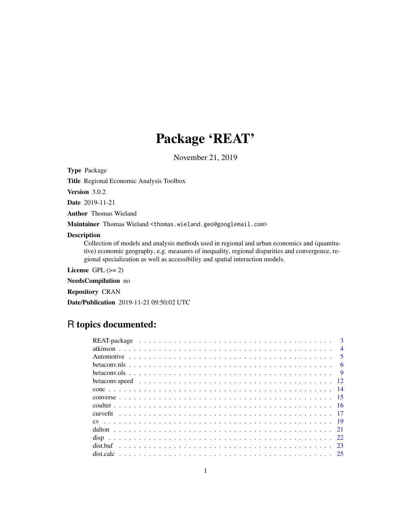# Package 'REAT'

November 21, 2019

<span id="page-0-0"></span>Type Package

Title Regional Economic Analysis Toolbox

Version 3.0.2

Date 2019-11-21

Author Thomas Wieland

Maintainer Thomas Wieland <thomas.wieland.geo@googlemail.com>

# Description

Collection of models and analysis methods used in regional and urban economics and (quantitative) economic geography, e.g. measures of inequality, regional disparities and convergence, regional specialization as well as accessibility and spatial interaction models.

License GPL  $(>= 2)$ 

NeedsCompilation no

Repository CRAN

Date/Publication 2019-11-21 09:50:02 UTC

# R topics documented:

| $\mathbf{3}$   |
|----------------|
| $\overline{4}$ |
| -5             |
| -6             |
| $\overline{9}$ |
|                |
|                |
|                |
|                |
|                |
|                |
|                |
|                |
| -23            |
|                |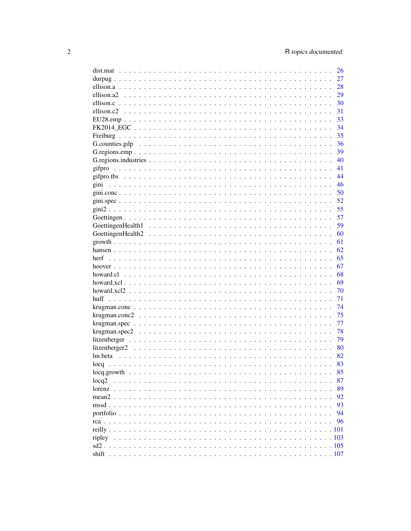|        | 26    |
|--------|-------|
|        | 27    |
|        | 28    |
|        | 29    |
|        | 30    |
|        | 31    |
|        | 33    |
|        | 34    |
|        | 35    |
|        | 36    |
|        | 39    |
|        | 40    |
|        | 41    |
|        | 44    |
| gini   | 46    |
|        | 50    |
|        | 52    |
|        |       |
|        | 55    |
|        | 57    |
|        | 59    |
|        | 60    |
|        | 61    |
|        | 62    |
| herf   | 65    |
|        | 67    |
|        | 68    |
|        | 69    |
|        | 70    |
|        | 71    |
|        | 74    |
|        | 75    |
|        | 77    |
|        | 78    |
|        | 79    |
|        | 80    |
|        | 82    |
|        | 83    |
|        | 85    |
| locq2  | 87    |
|        | 89    |
|        | 92    |
|        | 93    |
|        | 94    |
|        | 96    |
|        | . 101 |
| ripley | . 103 |
|        |       |
|        |       |
| shift  |       |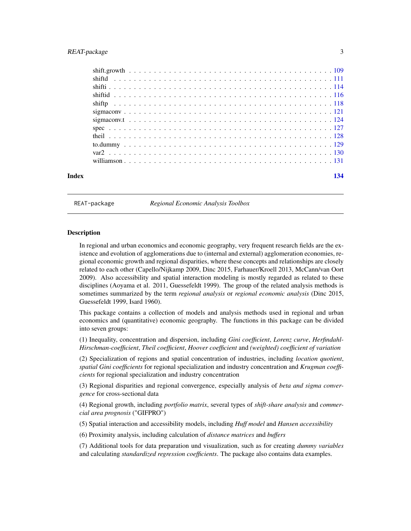<span id="page-2-0"></span>

| Index |  |  |  |  |  |  |  |  |  |  |  |  |  |  |  |  |  |  | 134 |
|-------|--|--|--|--|--|--|--|--|--|--|--|--|--|--|--|--|--|--|-----|

REAT-package *Regional Economic Analysis Toolbox*

# Description

In regional and urban economics and economic geography, very frequent research fields are the existence and evolution of agglomerations due to (internal and external) agglomeration economies, regional economic growth and regional disparities, where these concepts and relationships are closely related to each other (Capello/Nijkamp 2009, Dinc 2015, Farhauer/Kroell 2013, McCann/van Oort 2009). Also accessibility and spatial interaction modeling is mostly regarded as related to these disciplines (Aoyama et al. 2011, Guessefeldt 1999). The group of the related analysis methods is sometimes summarized by the term *regional analysis* or *regional economic analysis* (Dinc 2015, Guessefeldt 1999, Isard 1960).

This package contains a collection of models and analysis methods used in regional and urban economics and (quantitative) economic geography. The functions in this package can be divided into seven groups:

(1) Inequality, concentration and dispersion, including *Gini coefficient*, *Lorenz curve*, *Herfindahl-Hirschman-coefficient*, *Theil coefficient*, *Hoover coefficient* and *(weighted) coefficient of variation*

(2) Specialization of regions and spatial concentration of industries, including *location quotient*, *spatial Gini coefficients* for regional specialization and industry concentration and *Krugman coefficients* for regional specialization and industry concentration

(3) Regional disparities and regional convergence, especially analysis of *beta and sigma convergence* for cross-sectional data

(4) Regional growth, including *portfolio matrix*, several types of *shift-share analysis* and *commercial area prognosis* ("GIFPRO")

(5) Spatial interaction and accessibility models, including *Huff model* and *Hansen accessibility*

(6) Proximity analysis, including calculation of *distance matrices* and *buffers*

(7) Additional tools for data preparation und visualization, such as for creating *dummy variables* and calculating *standardized regression coefficients*. The package also contains data examples.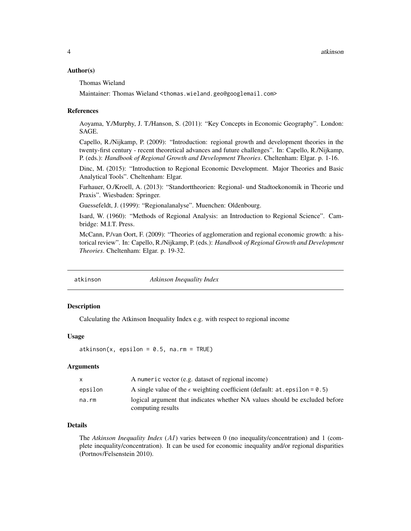# <span id="page-3-0"></span>Author(s)

Thomas Wieland

Maintainer: Thomas Wieland <thomas.wieland.geo@googlemail.com>

#### References

Aoyama, Y./Murphy, J. T./Hanson, S. (2011): "Key Concepts in Economic Geography". London: SAGE.

Capello, R./Nijkamp, P. (2009): "Introduction: regional growth and development theories in the twenty-first century - recent theoretical advances and future challenges". In: Capello, R./Nijkamp, P. (eds.): *Handbook of Regional Growth and Development Theories*. Cheltenham: Elgar. p. 1-16.

Dinc, M. (2015): "Introduction to Regional Economic Development. Major Theories and Basic Analytical Tools". Cheltenham: Elgar.

Farhauer, O./Kroell, A. (2013): "Standorttheorien: Regional- und Stadtoekonomik in Theorie und Praxis". Wiesbaden: Springer.

Guessefeldt, J. (1999): "Regionalanalyse". Muenchen: Oldenbourg.

Isard, W. (1960): "Methods of Regional Analysis: an Introduction to Regional Science". Cambridge: M.I.T. Press.

McCann, P./van Oort, F. (2009): "Theories of agglomeration and regional economic growth: a historical review". In: Capello, R./Nijkamp, P. (eds.): *Handbook of Regional Growth and Development Theories*. Cheltenham: Elgar. p. 19-32.

<span id="page-3-1"></span>

atkinson *Atkinson Inequality Index*

# Description

Calculating the Atkinson Inequality Index e.g. with respect to regional income

#### Usage

 $atkinson(x, epsilon = 0.5, na.rm = TRUE)$ 

#### Arguments

| $\mathsf{x}$ | A numeric vector (e.g. dataset of regional income)                                               |
|--------------|--------------------------------------------------------------------------------------------------|
| epsilon      | A single value of the $\epsilon$ weighting coefficient (default: at . epsilon = 0.5)             |
| na.rm        | logical argument that indicates whether NA values should be excluded before<br>computing results |

# Details

The *Atkinson Inequality Index* (AI) varies between 0 (no inequality/concentration) and 1 (complete inequality/concentration). It can be used for economic inequality and/or regional disparities (Portnov/Felsenstein 2010).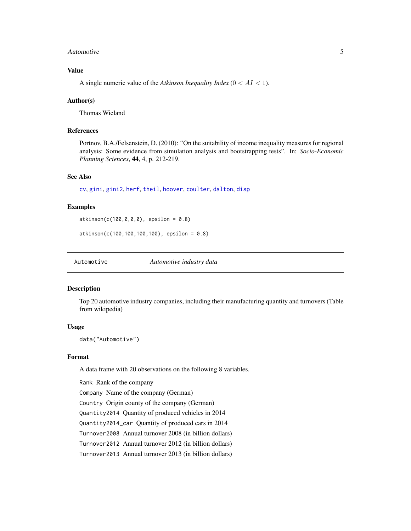#### <span id="page-4-0"></span>Automotive 5

# Value

A single numeric value of the *Atkinson Inequality Index*  $(0 < AI < 1)$ .

# Author(s)

Thomas Wieland

# References

Portnov, B.A./Felsenstein, D. (2010): "On the suitability of income inequality measures for regional analysis: Some evidence from simulation analysis and bootstrapping tests". In: *Socio-Economic Planning Sciences*, 44, 4, p. 212-219.

# See Also

[cv](#page-18-1), [gini](#page-45-1), [gini2](#page-54-1), [herf](#page-64-1), [theil](#page-127-1), [hoover](#page-66-1), [coulter](#page-15-1), [dalton](#page-20-1), [disp](#page-21-1)

# Examples

 $atkinson(c(100, 0, 0, 0), epsilon = 0.8)$ 

atkinson(c(100,100,100,100), epsilon = 0.8)

Automotive *Automotive industry data*

# Description

Top 20 automotive industry companies, including their manufacturing quantity and turnovers (Table from wikipedia)

#### Usage

data("Automotive")

# Format

A data frame with 20 observations on the following 8 variables.

Rank Rank of the company

Company Name of the company (German)

Country Origin county of the company (German)

Quantity2014 Quantity of produced vehicles in 2014

Quantity2014\_car Quantity of produced cars in 2014

Turnover2008 Annual turnover 2008 (in billion dollars)

Turnover2012 Annual turnover 2012 (in billion dollars)

Turnover2013 Annual turnover 2013 (in billion dollars)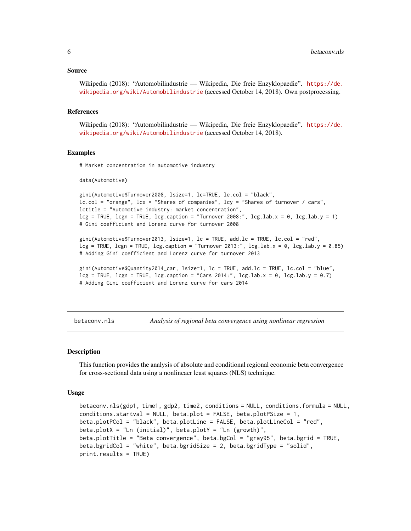#### <span id="page-5-0"></span>Source

```
Wikipedia (2018): "Automobilindustrie — Wikipedia, Die freie Enzyklopaedie". https://de.
wikipedia.org/wiki/Automobilindustrie (accessed October 14, 2018). Own postprocessing.
```
#### References

Wikipedia (2018): "Automobilindustrie — Wikipedia, Die freie Enzyklopaedie". [https://de.](https://de.wikipedia.org/wiki/Automobilindustrie) [wikipedia.org/wiki/Automobilindustrie](https://de.wikipedia.org/wiki/Automobilindustrie) (accessed October 14, 2018).

# Examples

# Market concentration in automotive industry

data(Automotive)

```
gini(Automotive$Turnover2008, lsize=1, lc=TRUE, le.col = "black",
lc.col = "orange", lcx = "Shares of companies", lcy = "Shares of turnover / cars",
lctitle = "Automotive industry: market concentration",
leg = TRUE, leg = TRUE, leg.caption = "Turnover 2008:", leg.lab.x = 0, leg.lab.y = 1)
# Gini coefficient and Lorenz curve for turnover 2008
```
gini(Automotive\$Turnover2013, lsize=1, lc = TRUE, add.lc = TRUE, lc.col = "red",  $leg = TRUE$ ,  $lcpn = TRUE$ ,  $leg.caption = "Turnover 2013;"$ ,  $leg.lab.x = 0$ ,  $lcg.lab.y = 0.85)$ # Adding Gini coefficient and Lorenz curve for turnover 2013

gini(Automotive\$Quantity2014\_car, lsize=1, lc = TRUE, add.lc = TRUE, lc.col = "blue",  $leg = TRUE$ ,  $leg = TRUE$ ,  $leg.caption = "Cars 2014:"$ ,  $leg.lab.x = 0$ ,  $leg.lab.y = 0.7)$ # Adding Gini coefficient and Lorenz curve for cars 2014

<span id="page-5-1"></span>betaconv.nls *Analysis of regional beta convergence using nonlinear regression*

#### **Description**

This function provides the analysis of absolute and conditional regional economic beta convergence for cross-sectional data using a nonlineaer least squares (NLS) technique.

#### Usage

```
betaconv.nls(gdp1, time1, gdp2, time2, conditions = NULL, conditions.formula = NULL,
conditions.startval = NULL, beta.out = FALSE, beta.plotPSize = 1,
beta.plotPCol = "black", beta.plotLine = FALSE, beta.plotLineCol = "red",
beta.plotX = "Ln (initial)", beta.plotY = "Ln (growth)",
beta.plotTitle = "Beta convergence", beta.bgCol = "gray95", beta.bgrid = TRUE,
beta.bgridCol = "white", beta.bgridSize = 2, beta.bgridType = "solid",
print.results = TRUE)
```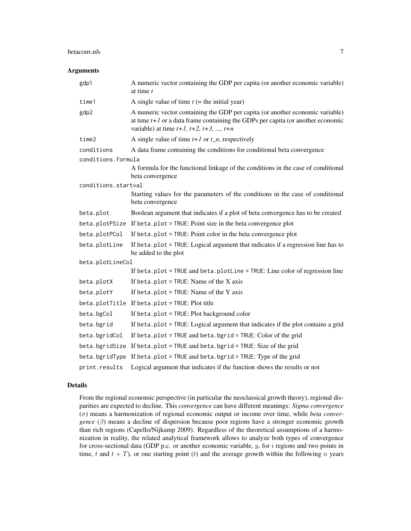#### betaconv.nls 7

#### Arguments

| gdp1                | A numeric vector containing the GDP per capita (or another economic variable)<br>at time $t$                                                                                                                            |  |  |  |  |
|---------------------|-------------------------------------------------------------------------------------------------------------------------------------------------------------------------------------------------------------------------|--|--|--|--|
| time1               | A single value of time $t$ (= the initial year)                                                                                                                                                                         |  |  |  |  |
| gdp2                | A numeric vector containing the GDP per capita (or another economic variable)<br>at time $t+1$ or a data frame containing the GDPs per capita (or another economic<br>variable) at time $t+1$ , $t+2$ , $t+3$ , , $t+n$ |  |  |  |  |
| time2               | A single value of time $t+1$ or $t_n$ , respectively                                                                                                                                                                    |  |  |  |  |
| conditions          | A data frame containing the conditions for conditional beta convergence                                                                                                                                                 |  |  |  |  |
| conditions.formula  |                                                                                                                                                                                                                         |  |  |  |  |
|                     | A formula for the functional linkage of the conditions in the case of conditional<br>beta convergence                                                                                                                   |  |  |  |  |
| conditions.startval |                                                                                                                                                                                                                         |  |  |  |  |
|                     | Starting values for the parameters of the conditions in the case of conditional<br>beta convergence                                                                                                                     |  |  |  |  |
| beta.plot           | Boolean argument that indicates if a plot of beta convergence has to be created                                                                                                                                         |  |  |  |  |
|                     | beta.plotPSize If beta.plot = TRUE: Point size in the beta convergence plot                                                                                                                                             |  |  |  |  |
| beta.plotPCol       | If beta.plot = TRUE: Point color in the beta convergence plot                                                                                                                                                           |  |  |  |  |
| beta.plotLine       | If beta.plot = TRUE: Logical argument that indicates if a regression line has to<br>be added to the plot                                                                                                                |  |  |  |  |
| beta.plotLineCol    |                                                                                                                                                                                                                         |  |  |  |  |
|                     | If beta.plot = TRUE and beta.plotLine = TRUE: Line color of regression line                                                                                                                                             |  |  |  |  |
| beta.plotX          | If beta.plot = $TRUE: Name$ of the $X$ axis                                                                                                                                                                             |  |  |  |  |
| beta.plotY          | If beta.plot = $TRUE$ : Name of the Y axis                                                                                                                                                                              |  |  |  |  |
|                     | beta.plotTitle If beta.plot = TRUE: Plot title                                                                                                                                                                          |  |  |  |  |
| beta.bgCol          | If beta.plot = TRUE: Plot background color                                                                                                                                                                              |  |  |  |  |
| beta.bgrid          | If beta.plot = TRUE: Logical argument that indicates if the plot contains a grid                                                                                                                                        |  |  |  |  |
| beta.bgridCol       | If beta.plot = TRUE and beta.bgrid = TRUE: Color of the grid                                                                                                                                                            |  |  |  |  |
|                     | beta.bgridSize If beta.plot = TRUE and beta.bgrid = TRUE: Size of the grid                                                                                                                                              |  |  |  |  |
| beta.bgridType      | If beta.plot = TRUE and beta.bgrid = TRUE: Type of the grid                                                                                                                                                             |  |  |  |  |
| print.results       | Logical argument that indicates if the function shows the results or not                                                                                                                                                |  |  |  |  |

# Details

From the regional economic perspective (in particular the neoclassical growth theory), regional disparities are expected to decline. This *convergence* can have different meanings: *Sigma convergence* (σ) means a harmonization of regional economic output or income over time, while *beta convergence* (β) means a decline of dispersion because poor regions have a stronger economic growth than rich regions (Capello/Nijkamp 2009). Regardless of the theoretical assumptions of a harmonization in reality, the related analytical framework allows to analyze both types of convergence for cross-sectional data (GDP p.c. or another economic variable,  $y$ , for  $i$  regions and two points in time, t and  $t + T$ ), or one starting point (t) and the average growth within the following n years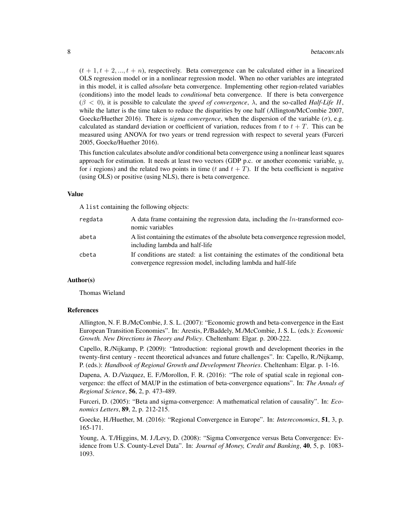$(t + 1, t + 2, ..., t + n)$ , respectively. Beta convergence can be calculated either in a linearized OLS regression model or in a nonlinear regression model. When no other variables are integrated in this model, it is called *absolute* beta convergence. Implementing other region-related variables (conditions) into the model leads to *conditional* beta convergence. If there is beta convergence  $(\beta < 0)$ , it is possible to calculate the *speed of convergence*,  $\lambda$ , and the so-called *Half-Life H*, while the latter is the time taken to reduce the disparities by one half (Allington/McCombie 2007, Goecke/Huether 2016). There is *sigma convergence*, when the dispersion of the variable  $(\sigma)$ , e.g. calculated as standard deviation or coefficient of variation, reduces from t to  $t + T$ . This can be measured using ANOVA for two years or trend regression with respect to several years (Furceri 2005, Goecke/Huether 2016).

This function calculates absolute and/or conditional beta convergence using a nonlinear least squares approach for estimation. It needs at least two vectors (GDP p.c. or another economic variable,  $y$ , for i regions) and the related two points in time (t and  $t + T$ ). If the beta coefficient is negative (using OLS) or positive (using NLS), there is beta convergence.

#### Value

A list containing the following objects:

| regdata | A data frame containing the regression data, including the $ln$ -transformed eco-<br>nomic variables                                              |
|---------|---------------------------------------------------------------------------------------------------------------------------------------------------|
| abeta   | A list containing the estimates of the absolute beta convergence regression model,<br>including lambda and half-life                              |
| cbeta   | If conditions are stated: a list containing the estimates of the conditional beta<br>convergence regression model, including lambda and half-life |

# Author(s)

Thomas Wieland

# References

Allington, N. F. B./McCombie, J. S. L. (2007): "Economic growth and beta-convergence in the East European Transition Economies". In: Arestis, P./Baddely, M./McCombie, J. S. L. (eds.): *Economic Growth. New Directions in Theory and Policy*. Cheltenham: Elgar. p. 200-222.

Capello, R./Nijkamp, P. (2009): "Introduction: regional growth and development theories in the twenty-first century - recent theoretical advances and future challenges". In: Capello, R./Nijkamp, P. (eds.): *Handbook of Regional Growth and Development Theories*. Cheltenham: Elgar. p. 1-16.

Dapena, A. D./Vazquez, E. F./Morollon, F. R. (2016): "The role of spatial scale in regional convergence: the effect of MAUP in the estimation of beta-convergence equations". In: *The Annals of Regional Science*, 56, 2, p. 473-489.

Furceri, D. (2005): "Beta and sigma-convergence: A mathematical relation of causality". In: *Economics Letters*, 89, 2, p. 212-215.

Goecke, H./Huether, M. (2016): "Regional Convergence in Europe". In: *Intereconomics*, 51, 3, p. 165-171.

Young, A. T./Higgins, M. J./Levy, D. (2008): "Sigma Convergence versus Beta Convergence: Evidence from U.S. County-Level Data". In: *Journal of Money, Credit and Banking*, 40, 5, p. 1083- 1093.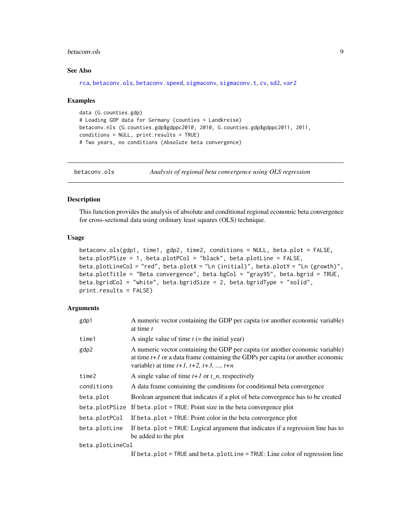#### <span id="page-8-0"></span>betaconv.ols 9

# See Also

```
rca, betaconv.ols, betaconv.speed, sigmaconv, sigmaconv.t, cv, sd2, var2
```
#### Examples

```
data (G.counties.gdp)
# Loading GDP data for Germany (counties = Landkreise)
betaconv.nls (G.counties.gdp$gdppc2010, 2010, G.counties.gdp$gdppc2011, 2011,
conditions = NULL, print.results = TRUE)
# Two years, no conditions (Absolute beta convergence)
```
<span id="page-8-1"></span>betaconv.ols *Analysis of regional beta convergence using OLS regression*

#### Description

This function provides the analysis of absolute and conditional regional economic beta convergence for cross-sectional data using ordinary least squares (OLS) technique.

# Usage

```
betaconv.ols(gdp1, time1, gdp2, time2, conditions = NULL, beta.plot = FALSE,
beta.plotPSize = 1, beta.plotPCol = "black", beta.plotLine = FALSE,
beta.plotLineCol = "red", beta.plotX = "Ln (initial)", beta.plotY = "Ln (growth)",
beta.plotTitle = "Beta convergence", beta.bgCol = "gray95", beta.bgrid = TRUE,
beta.bgridCol = "white", beta.bgridSize = 2, beta.bgridType = "solid",
print.results = FALSE)
```
# Arguments

| gdp1             | A numeric vector containing the GDP per capita (or another economic variable)<br>at time t                                                                                                                              |  |  |  |
|------------------|-------------------------------------------------------------------------------------------------------------------------------------------------------------------------------------------------------------------------|--|--|--|
| time1            | A single value of time $t$ (= the initial year)                                                                                                                                                                         |  |  |  |
| gdp2             | A numeric vector containing the GDP per capita (or another economic variable)<br>at time $t+1$ or a data frame containing the GDPs per capita (or another economic<br>variable) at time $t+1$ , $t+2$ , $t+3$ , , $t+n$ |  |  |  |
| time2            | A single value of time $t+1$ or $t_n$ , respectively                                                                                                                                                                    |  |  |  |
| conditions       | A data frame containing the conditions for conditional beta convergence                                                                                                                                                 |  |  |  |
| beta.plot        | Boolean argument that indicates if a plot of beta convergence has to be created                                                                                                                                         |  |  |  |
| beta.plotPSize   | If beta.plot = $TRUE$ : Point size in the beta convergence plot                                                                                                                                                         |  |  |  |
| beta.plotPCol    | If beta.plot = $TRUE$ : Point color in the beta convergence plot                                                                                                                                                        |  |  |  |
| beta.plotLine    | If beta.plot = TRUE: Logical argument that indicates if a regression line has to<br>be added to the plot                                                                                                                |  |  |  |
| beta.plotLineCol |                                                                                                                                                                                                                         |  |  |  |
|                  | If beta. $plot = TRUE$ and beta. $plotLine = TRUE$ : Line color of regression line                                                                                                                                      |  |  |  |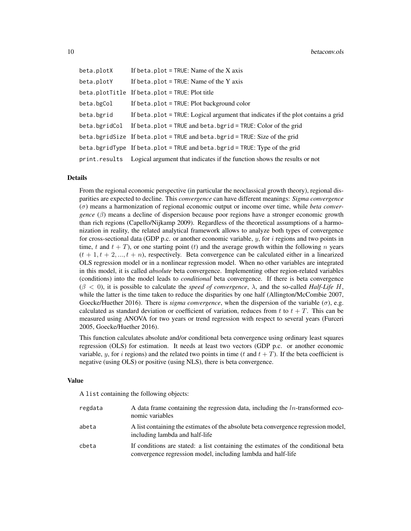| beta.plotX    | If beta.plot = $TRUE:$ Name of the $X$ axis                                             |
|---------------|-----------------------------------------------------------------------------------------|
| beta.plotY    | If beta. plot = TRUE: Name of the Y axis                                                |
|               | beta.plotTitle If beta.plot = TRUE: Plot title                                          |
| beta.bgCol    | If beta. $plot = TRUE$ : Plot background color                                          |
| beta.bgrid    | If beta.plot = TRUE: Logical argument that indicates if the plot contains a grid        |
| beta.bgridCol | If beta.plot = TRUE and beta.bgrid = TRUE: Color of the grid                            |
|               | beta.bgridSize If beta.plot = TRUE and beta.bgrid = TRUE: Size of the grid              |
|               | beta.bgridType If beta.plot = TRUE and beta.bgrid = TRUE: Type of the grid              |
|               | print. results Logical argument that indicates if the function shows the results or not |

# Details

From the regional economic perspective (in particular the neoclassical growth theory), regional disparities are expected to decline. This *convergence* can have different meanings: *Sigma convergence* (σ) means a harmonization of regional economic output or income over time, while *beta convergence*  $(\beta)$  means a decline of dispersion because poor regions have a stronger economic growth than rich regions (Capello/Nijkamp 2009). Regardless of the theoretical assumptions of a harmonization in reality, the related analytical framework allows to analyze both types of convergence for cross-sectional data (GDP p.c. or another economic variable,  $y$ , for i regions and two points in time, t and  $t + T$ ), or one starting point (t) and the average growth within the following n years  $(t + 1, t + 2, ..., t + n)$ , respectively. Beta convergence can be calculated either in a linearized OLS regression model or in a nonlinear regression model. When no other variables are integrated in this model, it is called *absolute* beta convergence. Implementing other region-related variables (conditions) into the model leads to *conditional* beta convergence. If there is beta convergence  $(\beta < 0)$ , it is possible to calculate the *speed of convergence*,  $\lambda$ , and the so-called *Half-Life H*, while the latter is the time taken to reduce the disparities by one half (Allington/McCombie 2007, Goecke/Huether 2016). There is *sigma convergence*, when the dispersion of the variable  $(\sigma)$ , e.g. calculated as standard deviation or coefficient of variation, reduces from t to  $t + T$ . This can be measured using ANOVA for two years or trend regression with respect to several years (Furceri 2005, Goecke/Huether 2016).

This function calculates absolute and/or conditional beta convergence using ordinary least squares regression (OLS) for estimation. It needs at least two vectors (GDP p.c. or another economic variable, y, for i regions) and the related two points in time (t and  $t + T$ ). If the beta coefficient is negative (using OLS) or positive (using NLS), there is beta convergence.

#### Value

A list containing the following objects:

| regdata | A data frame containing the regression data, including the $ln$ -transformed eco-<br>nomic variables                                              |
|---------|---------------------------------------------------------------------------------------------------------------------------------------------------|
| abeta   | A list containing the estimates of the absolute beta convergence regression model,<br>including lambda and half-life                              |
| cbeta   | If conditions are stated: a list containing the estimates of the conditional beta<br>convergence regression model, including lambda and half-life |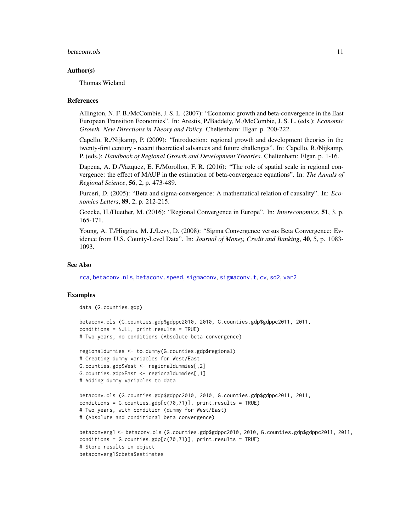#### betaconv.ols and the set of the set of the set of the set of the set of the set of the set of the set of the set of the set of the set of the set of the set of the set of the set of the set of the set of the set of the set

# Author(s)

Thomas Wieland

#### References

Allington, N. F. B./McCombie, J. S. L. (2007): "Economic growth and beta-convergence in the East European Transition Economies". In: Arestis, P./Baddely, M./McCombie, J. S. L. (eds.): *Economic Growth. New Directions in Theory and Policy*. Cheltenham: Elgar. p. 200-222.

Capello, R./Nijkamp, P. (2009): "Introduction: regional growth and development theories in the twenty-first century - recent theoretical advances and future challenges". In: Capello, R./Nijkamp, P. (eds.): *Handbook of Regional Growth and Development Theories*. Cheltenham: Elgar. p. 1-16.

Dapena, A. D./Vazquez, E. F./Morollon, F. R. (2016): "The role of spatial scale in regional convergence: the effect of MAUP in the estimation of beta-convergence equations". In: *The Annals of Regional Science*, 56, 2, p. 473-489.

Furceri, D. (2005): "Beta and sigma-convergence: A mathematical relation of causality". In: *Economics Letters*, 89, 2, p. 212-215.

Goecke, H./Huether, M. (2016): "Regional Convergence in Europe". In: *Intereconomics*, 51, 3, p. 165-171.

Young, A. T./Higgins, M. J./Levy, D. (2008): "Sigma Convergence versus Beta Convergence: Evidence from U.S. County-Level Data". In: *Journal of Money, Credit and Banking*, 40, 5, p. 1083- 1093.

# See Also

[rca](#page-95-1), [betaconv.nls](#page-5-1), [betaconv.speed](#page-11-1), [sigmaconv](#page-120-1), [sigmaconv.t](#page-123-1), [cv](#page-18-1), [sd2](#page-104-1), [var2](#page-129-1)

#### Examples

data (G.counties.gdp)

```
betaconv.ols (G.counties.gdp$gdppc2010, 2010, G.counties.gdp$gdppc2011, 2011,
conditions = NULL, print.results = TRUE)
# Two years, no conditions (Absolute beta convergence)
```

```
regionaldummies <- to.dummy(G.counties.gdp$regional)
# Creating dummy variables for West/East
G.counties.gdp$West <- regionaldummies[,2]
G.counties.gdp$East <- regionaldummies[,1]
# Adding dummy variables to data
```

```
betaconv.ols (G.counties.gdp$gdppc2010, 2010, G.counties.gdp$gdppc2011, 2011,
conditions = G.counties.gdp[c(70,71)], print.results = TRUE)
# Two years, with condition (dummy for West/East)
# (Absolute and conditional beta convergence)
```

```
betaconverg1 <- betaconv.ols (G.counties.gdp$gdppc2010, 2010, G.counties.gdp$gdppc2011, 2011,
conditions = G.counties.gdp[c(70,71)], print.results = TRUE)
# Store results in object
betaconverg1$cbeta$estimates
```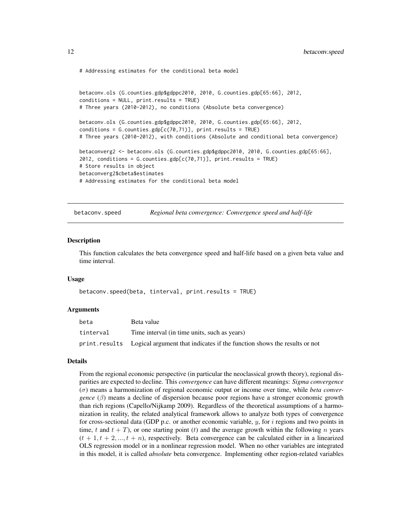<span id="page-11-0"></span># Addressing estimates for the conditional beta model

```
betaconv.ols (G.counties.gdp$gdppc2010, 2010, G.counties.gdp[65:66], 2012,
conditions = NULL, print.results = TRUE)
# Three years (2010-2012), no conditions (Absolute beta convergence)
betaconv.ols (G.counties.gdp$gdppc2010, 2010, G.counties.gdp[65:66], 2012,
conditions = G.counties.gdp[c(70, 71)], print.results = TRUE)
# Three years (2010-2012), with conditions (Absolute and conditional beta convergence)
betaconverg2 <- betaconv.ols (G.counties.gdp$gdppc2010, 2010, G.counties.gdp[65:66],
2012, conditions = G.counties.gdp[c(70,71)], print.results = TRUE)
# Store results in object
betaconverg2$cbeta$estimates
# Addressing estimates for the conditional beta model
```
<span id="page-11-1"></span>betaconv.speed *Regional beta convergence: Convergence speed and half-life*

#### Description

This function calculates the beta convergence speed and half-life based on a given beta value and time interval.

#### Usage

```
betaconv.speed(beta, tinterval, print.results = TRUE)
```
#### Arguments

| beta      | Beta value                                                                             |
|-----------|----------------------------------------------------------------------------------------|
| tinterval | Time interval (in time units, such as years)                                           |
|           | print.results Logical argument that indicates if the function shows the results or not |

# Details

From the regional economic perspective (in particular the neoclassical growth theory), regional disparities are expected to decline. This *convergence* can have different meanings: *Sigma convergence* (σ) means a harmonization of regional economic output or income over time, while *beta convergence*  $(\beta)$  means a decline of dispersion because poor regions have a stronger economic growth than rich regions (Capello/Nijkamp 2009). Regardless of the theoretical assumptions of a harmonization in reality, the related analytical framework allows to analyze both types of convergence for cross-sectional data (GDP p.c. or another economic variable,  $y$ , for i regions and two points in time, t and  $t + T$ ), or one starting point (t) and the average growth within the following n years  $(t + 1, t + 2, ..., t + n)$ , respectively. Beta convergence can be calculated either in a linearized OLS regression model or in a nonlinear regression model. When no other variables are integrated in this model, it is called *absolute* beta convergence. Implementing other region-related variables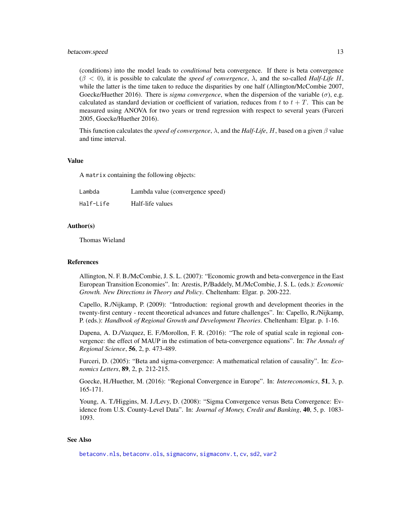# betaconv.speed 13

(conditions) into the model leads to *conditional* beta convergence. If there is beta convergence  $(\beta < 0)$ , it is possible to calculate the *speed of convergence*,  $\lambda$ , and the so-called *Half-Life H*, while the latter is the time taken to reduce the disparities by one half (Allington/McCombie 2007, Goecke/Huether 2016). There is *sigma convergence*, when the dispersion of the variable  $(\sigma)$ , e.g. calculated as standard deviation or coefficient of variation, reduces from t to  $t + T$ . This can be measured using ANOVA for two years or trend regression with respect to several years (Furceri 2005, Goecke/Huether 2016).

This function calculates the *speed of convergence*, λ, and the *Half-Life*, H, based on a given β value and time interval.

#### Value

A matrix containing the following objects:

| Lambda    | Lambda value (convergence speed) |
|-----------|----------------------------------|
| Half-Life | Half-life values                 |

# Author(s)

Thomas Wieland

# References

Allington, N. F. B./McCombie, J. S. L. (2007): "Economic growth and beta-convergence in the East European Transition Economies". In: Arestis, P./Baddely, M./McCombie, J. S. L. (eds.): *Economic Growth. New Directions in Theory and Policy*. Cheltenham: Elgar. p. 200-222.

Capello, R./Nijkamp, P. (2009): "Introduction: regional growth and development theories in the twenty-first century - recent theoretical advances and future challenges". In: Capello, R./Nijkamp, P. (eds.): *Handbook of Regional Growth and Development Theories*. Cheltenham: Elgar. p. 1-16.

Dapena, A. D./Vazquez, E. F./Morollon, F. R. (2016): "The role of spatial scale in regional convergence: the effect of MAUP in the estimation of beta-convergence equations". In: *The Annals of Regional Science*, 56, 2, p. 473-489.

Furceri, D. (2005): "Beta and sigma-convergence: A mathematical relation of causality". In: *Economics Letters*, 89, 2, p. 212-215.

Goecke, H./Huether, M. (2016): "Regional Convergence in Europe". In: *Intereconomics*, 51, 3, p. 165-171.

Young, A. T./Higgins, M. J./Levy, D. (2008): "Sigma Convergence versus Beta Convergence: Evidence from U.S. County-Level Data". In: *Journal of Money, Credit and Banking*, 40, 5, p. 1083- 1093.

# See Also

[betaconv.nls](#page-5-1), [betaconv.ols](#page-8-1), [sigmaconv](#page-120-1), [sigmaconv.t](#page-123-1), [cv](#page-18-1), [sd2](#page-104-1), [var2](#page-129-1)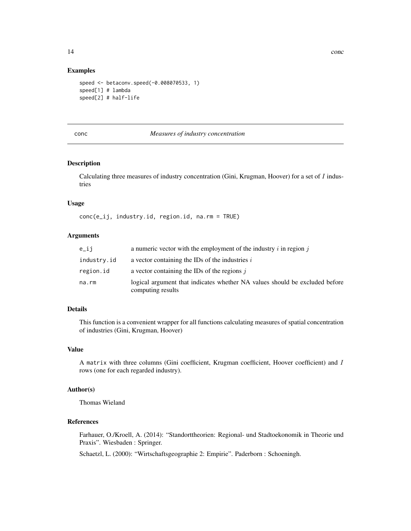# <span id="page-13-0"></span>Examples

```
speed <- betaconv.speed(-0.008070533, 1)
speed[1] # lambda
speed[2] # half-life
```
# conc *Measures of industry concentration*

# Description

Calculating three measures of industry concentration (Gini, Krugman, Hoover) for a set of  $I$  industries

#### Usage

conc(e\_ij, industry.id, region.id, na.rm = TRUE)

# Arguments

| e_ij        | a numeric vector with the employment of the industry $i$ in region $j$                           |
|-------------|--------------------------------------------------------------------------------------------------|
| industry.id | a vector containing the IDs of the industries $i$                                                |
| region.id   | a vector containing the IDs of the regions $\dot{i}$                                             |
| na.rm       | logical argument that indicates whether NA values should be excluded before<br>computing results |

# Details

This function is a convenient wrapper for all functions calculating measures of spatial concentration of industries (Gini, Krugman, Hoover)

# Value

A matrix with three columns (Gini coefficient, Krugman coefficient, Hoover coefficient) and I rows (one for each regarded industry).

# Author(s)

Thomas Wieland

# References

Farhauer, O./Kroell, A. (2014): "Standorttheorien: Regional- und Stadtoekonomik in Theorie und Praxis". Wiesbaden : Springer.

Schaetzl, L. (2000): "Wirtschaftsgeographie 2: Empirie". Paderborn : Schoeningh.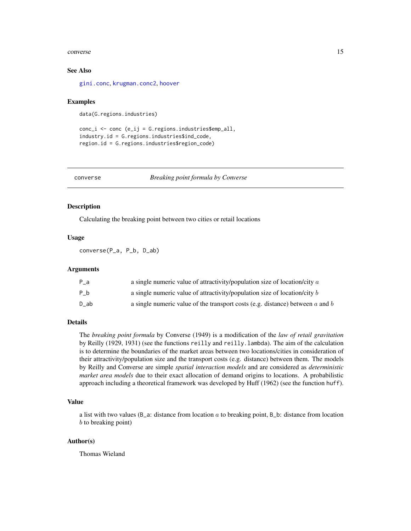#### <span id="page-14-0"></span>converse the converse term of the converse term of the converse term of the converse term of the converse term of the converse term of the converse term of the converse term of the converse term of the converse term of the

# See Also

[gini.conc](#page-49-1), [krugman.conc2](#page-74-1), [hoover](#page-66-1)

#### Examples

data(G.regions.industries)

```
conc_i <- conc (e_ij = G.regions.industries$emp_all,
industry.id = G.regions.industries$ind_code,
region.id = G.regions.industries$region_code)
```
converse *Breaking point formula by Converse*

# Description

Calculating the breaking point between two cities or retail locations

# Usage

converse(P\_a, P\_b, D\_ab)

# Arguments

| P a  | a single numeric value of attractivity/population size of location/city a         |
|------|-----------------------------------------------------------------------------------|
| P b  | a single numeric value of attractivity/population size of location/city b         |
| D ab | a single numeric value of the transport costs (e.g. distance) between $a$ and $b$ |

# Details

The *breaking point formula* by Converse (1949) is a modification of the *law of retail gravitation* by Reilly (1929, 1931) (see the functions reilly and reilly.lambda). The aim of the calculation is to determine the boundaries of the market areas between two locations/cities in consideration of their attractivity/population size and the transport costs (e.g. distance) between them. The models by Reilly and Converse are simple *spatial interaction models* and are considered as *deterministic market area models* due to their exact allocation of demand origins to locations. A probabilistic approach including a theoretical framework was developed by Huff (1962) (see the function huff).

# Value

a list with two values ( $B_a$ : distance from location a to breaking point,  $B_b$ : distance from location b to breaking point)

# Author(s)

Thomas Wieland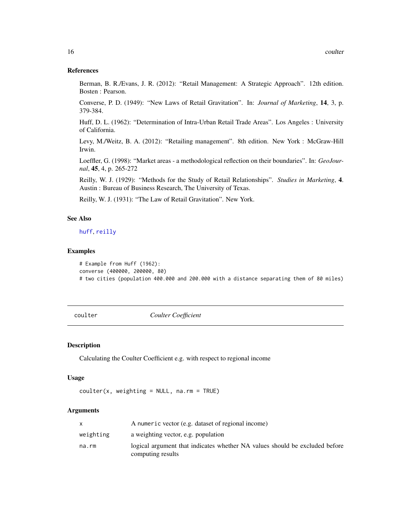# References

Berman, B. R./Evans, J. R. (2012): "Retail Management: A Strategic Approach". 12th edition. Bosten : Pearson.

Converse, P. D. (1949): "New Laws of Retail Gravitation". In: *Journal of Marketing*, 14, 3, p. 379-384.

Huff, D. L. (1962): "Determination of Intra-Urban Retail Trade Areas". Los Angeles : University of California.

Levy, M./Weitz, B. A. (2012): "Retailing management". 8th edition. New York : McGraw-Hill Irwin.

Loeffler, G. (1998): "Market areas - a methodological reflection on their boundaries". In: *GeoJournal*, 45, 4, p. 265-272

Reilly, W. J. (1929): "Methods for the Study of Retail Relationships". *Studies in Marketing*, 4. Austin : Bureau of Business Research, The University of Texas.

Reilly, W. J. (1931): "The Law of Retail Gravitation". New York.

# See Also

# [huff](#page-70-1), [reilly](#page-100-1)

# Examples

```
# Example from Huff (1962):
converse (400000, 200000, 80)
# two cities (population 400.000 and 200.000 with a distance separating them of 80 miles)
```
<span id="page-15-1"></span>coulter *Coulter Coefficient*

#### Description

Calculating the Coulter Coefficient e.g. with respect to regional income

#### Usage

```
counter(x, weighting = NULL, na.rm = TRUE)
```
# **Arguments**

|           | A numeric vector (e.g. dataset of regional income)                                               |
|-----------|--------------------------------------------------------------------------------------------------|
| weighting | a weighting vector, e.g. population                                                              |
| na.rm     | logical argument that indicates whether NA values should be excluded before<br>computing results |

<span id="page-15-0"></span>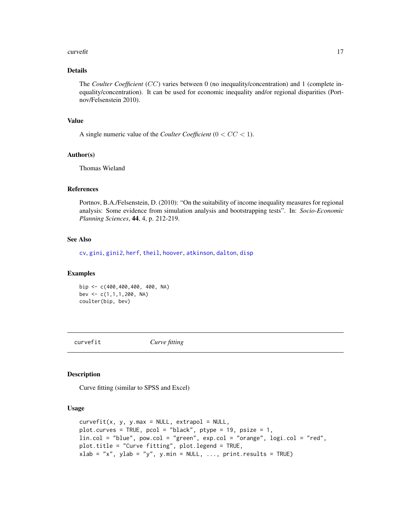#### <span id="page-16-0"></span>curve fit that the contract of the contract of the contract of the contract of the contract of the contract of the contract of the contract of the contract of the contract of the contract of the contract of the contract of

# Details

The *Coulter Coefficient* (CC) varies between 0 (no inequality/concentration) and 1 (complete inequality/concentration). It can be used for economic inequality and/or regional disparities (Portnov/Felsenstein 2010).

#### Value

A single numeric value of the *Coulter Coefficient*  $(0 < CC < 1)$ .

# Author(s)

Thomas Wieland

# References

Portnov, B.A./Felsenstein, D. (2010): "On the suitability of income inequality measures for regional analysis: Some evidence from simulation analysis and bootstrapping tests". In: *Socio-Economic Planning Sciences*, 44, 4, p. 212-219.

# See Also

[cv](#page-18-1), [gini](#page-45-1), [gini2](#page-54-1), [herf](#page-64-1), [theil](#page-127-1), [hoover](#page-66-1), [atkinson](#page-3-1), [dalton](#page-20-1), [disp](#page-21-1)

# Examples

bip <- c(400,400,400, 400, NA) bev <- c(1,1,1,200, NA) coulter(bip, bev)

curvefit *Curve fitting*

#### Description

Curve fitting (similar to SPSS and Excel)

# Usage

```
curvefit(x, y, y.max = NULL, extrapol = NULL,plot.curves = TRUE, pcol = "black", ptype = 19, psize = 1,lin.col = "blue", pow.col = "green", exp.col = "orange", logi.col = "red",
plot.title = "Curve fitting", plot.legend = TRUE,
xlab = "x", ylab = "y", y.min = NULL, ..., print.results = TRUE)
```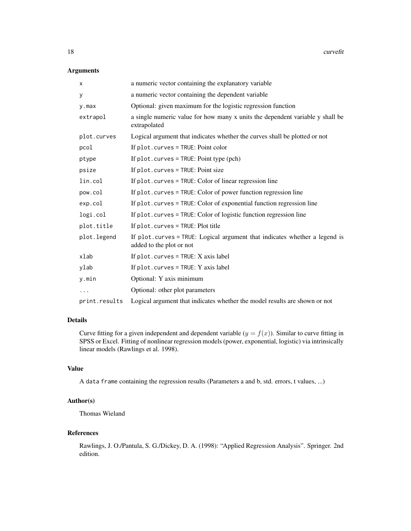# Arguments

| X             | a numeric vector containing the explanatory variable                                                   |
|---------------|--------------------------------------------------------------------------------------------------------|
| У             | a numeric vector containing the dependent variable                                                     |
| $y$ . max     | Optional: given maximum for the logistic regression function                                           |
| extrapol      | a single numeric value for how many x units the dependent variable y shall be<br>extrapolated          |
| plot.curves   | Logical argument that indicates whether the curves shall be plotted or not                             |
| pcol          | If $plot.curves = TRUE$ : Point color                                                                  |
| ptype         | If $plot.curves = TRUE$ : Point type $(pch)$                                                           |
| psize         | If $plot.curves = TRUE$ : Point size                                                                   |
| lin.col       | If plot. curves = TRUE: Color of linear regression line                                                |
| pow.col       | If plot. curves = TRUE: Color of power function regression line                                        |
| exp.col       | If plot. curves = TRUE: Color of exponential function regression line                                  |
| logi.col      | If plot. curves = TRUE: Color of logistic function regression line                                     |
| plot.title    | If $plot.curves = TRUE$ : Plot title                                                                   |
| plot.legend   | If plot.curves = TRUE: Logical argument that indicates whether a legend is<br>added to the plot or not |
| xlab          | If $plot.curves = TRUE: X axis label$                                                                  |
| ylab          | If $plot.curves = TRUE: Y axis label$                                                                  |
| y.min         | Optional: Y axis minimum                                                                               |
| .             | Optional: other plot parameters                                                                        |
| print.results | Logical argument that indicates whether the model results are shown or not                             |

# Details

Curve fitting for a given independent and dependent variable  $(y = f(x))$ . Similar to curve fitting in SPSS or Excel. Fitting of nonlinear regression models (power, exponential, logistic) via intrinsically linear models (Rawlings et al. 1998).

# Value

A data frame containing the regression results (Parameters a and b, std. errors, t values, ...)

# Author(s)

Thomas Wieland

# References

Rawlings, J. O./Pantula, S. G./Dickey, D. A. (1998): "Applied Regression Analysis". Springer. 2nd edition.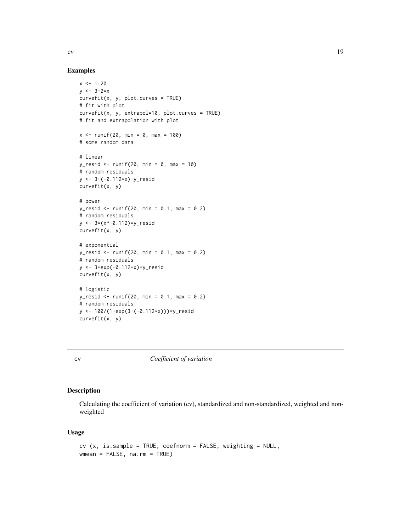<span id="page-18-0"></span>

# Examples

```
x < -1:20y \le -3-2*xcurvefit(x, y, plot.curves = TRUE)
# fit with plot
curvefit(x, y, extrapol=10, plot.curves = TRUE)
# fit and extrapolation with plot
x < - runif(20, min = 0, max = 100)
# some random data
# linear
y_resid <- runif(20, min = 0, max = 10)
# random residuals
y <- 3+(-0.112*x)+y_resid
curvefit(x, y)
# power
y_r resid <- runif(20, min = 0.1, max = 0.2)
# random residuals
y <- 3*(x^-0.112)*y_resid
curvefit(x, y)
# exponential
y_resid <- runif(20, min = 0.1, max = 0.2)
# random residuals
y <- 3*exp(-0.112*x)*y_resid
curvefit(x, y)
# logistic
y_resid <- runif(20, min = 0.1, max = 0.2)
# random residuals
y <- 100/(1+exp(3+(-0.112*x)))*y_resid
curvefit(x, y)
```
<span id="page-18-1"></span>

cv *Coefficient of variation*

# Description

Calculating the coefficient of variation (cv), standardized and non-standardized, weighted and nonweighted

# Usage

```
cv (x, is.sample = TRUE, coefnorm = FALSE, weighting = NULL,
wmean = FALSE, na.m = TRUE)
```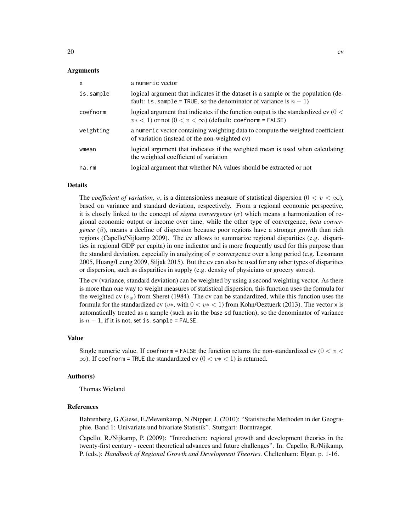| X           | a numeric vector                                                                                                                                            |
|-------------|-------------------------------------------------------------------------------------------------------------------------------------------------------------|
| is.sample   | logical argument that indicates if the dataset is a sample or the population (de-<br>fault: is . sample = TRUE, so the denominator of variance is $n - 1$ ) |
| coefnorm    | logical argument that indicates if the function output is the standardized cv $(0 <$<br>$v* < 1$ ) or not $(0 < v < \infty)$ (default: coefnorm = FALSE)    |
| weighting   | a numeric vector containing weighting data to compute the weighted coefficient<br>of variation (instead of the non-weighted cv)                             |
| wmean       | logical argument that indicates if the weighted mean is used when calculating<br>the weighted coefficient of variation                                      |
| $na$ . $rm$ | logical argument that whether NA values should be extracted or not                                                                                          |

#### Details

The *coefficient of variation*, v, is a dimensionless measure of statistical dispersion  $(0 < v < \infty)$ , based on variance and standard deviation, respectively. From a regional economic perspective, it is closely linked to the concept of *sigma convergence*  $(\sigma)$  which means a harmonization of regional economic output or income over time, while the other type of convergence, *beta convergence*  $(\beta)$ , means a decline of dispersion because poor regions have a stronger growth than rich regions (Capello/Nijkamp 2009). The cv allows to summarize regional disparities (e.g. disparities in regional GDP per capita) in one indicator and is more frequently used for this purpose than the standard deviation, especially in analyzing of  $\sigma$  convergence over a long period (e.g. Lessmann 2005, Huang/Leung 2009, Siljak 2015). But the cv can also be used for any other types of disparities or dispersion, such as disparities in supply (e.g. density of physicians or grocery stores).

The cv (variance, standard deviation) can be weighted by using a second weighting vector. As there is more than one way to weight measures of statistical dispersion, this function uses the formula for the weighted cv  $(v_w)$  from Sheret (1984). The cv can be standardized, while this function uses the formula for the standardized cv (v\*, with  $0 < v* < 1$ ) from Kohn/Oeztuerk (2013). The vector x is automatically treated as a sample (such as in the base sd function), so the denominator of variance is  $n - 1$ , if it is not, set is. sample = FALSE.

#### Value

Single numeric value. If coefnorm = FALSE the function returns the non-standardized cv  $(0 < v <$  $\infty$ ). If coefnorm = TRUE the standardized cv ( $0 < v* < 1$ ) is returned.

#### Author(s)

Thomas Wieland

#### References

Bahrenberg, G./Giese, E./Mevenkamp, N./Nipper, J. (2010): "Statistische Methoden in der Geographie. Band 1: Univariate und bivariate Statistik". Stuttgart: Borntraeger.

Capello, R./Nijkamp, P. (2009): "Introduction: regional growth and development theories in the twenty-first century - recent theoretical advances and future challenges". In: Capello, R./Nijkamp, P. (eds.): *Handbook of Regional Growth and Development Theories*. Cheltenham: Elgar. p. 1-16.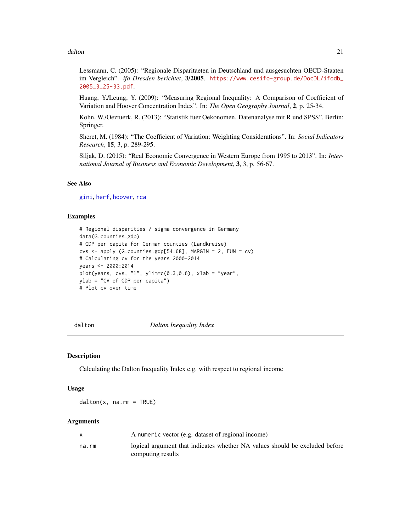#### <span id="page-20-0"></span>dalton 21 and 22 and 22 and 22 and 22 and 23 and 23 and 23 and 23 and 23 and 24 and 25 and 26 and 27 and 27 and 27 and 27 and 27 and 27 and 27 and 27 and 27 and 27 and 27 and 27 and 27 and 27 and 27 and 27 and 27 and 27 an

Lessmann, C. (2005): "Regionale Disparitaeten in Deutschland und ausgesuchten OECD-Staaten im Vergleich". *ifo Dresden berichtet*, 3/2005. [https://www.cesifo-group.de/DocDL/ifodb\\_](https://www.cesifo-group.de/DocDL/ifodb_2005_3_25-33.pdf) [2005\\_3\\_25-33.pdf](https://www.cesifo-group.de/DocDL/ifodb_2005_3_25-33.pdf).

Huang, Y./Leung, Y. (2009): "Measuring Regional Inequality: A Comparison of Coefficient of Variation and Hoover Concentration Index". In: *The Open Geography Journal*, 2, p. 25-34.

Kohn, W./Oeztuerk, R. (2013): "Statistik fuer Oekonomen. Datenanalyse mit R und SPSS". Berlin: Springer.

Sheret, M. (1984): "The Coefficient of Variation: Weighting Considerations". In: *Social Indicators Research*, 15, 3, p. 289-295.

Siljak, D. (2015): "Real Economic Convergence in Western Europe from 1995 to 2013". In: *International Journal of Business and Economic Development*, 3, 3, p. 56-67.

# See Also

[gini](#page-45-1), [herf](#page-64-1), [hoover](#page-66-1), [rca](#page-95-1)

# Examples

```
# Regional disparities / sigma convergence in Germany
data(G.counties.gdp)
# GDP per capita for German counties (Landkreise)
\text{cvs} \leq \text{apply} (G.counties.gdp[54:68], MARGIN = 2, FUN = \text{cv})
# Calculating cv for the years 2000-2014
years <- 2000:2014
plot(years, cvs, "l", ylim=c(0.3, 0.6), xlab = "year",ylab = "CV of GDP per capita")
# Plot cv over time
```
<span id="page-20-1"></span>dalton *Dalton Inequality Index*

#### Description

Calculating the Dalton Inequality Index e.g. with respect to regional income

# Usage

 $d$ alton $(x, \text{na.m = TRUE})$ 

#### Arguments

|       | A numeric vector (e.g. dataset of regional income)                          |
|-------|-----------------------------------------------------------------------------|
| na.rm | logical argument that indicates whether NA values should be excluded before |
|       | computing results                                                           |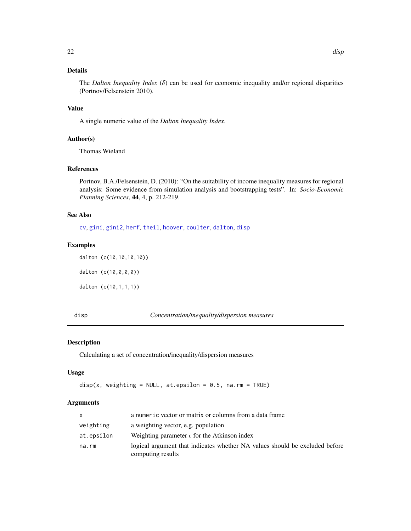# <span id="page-21-0"></span>Details

The *Dalton Inequality Index* ( $\delta$ ) can be used for economic inequality and/or regional disparities (Portnov/Felsenstein 2010).

# Value

A single numeric value of the *Dalton Inequality Index*.

# Author(s)

Thomas Wieland

# References

Portnov, B.A./Felsenstein, D. (2010): "On the suitability of income inequality measures for regional analysis: Some evidence from simulation analysis and bootstrapping tests". In: *Socio-Economic Planning Sciences*, 44, 4, p. 212-219.

# See Also

[cv](#page-18-1), [gini](#page-45-1), [gini2](#page-54-1), [herf](#page-64-1), [theil](#page-127-1), [hoover](#page-66-1), [coulter](#page-15-1), [dalton](#page-20-1), [disp](#page-21-1)

#### Examples

dalton (c(10,10,10,10))

dalton (c(10,0,0,0))

dalton (c(10,1,1,1))

<span id="page-21-1"></span>

disp *Concentration/inequality/dispersion measures*

# Description

Calculating a set of concentration/inequality/dispersion measures

# Usage

```
disp(x, weighting = NULL, at.epsilon = 0.5, na.rm = TRUE)
```
# Arguments

| <b>X</b>   | a numeric vector or matrix or columns from a data frame                                          |
|------------|--------------------------------------------------------------------------------------------------|
| weighting  | a weighting vector, e.g. population                                                              |
| at.epsilon | Weighting parameter $\epsilon$ for the Atkinson index                                            |
| na.rm      | logical argument that indicates whether NA values should be excluded before<br>computing results |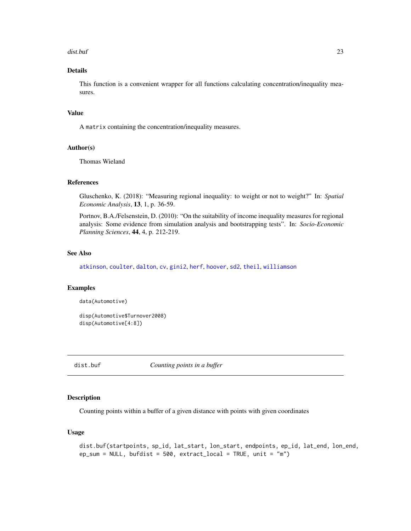# <span id="page-22-0"></span>dist.buf 23

# Details

This function is a convenient wrapper for all functions calculating concentration/inequality measures.

# Value

A matrix containing the concentration/inequality measures.

# Author(s)

Thomas Wieland

# References

Gluschenko, K. (2018): "Measuring regional inequality: to weight or not to weight?" In: *Spatial Economic Analysis*, 13, 1, p. 36-59.

Portnov, B.A./Felsenstein, D. (2010): "On the suitability of income inequality measures for regional analysis: Some evidence from simulation analysis and bootstrapping tests". In: *Socio-Economic Planning Sciences*, 44, 4, p. 212-219.

# See Also

[atkinson](#page-3-1), [coulter](#page-15-1), [dalton](#page-20-1), [cv](#page-18-1), [gini2](#page-54-1), [herf](#page-64-1), [hoover](#page-66-1), [sd2](#page-104-1), [theil](#page-127-1), [williamson](#page-130-1)

# Examples

```
data(Automotive)
```
disp(Automotive\$Turnover2008) disp(Automotive[4:8])

<span id="page-22-1"></span>dist.buf *Counting points in a buffer*

# Description

Counting points within a buffer of a given distance with points with given coordinates

# Usage

```
dist.buf(startpoints, sp_id, lat_start, lon_start, endpoints, ep_id, lat_end, lon_end,
ep_sum = NULL, bufdist = 500, extract_local = TRUE, unit = "m")
```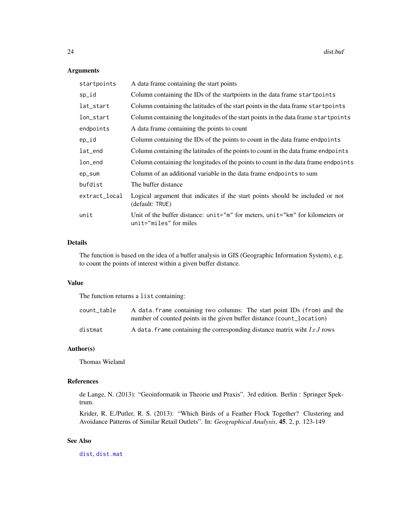# Arguments

| startpoints   | A data frame containing the start points                                                                |
|---------------|---------------------------------------------------------------------------------------------------------|
| sp_id         | Column containing the IDs of the startpoints in the data frame startpoints                              |
| lat_start     | Column containing the latitudes of the start points in the data frame startpoints                       |
| lon_start     | Column containing the longitudes of the start points in the data frame start points                     |
| endpoints     | A data frame containing the points to count                                                             |
| ep_id         | Column containing the IDs of the points to count in the data frame endpoints                            |
| lat_end       | Column containing the latitudes of the points to count in the data frame endpoints                      |
| lon_end       | Column containing the longitudes of the points to count in the data frame endpoints                     |
| ep_sum        | Column of an additional variable in the data frame endpoints to sum                                     |
| bufdist       | The buffer distance                                                                                     |
| extract_local | Logical argument that indicates if the start points should be included or not<br>(default: TRUE)        |
| unit          | Unit of the buffer distance: unit="m" for meters, unit="km" for kilometers or<br>unit="miles" for miles |
|               |                                                                                                         |

# Details

The function is based on the idea of a buffer analysis in GIS (Geographic Information System), e.g. to count the points of interest within a given buffer distance.

# Value

The function returns a list containing:

| count table | A data frame containing two columns: The start point IDs (from) and the    |
|-------------|----------------------------------------------------------------------------|
|             | number of counted points in the given buffer distance (count_location)     |
| distmat     | A data. Frame containing the corresponding distance matrix wiht $IxJ$ rows |

# Author(s)

Thomas Wieland

# References

de Lange, N. (2013): "Geoinformatik in Theorie und Praxis". 3rd edition. Berlin : Springer Spektrum.

Krider, R. E./Putler, R. S. (2013): "Which Birds of a Feather Flock Together? Clustering and Avoidance Patterns of Similar Retail Outlets". In: *Geographical Analysis*, 45, 2, p. 123-149

# See Also

[dist](#page-0-0), [dist.mat](#page-25-1)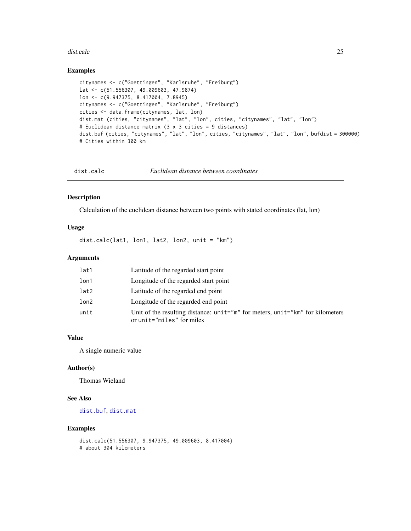#### <span id="page-24-0"></span>dist.calc 25

# Examples

```
citynames <- c("Goettingen", "Karlsruhe", "Freiburg")
lat <- c(51.556307, 49.009603, 47.9874)
lon <- c(9.947375, 8.417004, 7.8945)
citynames <- c("Goettingen", "Karlsruhe", "Freiburg")
cities <- data.frame(citynames, lat, lon)
dist.mat (cities, "citynames", "lat", "lon", cities, "citynames", "lat", "lon")
# Euclidean distance matrix (3 x 3 cities = 9 distances)
dist.buf (cities, "citynames", "lat", "lon", cities, "citynames", "lat", "lon", bufdist = 300000)
# Cities within 300 km
```

| Euclidean distance between coordinates<br>dist.calc |  |
|-----------------------------------------------------|--|
|-----------------------------------------------------|--|

#### Description

Calculation of the euclidean distance between two points with stated coordinates (lat, lon)

# Usage

dist.calc(lat1, lon1, lat2, lon2, unit = "km")

# Arguments

| lat1 | Latitude of the regarded start point                                                                       |
|------|------------------------------------------------------------------------------------------------------------|
| lon1 | Longitude of the regarded start point                                                                      |
| lat2 | Latitude of the regarded end point                                                                         |
| lon2 | Longitude of the regarded end point                                                                        |
| unit | Unit of the resulting distance: unit="m" for meters, unit="km" for kilometers<br>or unit="miles" for miles |

# Value

A single numeric value

# Author(s)

Thomas Wieland

# See Also

[dist.buf](#page-22-1), [dist.mat](#page-25-1)

```
dist.calc(51.556307, 9.947375, 49.009603, 8.417004)
# about 304 kilometers
```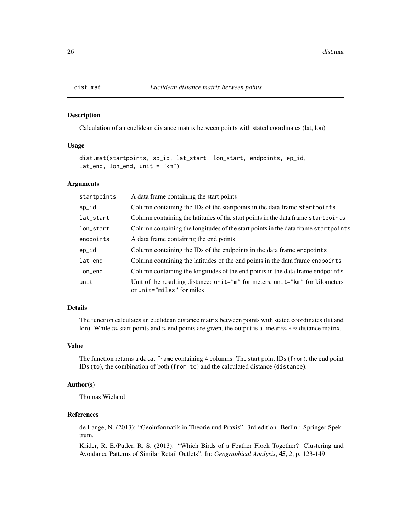Calculation of an euclidean distance matrix between points with stated coordinates (lat, lon)

# Usage

```
dist.mat(startpoints, sp_id, lat_start, lon_start, endpoints, ep_id,
lat_end, lon_end, unit = "km")
```
# Arguments

| startpoints | A data frame containing the start points                                                                   |
|-------------|------------------------------------------------------------------------------------------------------------|
| sp_id       | Column containing the IDs of the startpoints in the data frame startpoints                                 |
| lat_start   | Column containing the latitudes of the start points in the data frame start points                         |
| lon_start   | Column containing the longitudes of the start points in the data frame start points                        |
| endpoints   | A data frame containing the end points                                                                     |
| ep_id       | Column containing the IDs of the endpoints in the data frame endpoints                                     |
| lat_end     | Column containing the latitudes of the end points in the data frame endpoints                              |
| lon_end     | Column containing the longitudes of the end points in the data frame endpoints                             |
| unit        | Unit of the resulting distance: unit="m" for meters, unit="km" for kilometers<br>or unit="miles" for miles |

# Details

The function calculates an euclidean distance matrix between points with stated coordinates (lat and lon). While m start points and n end points are given, the output is a linear  $m * n$  distance matrix.

# Value

The function returns a data. frame containing 4 columns: The start point IDs (from), the end point IDs (to), the combination of both (from\_to) and the calculated distance (distance).

# Author(s)

Thomas Wieland

# References

de Lange, N. (2013): "Geoinformatik in Theorie und Praxis". 3rd edition. Berlin : Springer Spektrum.

Krider, R. E./Putler, R. S. (2013): "Which Birds of a Feather Flock Together? Clustering and Avoidance Patterns of Similar Retail Outlets". In: *Geographical Analysis*, 45, 2, p. 123-149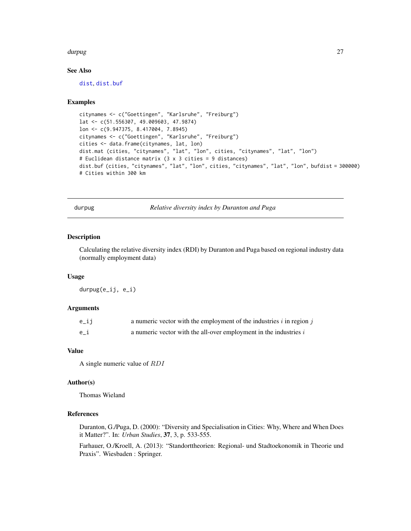#### <span id="page-26-0"></span>durpug and the contract of the contract of the contract of the contract of the contract of the contract of the contract of the contract of the contract of the contract of the contract of the contract of the contract of the

# See Also

[dist](#page-0-0), [dist.buf](#page-22-1)

# Examples

```
citynames <- c("Goettingen", "Karlsruhe", "Freiburg")
lat <- c(51.556307, 49.009603, 47.9874)
lon <- c(9.947375, 8.417004, 7.8945)
citynames <- c("Goettingen", "Karlsruhe", "Freiburg")
cities <- data.frame(citynames, lat, lon)
dist.mat (cities, "citynames", "lat", "lon", cities, "citynames", "lat", "lon")
# Euclidean distance matrix (3 x 3 cities = 9 distances)
dist.buf (cities, "citynames", "lat", "lon", cities, "citynames", "lat", "lon", bufdist = 300000)
# Cities within 300 km
```
durpug *Relative diversity index by Duranton and Puga*

#### Description

Calculating the relative diversity index (RDI) by Duranton and Puga based on regional industry data (normally employment data)

# Usage

durpug(e\_ij, e\_i)

# **Arguments**

| $e$ _ij | a numeric vector with the employment of the industries $i$ in region $j$ |
|---------|--------------------------------------------------------------------------|
| e i     | a numeric vector with the all-over employment in the industries $i$      |

# Value

A single numeric value of RDI

#### Author(s)

Thomas Wieland

# References

Duranton, G./Puga, D. (2000): "Diversity and Specialisation in Cities: Why, Where and When Does it Matter?". In: *Urban Studies*, 37, 3, p. 533-555.

Farhauer, O./Kroell, A. (2013): "Standorttheorien: Regional- und Stadtoekonomik in Theorie und Praxis". Wiesbaden : Springer.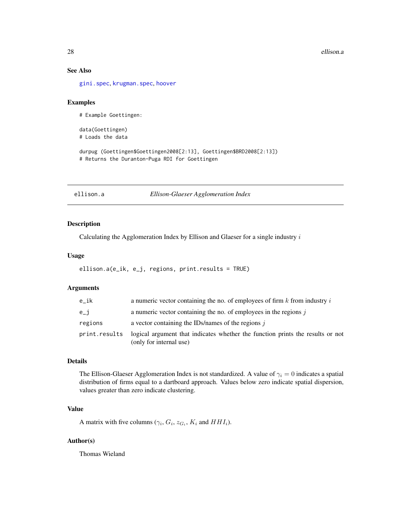# <span id="page-27-0"></span>See Also

[gini.spec](#page-51-1), [krugman.spec](#page-76-1), [hoover](#page-66-1)

# Examples

# Example Goettingen:

data(Goettingen) # Loads the data

durpug (Goettingen\$Goettingen2008[2:13], Goettingen\$BRD2008[2:13]) # Returns the Duranton-Puga RDI for Goettingen

<span id="page-27-1"></span>ellison.a *Ellison-Glaeser Agglomeration Index*

#### Description

Calculating the Agglomeration Index by Ellison and Glaeser for a single industry i

# Usage

```
ellison.a(e_ik, e_j, regions, print.results = TRUE)
```
# Arguments

| e ik          | a numeric vector containing the no. of employees of firm $k$ from industry $i$                            |
|---------------|-----------------------------------------------------------------------------------------------------------|
| $e_i$         | a numeric vector containing the no. of employees in the regions $j$                                       |
| regions       | a vector containing the IDs/names of the regions $\dot{\mathbf{i}}$                                       |
| print.results | logical argument that indicates whether the function prints the results or not<br>(only for internal use) |

# Details

The Ellison-Glaeser Agglomeration Index is not standardized. A value of  $\gamma_i = 0$  indicates a spatial distribution of firms equal to a dartboard approach. Values below zero indicate spatial dispersion, values greater than zero indicate clustering.

# Value

A matrix with five columns ( $\gamma_i$ ,  $G_i$ ,  $z_{G_i}$ ,  $K_i$  and  $HHI_i$ ).

# Author(s)

Thomas Wieland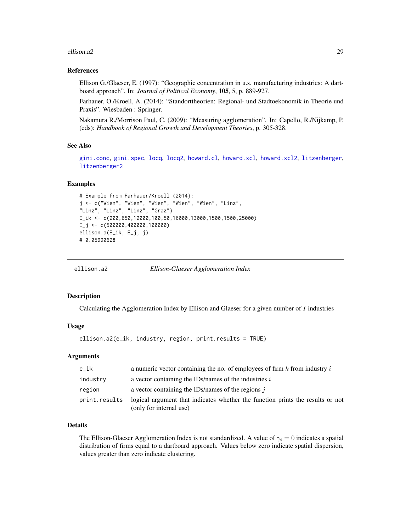#### <span id="page-28-0"></span>ellison.a2 29

# References

Ellison G./Glaeser, E. (1997): "Geographic concentration in u.s. manufacturing industries: A dartboard approach". In: *Journal of Political Economy*, 105, 5, p. 889-927.

Farhauer, O./Kroell, A. (2014): "Standorttheorien: Regional- und Stadtoekonomik in Theorie und Praxis". Wiesbaden : Springer.

Nakamura R./Morrison Paul, C. (2009): "Measuring agglomeration". In: Capello, R./Nijkamp, P. (eds): *Handbook of Regional Growth and Development Theories*, p. 305-328.

# See Also

[gini.conc](#page-49-1), [gini.spec](#page-51-1), [locq](#page-82-1), [locq2](#page-86-1), [howard.cl](#page-67-1), [howard.xcl](#page-68-1), [howard.xcl2](#page-69-1), [litzenberger](#page-78-1), [litzenberger2](#page-79-1)

## Examples

```
# Example from Farhauer/Kroell (2014):
j <- c("Wien", "Wien", "Wien", "Wien", "Wien", "Linz",
"Linz", "Linz", "Linz", "Graz")
E_ik <- c(200,650,12000,100,50,16000,13000,1500,1500,25000)
E_j <- c(500000,400000,100000)
ellison.a(E_ik, E_j, j)
# 0.05990628
```
<span id="page-28-1"></span>ellison.a2 *Ellison-Glaeser Agglomeration Index*

## Description

Calculating the Agglomeration Index by Ellison and Glaeser for a given number of  $I$  industries

# Usage

```
ellison.a2(e_ik, industry, region, print.results = TRUE)
```
# Arguments

| e ik          | a numeric vector containing the no. of employees of firm $k$ from industry $i$                            |
|---------------|-----------------------------------------------------------------------------------------------------------|
| industry      | a vector containing the IDs/names of the industries i                                                     |
| region        | a vector containing the IDs/names of the regions $\dot{\eta}$                                             |
| print.results | logical argument that indicates whether the function prints the results or not<br>(only for internal use) |

# Details

The Ellison-Glaeser Agglomeration Index is not standardized. A value of  $\gamma_i = 0$  indicates a spatial distribution of firms equal to a dartboard approach. Values below zero indicate spatial dispersion, values greater than zero indicate clustering.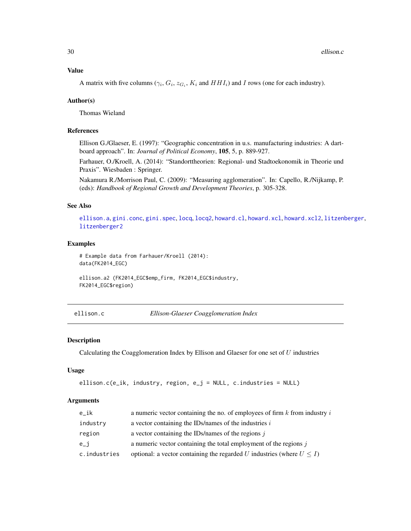A matrix with five columns ( $\gamma_i$ ,  $G_i$ ,  $z_{G_i}$ ,  $K_i$  and  $HHI_i$ ) and I rows (one for each industry).

# Author(s)

Thomas Wieland

# References

Ellison G./Glaeser, E. (1997): "Geographic concentration in u.s. manufacturing industries: A dartboard approach". In: *Journal of Political Economy*, 105, 5, p. 889-927.

Farhauer, O./Kroell, A. (2014): "Standorttheorien: Regional- und Stadtoekonomik in Theorie und Praxis". Wiesbaden : Springer.

Nakamura R./Morrison Paul, C. (2009): "Measuring agglomeration". In: Capello, R./Nijkamp, P. (eds): *Handbook of Regional Growth and Development Theories*, p. 305-328.

# See Also

[ellison.a](#page-27-1), [gini.conc](#page-49-1), [gini.spec](#page-51-1), [locq](#page-82-1), [locq2](#page-86-1), [howard.cl](#page-67-1), [howard.xcl](#page-68-1), [howard.xcl2](#page-69-1), [litzenberger](#page-78-1), [litzenberger2](#page-79-1)

# Examples

```
# Example data from Farhauer/Kroell (2014):
data(FK2014_EGC)
```

```
ellison.a2 (FK2014_EGC$emp_firm, FK2014_EGC$industry,
FK2014_EGC$region)
```
<span id="page-29-1"></span>ellison.c *Ellison-Glaeser Coagglomeration Index*

# Description

Calculating the Coagglomeration Index by Ellison and Glaeser for one set of  $U$  industries

# Usage

```
ellison.c(e_ik, industry, region, e_j = NULL, c.industries = NULL)
```
#### Arguments

| e ik         | a numeric vector containing the no. of employees of firm $k$ from industry $i$ |
|--------------|--------------------------------------------------------------------------------|
| industry     | a vector containing the IDs/names of the industries $i$                        |
| region       | a vector containing the IDs/names of the regions $\dot{\mathbf{i}}$            |
| $e_i$        | a numeric vector containing the total employment of the regions $j$            |
| c.industries | optional: a vector containing the regarded U industries (where $U \leq I$ )    |

<span id="page-29-0"></span>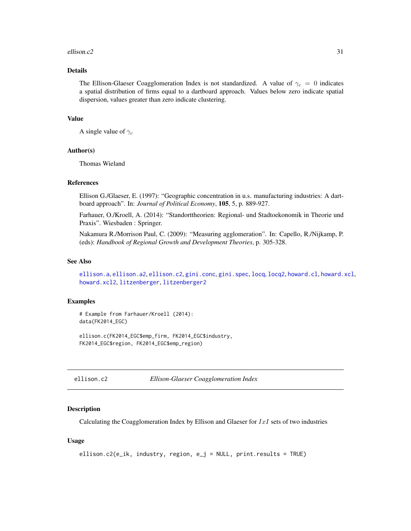#### <span id="page-30-0"></span>ellison.c2  $\qquad \qquad$  31

# Details

The Ellison-Glaeser Coagglomeration Index is not standardized. A value of  $\gamma_c = 0$  indicates a spatial distribution of firms equal to a dartboard approach. Values below zero indicate spatial dispersion, values greater than zero indicate clustering.

# Value

A single value of  $\gamma_c$ 

# Author(s)

Thomas Wieland

# References

Ellison G./Glaeser, E. (1997): "Geographic concentration in u.s. manufacturing industries: A dartboard approach". In: *Journal of Political Economy*, 105, 5, p. 889-927.

Farhauer, O./Kroell, A. (2014): "Standorttheorien: Regional- und Stadtoekonomik in Theorie und Praxis". Wiesbaden : Springer.

Nakamura R./Morrison Paul, C. (2009): "Measuring agglomeration". In: Capello, R./Nijkamp, P. (eds): *Handbook of Regional Growth and Development Theories*, p. 305-328.

# See Also

[ellison.a](#page-27-1), [ellison.a2](#page-28-1), [ellison.c2](#page-30-1), [gini.conc](#page-49-1), [gini.spec](#page-51-1), [locq](#page-82-1), [locq2](#page-86-1), [howard.cl](#page-67-1), [howard.xcl](#page-68-1), [howard.xcl2](#page-69-1), [litzenberger](#page-78-1), [litzenberger2](#page-79-1)

# Examples

# Example from Farhauer/Kroell (2014): data(FK2014\_EGC)

ellison.c(FK2014\_EGC\$emp\_firm, FK2014\_EGC\$industry, FK2014\_EGC\$region, FK2014\_EGC\$emp\_region)

<span id="page-30-1"></span>ellison.c2 *Ellison-Glaeser Coagglomeration Index*

#### Description

Calculating the Coagglomeration Index by Ellison and Glaeser for  $IxI$  sets of two industries

# Usage

```
ellison.c2(e_ik, industry, region, e_j = NULL, print.results = TRUE)
```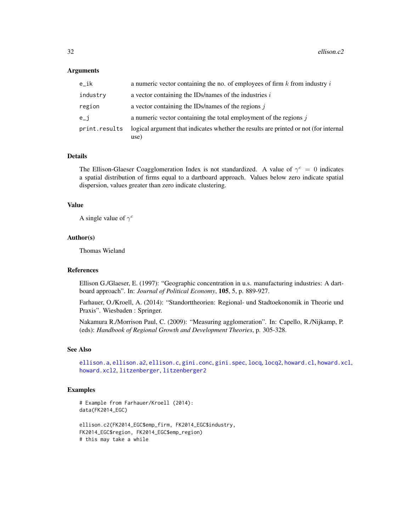#### **Arguments**

| e ik          | a numeric vector containing the no. of employees of firm $k$ from industry $i$               |
|---------------|----------------------------------------------------------------------------------------------|
| industry      | a vector containing the IDs/names of the industries i                                        |
| region        | a vector containing the IDs/names of the regions $j$                                         |
| e_j           | a numeric vector containing the total employment of the regions $\dot{\mathbf{i}}$           |
| print.results | logical argument that indicates whether the results are printed or not (for internal<br>use) |

# Details

The Ellison-Glaeser Coagglomeration Index is not standardized. A value of  $\gamma^c = 0$  indicates a spatial distribution of firms equal to a dartboard approach. Values below zero indicate spatial dispersion, values greater than zero indicate clustering.

#### Value

A single value of  $\gamma^c$ 

#### Author(s)

Thomas Wieland

#### References

Ellison G./Glaeser, E. (1997): "Geographic concentration in u.s. manufacturing industries: A dartboard approach". In: *Journal of Political Economy*, 105, 5, p. 889-927.

Farhauer, O./Kroell, A. (2014): "Standorttheorien: Regional- und Stadtoekonomik in Theorie und Praxis". Wiesbaden : Springer.

Nakamura R./Morrison Paul, C. (2009): "Measuring agglomeration". In: Capello, R./Nijkamp, P. (eds): *Handbook of Regional Growth and Development Theories*, p. 305-328.

#### See Also

[ellison.a](#page-27-1), [ellison.a2](#page-28-1), [ellison.c](#page-29-1), [gini.conc](#page-49-1), [gini.spec](#page-51-1), [locq](#page-82-1), [locq2](#page-86-1), [howard.cl](#page-67-1), [howard.xcl](#page-68-1), [howard.xcl2](#page-69-1), [litzenberger](#page-78-1), [litzenberger2](#page-79-1)

# Examples

```
# Example from Farhauer/Kroell (2014):
data(FK2014_EGC)
ellison.c2(FK2014_EGC$emp_firm, FK2014_EGC$industry,
FK2014_EGC$region, FK2014_EGC$emp_region)
```
# this may take a while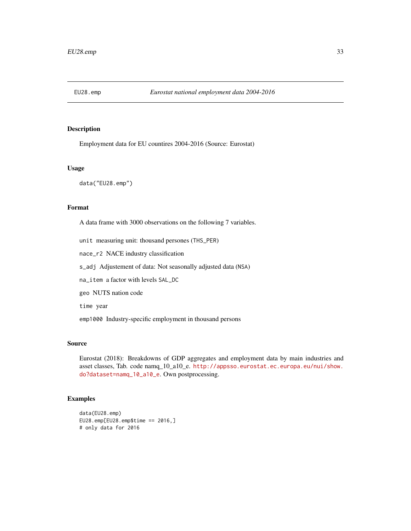<span id="page-32-0"></span>

Employment data for EU countires 2004-2016 (Source: Eurostat)

#### Usage

data("EU28.emp")

# Format

A data frame with 3000 observations on the following 7 variables.

unit measuring unit: thousand persones (THS\_PER)

nace\_r2 NACE industry classification

s\_adj Adjustement of data: Not seasonally adjusted data (NSA)

na\_item a factor with levels SAL\_DC

geo NUTS nation code

time year

emp1000 Industry-specific employment in thousand persons

# Source

Eurostat (2018): Breakdowns of GDP aggregates and employment data by main industries and asset classes, Tab. code namq\_10\_a10\_e. [http://appsso.eurostat.ec.europa.eu/nui/show.](http://appsso.eurostat.ec.europa.eu/nui/show.do?dataset=namq_10_a10_e) [do?dataset=namq\\_10\\_a10\\_e](http://appsso.eurostat.ec.europa.eu/nui/show.do?dataset=namq_10_a10_e). Own postprocessing.

```
data(EU28.emp)
EU28.emp[EU28.emp$time == 2016,]
# only data for 2016
```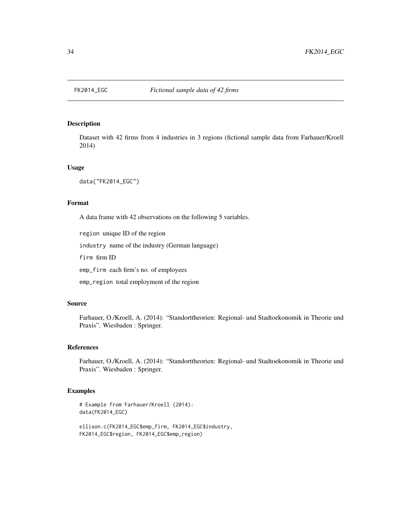<span id="page-33-0"></span>

Dataset with 42 firms from 4 industries in 3 regions (fictional sample data from Farhauer/Kroell 2014)

#### Usage

data("FK2014\_EGC")

# Format

A data frame with 42 observations on the following 5 variables.

region unique ID of the region

industry name of the industry (German language)

firm firm ID

emp\_firm each firm's no. of employees

emp\_region total employment of the region

# Source

Farhauer, O./Kroell, A. (2014): "Standorttheorien: Regional- und Stadtoekonomik in Theorie und Praxis". Wiesbaden : Springer.

# References

Farhauer, O./Kroell, A. (2014): "Standorttheorien: Regional- und Stadtoekonomik in Theorie und Praxis". Wiesbaden : Springer.

```
# Example from Farhauer/Kroell (2014):
data(FK2014_EGC)
```

```
ellison.c(FK2014_EGC$emp_firm, FK2014_EGC$industry,
FK2014_EGC$region, FK2014_EGC$emp_region)
```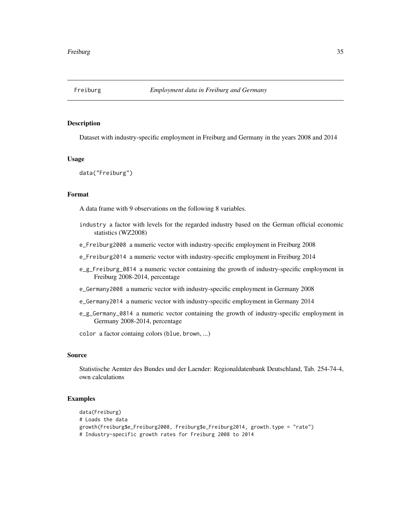<span id="page-34-0"></span>

Dataset with industry-specific employment in Freiburg and Germany in the years 2008 and 2014

#### Usage

data("Freiburg")

#### Format

A data frame with 9 observations on the following 8 variables.

- industry a factor with levels for the regarded industry based on the German official economic statistics (WZ2008)
- e\_Freiburg2008 a numeric vector with industry-specific employment in Freiburg 2008
- e\_Freiburg2014 a numeric vector with industry-specific employment in Freiburg 2014
- e\_g\_Freiburg\_0814 a numeric vector containing the growth of industry-specific employment in Freiburg 2008-2014, percentage
- e\_Germany2008 a numeric vector with industry-specific employment in Germany 2008
- e\_Germany2014 a numeric vector with industry-specific employment in Germany 2014
- e\_g\_Germany\_0814 a numeric vector containing the growth of industry-specific employment in Germany 2008-2014, percentage

color a factor containg colors (blue, brown, ...)

# Source

Statistische Aemter des Bundes und der Laender: Regionaldatenbank Deutschland, Tab. 254-74-4, own calculations

```
data(Freiburg)
# Loads the data
growth(Freiburg$e_Freiburg2008, Freiburg$e_Freiburg2014, growth.type = "rate")
# Industry-specific growth rates for Freiburg 2008 to 2014
```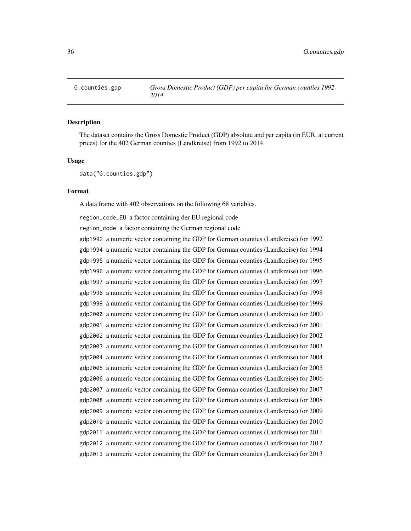<span id="page-35-0"></span>

The dataset contains the Gross Domestic Product (GDP) absolute and per capita (in EUR, at current prices) for the 402 German counties (Landkreise) from 1992 to 2014.

#### Usage

data("G.counties.gdp")

# Format

A data frame with 402 observations on the following 68 variables.

region\_code\_EU a factor containing der EU regional code

region\_code a factor containing the German regional code

gdp1992 a numeric vector containing the GDP for German counties (Landkreise) for 1992 gdp1994 a numeric vector containing the GDP for German counties (Landkreise) for 1994 gdp1995 a numeric vector containing the GDP for German counties (Landkreise) for 1995 gdp1996 a numeric vector containing the GDP for German counties (Landkreise) for 1996 gdp1997 a numeric vector containing the GDP for German counties (Landkreise) for 1997 gdp1998 a numeric vector containing the GDP for German counties (Landkreise) for 1998 gdp1999 a numeric vector containing the GDP for German counties (Landkreise) for 1999 gdp2000 a numeric vector containing the GDP for German counties (Landkreise) for 2000 gdp2001 a numeric vector containing the GDP for German counties (Landkreise) for 2001 gdp2002 a numeric vector containing the GDP for German counties (Landkreise) for 2002 gdp2003 a numeric vector containing the GDP for German counties (Landkreise) for 2003 gdp2004 a numeric vector containing the GDP for German counties (Landkreise) for 2004 gdp2005 a numeric vector containing the GDP for German counties (Landkreise) for 2005 gdp2006 a numeric vector containing the GDP for German counties (Landkreise) for 2006 gdp2007 a numeric vector containing the GDP for German counties (Landkreise) for 2007 gdp2008 a numeric vector containing the GDP for German counties (Landkreise) for 2008 gdp2009 a numeric vector containing the GDP for German counties (Landkreise) for 2009 gdp2010 a numeric vector containing the GDP for German counties (Landkreise) for 2010 gdp2011 a numeric vector containing the GDP for German counties (Landkreise) for 2011 gdp2012 a numeric vector containing the GDP for German counties (Landkreise) for 2012 gdp2013 a numeric vector containing the GDP for German counties (Landkreise) for 2013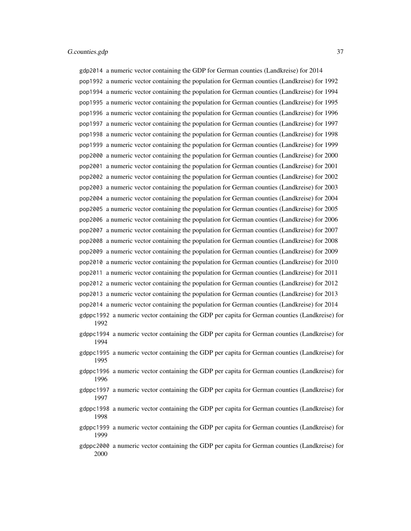#### G.counties.gdp 37

gdp2014 a numeric vector containing the GDP for German counties (Landkreise) for 2014 pop1992 a numeric vector containing the population for German counties (Landkreise) for 1992 pop1994 a numeric vector containing the population for German counties (Landkreise) for 1994 pop1995 a numeric vector containing the population for German counties (Landkreise) for 1995 pop1996 a numeric vector containing the population for German counties (Landkreise) for 1996 pop1997 a numeric vector containing the population for German counties (Landkreise) for 1997 pop1998 a numeric vector containing the population for German counties (Landkreise) for 1998 pop1999 a numeric vector containing the population for German counties (Landkreise) for 1999 pop2000 a numeric vector containing the population for German counties (Landkreise) for 2000 pop2001 a numeric vector containing the population for German counties (Landkreise) for 2001 pop2002 a numeric vector containing the population for German counties (Landkreise) for 2002 pop2003 a numeric vector containing the population for German counties (Landkreise) for 2003 pop2004 a numeric vector containing the population for German counties (Landkreise) for 2004 pop2005 a numeric vector containing the population for German counties (Landkreise) for 2005 pop2006 a numeric vector containing the population for German counties (Landkreise) for 2006 pop2007 a numeric vector containing the population for German counties (Landkreise) for 2007 pop2008 a numeric vector containing the population for German counties (Landkreise) for 2008 pop2009 a numeric vector containing the population for German counties (Landkreise) for 2009 pop2010 a numeric vector containing the population for German counties (Landkreise) for 2010 pop2011 a numeric vector containing the population for German counties (Landkreise) for 2011 pop2012 a numeric vector containing the population for German counties (Landkreise) for 2012 pop2013 a numeric vector containing the population for German counties (Landkreise) for 2013 pop2014 a numeric vector containing the population for German counties (Landkreise) for 2014

- gdppc1992 a numeric vector containing the GDP per capita for German counties (Landkreise) for 1992
- gdppc1994 a numeric vector containing the GDP per capita for German counties (Landkreise) for 1994
- gdppc1995 a numeric vector containing the GDP per capita for German counties (Landkreise) for 1995
- gdppc1996 a numeric vector containing the GDP per capita for German counties (Landkreise) for 1996
- gdppc1997 a numeric vector containing the GDP per capita for German counties (Landkreise) for 1997
- gdppc1998 a numeric vector containing the GDP per capita for German counties (Landkreise) for 1998
- gdppc1999 a numeric vector containing the GDP per capita for German counties (Landkreise) for 1999
- gdppc2000 a numeric vector containing the GDP per capita for German counties (Landkreise) for 2000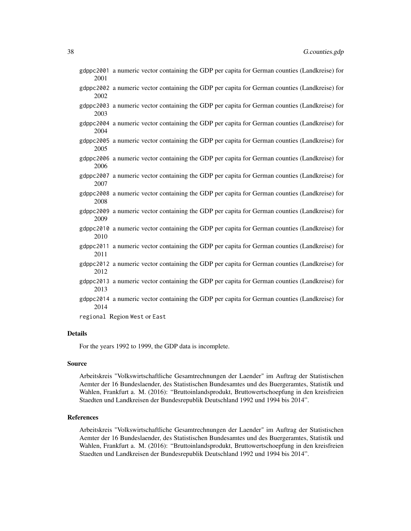- gdppc2001 a numeric vector containing the GDP per capita for German counties (Landkreise) for 2001
- gdppc2002 a numeric vector containing the GDP per capita for German counties (Landkreise) for 2002
- gdppc2003 a numeric vector containing the GDP per capita for German counties (Landkreise) for 2003
- gdppc2004 a numeric vector containing the GDP per capita for German counties (Landkreise) for 2004
- gdppc2005 a numeric vector containing the GDP per capita for German counties (Landkreise) for 2005
- gdppc2006 a numeric vector containing the GDP per capita for German counties (Landkreise) for 2006
- gdppc2007 a numeric vector containing the GDP per capita for German counties (Landkreise) for 2007
- gdppc2008 a numeric vector containing the GDP per capita for German counties (Landkreise) for 2008
- gdppc2009 a numeric vector containing the GDP per capita for German counties (Landkreise) for 2009
- gdppc2010 a numeric vector containing the GDP per capita for German counties (Landkreise) for 2010
- gdppc2011 a numeric vector containing the GDP per capita for German counties (Landkreise) for 2011
- gdppc2012 a numeric vector containing the GDP per capita for German counties (Landkreise) for 2012
- gdppc2013 a numeric vector containing the GDP per capita for German counties (Landkreise) for 2013
- gdppc2014 a numeric vector containing the GDP per capita for German counties (Landkreise) for 2014

regional Region West or East

#### Details

For the years 1992 to 1999, the GDP data is incomplete.

#### Source

Arbeitskreis "Volkswirtschaftliche Gesamtrechnungen der Laender" im Auftrag der Statistischen Aemter der 16 Bundeslaender, des Statistischen Bundesamtes und des Buergeramtes, Statistik und Wahlen, Frankfurt a. M. (2016): "Bruttoinlandsprodukt, Bruttowertschoepfung in den kreisfreien Staedten und Landkreisen der Bundesrepublik Deutschland 1992 und 1994 bis 2014".

### References

Arbeitskreis "Volkswirtschaftliche Gesamtrechnungen der Laender" im Auftrag der Statistischen Aemter der 16 Bundeslaender, des Statistischen Bundesamtes und des Buergeramtes, Statistik und Wahlen, Frankfurt a. M. (2016): "Bruttoinlandsprodukt, Bruttowertschoepfung in den kreisfreien Staedten und Landkreisen der Bundesrepublik Deutschland 1992 und 1994 bis 2014".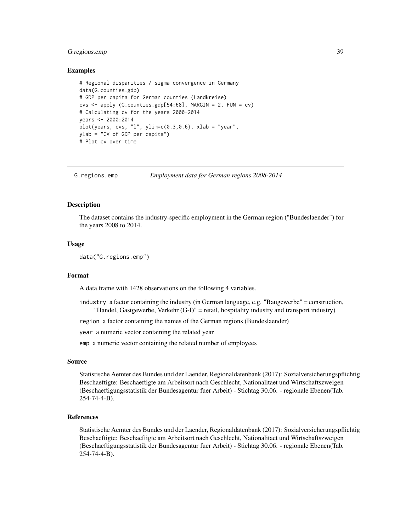# G.regions.emp 39

### Examples

```
# Regional disparities / sigma convergence in Germany
data(G.counties.gdp)
# GDP per capita for German counties (Landkreise)
\text{cvs} \leq \text{apply} (G.counties.gdp[54:68], MARGIN = 2, FUN = \text{cv})
# Calculating cv for the years 2000-2014
years <- 2000:2014
plot(years, \text{cvs}, \text{ "l", ylim=c(0.3,0.6)}, \text{ xlab = "year",}ylab = "CV of GDP per capita")
# Plot cv over time
```
G.regions.emp *Employment data for German regions 2008-2014*

### **Description**

The dataset contains the industry-specific employment in the German region ("Bundeslaender") for the years 2008 to 2014.

### Usage

data("G.regions.emp")

### Format

A data frame with 1428 observations on the following 4 variables.

- industry a factor containing the industry (in German language, e.g. "Baugewerbe" = construction, "Handel, Gastgewerbe, Verkehr (G-I)" = retail, hospitality industry and transport industry)
- region a factor containing the names of the German regions (Bundeslaender)

year a numeric vector containing the related year

emp a numeric vector containing the related number of employees

#### Source

Statistische Aemter des Bundes und der Laender, Regionaldatenbank (2017): Sozialversicherungspflichtig Beschaeftigte: Beschaeftigte am Arbeitsort nach Geschlecht, Nationalitaet und Wirtschaftszweigen (Beschaeftigungsstatistik der Bundesagentur fuer Arbeit) - Stichtag 30.06. - regionale Ebenen(Tab. 254-74-4-B).

### References

Statistische Aemter des Bundes und der Laender, Regionaldatenbank (2017): Sozialversicherungspflichtig Beschaeftigte: Beschaeftigte am Arbeitsort nach Geschlecht, Nationalitaet und Wirtschaftszweigen (Beschaeftigungsstatistik der Bundesagentur fuer Arbeit) - Stichtag 30.06. - regionale Ebenen(Tab. 254-74-4-B).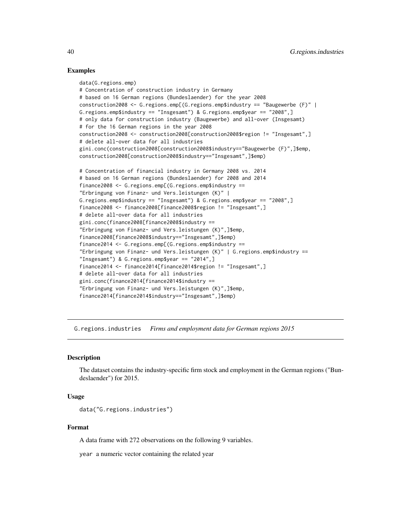### Examples

```
data(G.regions.emp)
# Concentration of construction industry in Germany
# based on 16 German regions (Bundeslaender) for the year 2008
construction2008 <- G.regions.emp[(G.regions.emp$industry == "Baugewerbe (F)" |
G.regions.emp$industry == "Insgesamt") & G.regions.emp$year == "2008",]
# only data for construction industry (Baugewerbe) and all-over (Insgesamt)
# for the 16 German regions in the year 2008
construction2008 <- construction2008[construction2008$region != "Insgesamt",]
# delete all-over data for all industries
gini.conc(construction2008[construction2008$industry=="Baugewerbe (F)",]$emp,
construction2008[construction2008$industry=="Insgesamt",]$emp)
# Concentration of financial industry in Germany 2008 vs. 2014
# based on 16 German regions (Bundeslaender) for 2008 and 2014
finance2008 <- G.regions.emp[(G.regions.emp$industry ==
"Erbringung von Finanz- und Vers.leistungen (K)" |
G.regions.emp$industry == "Insgesamt") & G.regions.emp$year == "2008",]
finance2008 <- finance2008[finance2008$region != "Insgesamt",]
# delete all-over data for all industries
gini.conc(finance2008[finance2008$industry ==
"Erbringung von Finanz- und Vers.leistungen (K)",]$emp,
finance2008[finance2008$industry=="Insgesamt",]$emp)
finance2014 <- G.regions.emp[(G.regions.emp$industry ==
"Erbringung von Finanz- und Vers.leistungen (K)" | G.regions.emp$industry ==
"Insgesamt") & G.regions.emp$year == "2014",]
finance2014 <- finance2014[finance2014$region != "Insgesamt",]
# delete all-over data for all industries
gini.conc(finance2014[finance2014$industry ==
"Erbringung von Finanz- und Vers.leistungen (K)",]$emp,
finance2014[finance2014$industry=="Insgesamt",]$emp)
```
G.regions.industries *Firms and employment data for German regions 2015*

### Description

The dataset contains the industry-specific firm stock and employment in the German regions ("Bundeslaender") for 2015.

#### Usage

```
data("G.regions.industries")
```
### Format

A data frame with 272 observations on the following 9 variables.

year a numeric vector containing the related year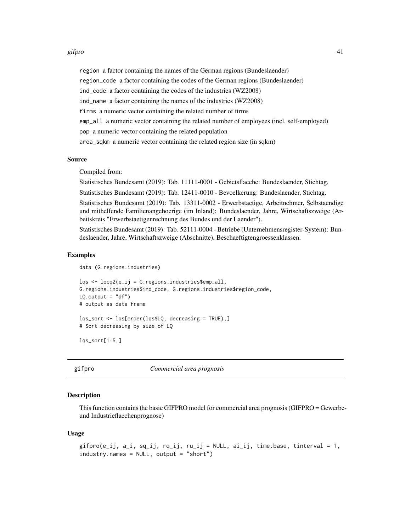#### gifpro 41

region a factor containing the names of the German regions (Bundeslaender)

region\_code a factor containing the codes of the German regions (Bundeslaender)

ind\_code a factor containing the codes of the industries (WZ2008)

ind\_name a factor containing the names of the industries (WZ2008)

firms a numeric vector containing the related number of firms

emp\_all a numeric vector containing the related number of employees (incl. self-employed)

pop a numeric vector containing the related population

area\_sqkm a numeric vector containing the related region size (in sqkm)

## Source

Compiled from:

Statistisches Bundesamt (2019): Tab. 11111-0001 - Gebietsflaeche: Bundeslaender, Stichtag.

Statistisches Bundesamt (2019): Tab. 12411-0010 - Bevoelkerung: Bundeslaender, Stichtag.

Statistisches Bundesamt (2019): Tab. 13311-0002 - Erwerbstaetige, Arbeitnehmer, Selbstaendige und mithelfende Familienangehoerige (im Inland): Bundeslaender, Jahre, Wirtschaftszweige (Arbeitskreis "Erwerbstaetigenrechnung des Bundes und der Laender").

Statistisches Bundesamt (2019): Tab. 52111-0004 - Betriebe (Unternehmensregister-System): Bundeslaender, Jahre, Wirtschaftszweige (Abschnitte), Beschaeftigtengroessenklassen.

### Examples

```
data (G.regions.industries)
```

```
\log <- \log(1e_i i) = 0. regions. industries$emp_all,
G.regions.industries$ind_code, G.regions.industries$region_code,
LQ.output = "df")# output as data frame
```
lqs\_sort <- lqs[order(lqs\$LQ, decreasing = TRUE),] # Sort decreasing by size of LQ

```
\text{lgs\_sort}[1:5.]
```
<span id="page-40-0"></span>gifpro *Commercial area prognosis*

### Description

This function contains the basic GIFPRO model for commercial area prognosis (GIFPRO = Gewerbeund Industrieflaechenprognose)

#### Usage

```
gifpro(e_ij, a_i, sq_ij, rq_ij, ru_ij = NULL, ai_ij, time.base, tinterval = 1,
industry.names = NULL, output = "short")
```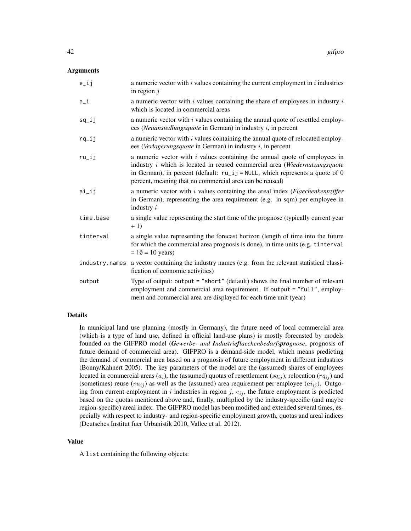### Arguments

| $e$ _ $i$ j | a numeric vector with $i$ values containing the current employment in $i$ industries<br>in region $i$                                                                                                                                                                                                            |
|-------------|------------------------------------------------------------------------------------------------------------------------------------------------------------------------------------------------------------------------------------------------------------------------------------------------------------------|
| $a_i$       | a numeric vector with $i$ values containing the share of employees in industry $i$<br>which is located in commercial areas                                                                                                                                                                                       |
| $sq$ _ij    | a numeric vector with $i$ values containing the annual quote of resettled employ-<br>ees (Neuansiedlungsquote in German) in industry $i$ , in percent                                                                                                                                                            |
| $rq$ _ $ij$ | a numeric vector with $i$ values containing the annual quote of relocated employ-<br>ees (Verlagerungsquote in German) in industry $i$ , in percent                                                                                                                                                              |
| $ru$ _ $ij$ | a numeric vector with $i$ values containing the annual quote of employees in<br>industry <i>i</i> which is located in reused commercial area (Wiedernutzungsquote<br>in German), in percent (default: $ru$ _i j = NULL, which represents a quote of 0<br>percent, meaning that no commercial area can be reused) |
| ai          | a numeric vector with $i$ values containing the areal index ( <i>Flaechenkennziffer</i><br>in German), representing the area requirement (e.g. in sqm) per employee in<br>industry $i$                                                                                                                           |
| time.base   | a single value representing the start time of the prognose (typically current year<br>$+1)$                                                                                                                                                                                                                      |
| tinterval   | a single value representing the forecast horizon (length of time into the future<br>for which the commercial area prognosis is done), in time units (e.g. tinterval<br>$= 10 = 10$ years)                                                                                                                        |
|             | industry names a vector containing the industry names (e.g. from the relevant statistical classi-<br>fication of economic activities)                                                                                                                                                                            |
| output      | Type of output: output = "short" (default) shows the final number of relevant<br>employment and commercial area requirement. If output = "full", employ-<br>ment and commercial area are displayed for each time unit (year)                                                                                     |

## Details

In municipal land use planning (mostly in Germany), the future need of local commercial area (which is a type of land use, defined in official land-use plans) is mostly forecasted by models founded on the GIFPRO model (*Gewerbe- und Industrieflaechenbedarfsprognose*, prognosis of future demand of commercial area). GIFPRO is a demand-side model, which means predicting the demand of commercial area based on a prognosis of future employment in different industries (Bonny/Kahnert 2005). The key parameters of the model are the (assumed) shares of employees located in commercial areas  $(a_i)$ , the (assumed) quotas of resettlement  $(sq_{ij})$ , relocation  $(rq_{ij})$  and (sometimes) reuse  $(ru_{ij})$  as well as the (assumed) area requirement per employee  $(ai_{ij})$ . Outgoing from current employment in i industries in region j,  $e_{ij}$ , the future employment is predicted based on the quotas mentioned above and, finally, multiplied by the industry-specific (and maybe region-specific) areal index. The GIFPRO model has been modified and extended several times, especially with respect to industry- and region-specific employment growth, quotas and areal indices (Deutsches Institut fuer Urbanistik 2010, Vallee et al. 2012).

### Value

A list containing the following objects: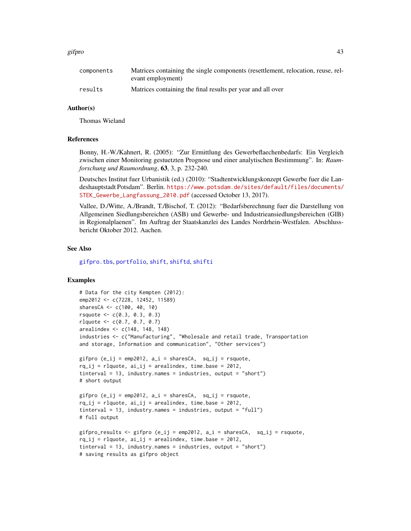#### gifpro 43

| components | Matrices containing the single components (resettlement, relocation, reuse, rel-<br>evant employment) |
|------------|-------------------------------------------------------------------------------------------------------|
| results    | Matrices containing the final results per year and all over                                           |

### Author(s)

Thomas Wieland

#### References

Bonny, H.-W./Kahnert, R. (2005): "Zur Ermittlung des Gewerbeflaechenbedarfs: Ein Vergleich zwischen einer Monitoring gestuetzten Prognose und einer analytischen Bestimmung". In: *Raumforschung und Raumordnung*, 63, 3, p. 232-240.

Deutsches Institut fuer Urbanistik (ed.) (2010): "Stadtentwicklungskonzept Gewerbe fuer die Landeshauptstadt Potsdam". Berlin. [https://www.potsdam.de/sites/default/files/documents/](https://www.potsdam.de/sites/default/files/documents/STEK_Gewerbe_Langfassung_2010.pdf) [STEK\\_Gewerbe\\_Langfassung\\_2010.pdf](https://www.potsdam.de/sites/default/files/documents/STEK_Gewerbe_Langfassung_2010.pdf) (accessed October 13, 2017).

Vallee, D./Witte, A./Brandt, T./Bischof, T. (2012): "Bedarfsberechnung fuer die Darstellung von Allgemeinen Siedlungsbereichen (ASB) und Gewerbe- und Industrieansiedlungsbereichen (GIB) in Regionalplaenen". Im Auftrag der Staatskanzlei des Landes Nordrhein-Westfalen. Abschlussbericht Oktober 2012. Aachen.

#### See Also

[gifpro.tbs](#page-43-0), [portfolio](#page-93-0), [shift](#page-106-0), [shiftd](#page-110-0), [shifti](#page-113-0)

# Examples

```
# Data for the city Kempten (2012):
emp2012 <- c(7228, 12452, 11589)
sharesCA <- c(100, 40, 10)
rsquote <- c(0.3, 0.3, 0.3)
rlquote \leq c(0.7, 0.7, 0.7)arealindex <- c(148, 148, 148)
industries <- c("Manufacturing", "Wholesale and retail trade, Transportation
and storage, Information and communication", "Other services")
gifpro (e_i j = emp2012, a_i = sharesCA, sq_i j = rsquote,rq_i = rlquote, ai_ij = arealindex, time.base = 2012,
tinterval = 13, industry.names = industries, output = "short")
# short output
gifpro (e_ij = emp2012, a_i = sharesCA, sq_ij = rsquote,
rq_i = rlquote, ai_ij = arealindex, time.base = 2012,
tinterval = 13, industry.names = industries, output = "full")
# full output
gifpro_results <- gifpro (e_ij = emp2012, a_i = sharesCA, sq_ij = rsquote,
rq_ij = rlquote, ai_ij = arealindex, time.base = 2012,
tinterval = 13, industry.names = industries, output = "short")
# saving results as gifpro object
```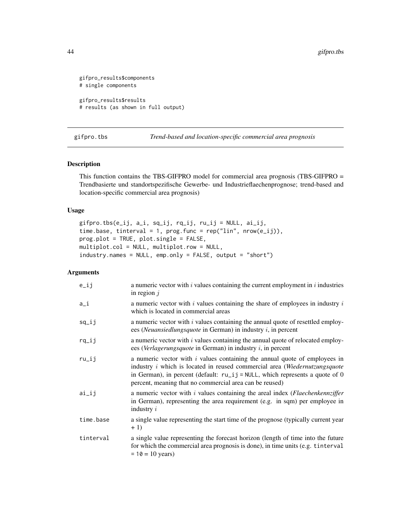```
gifpro_results$components
# single components
gifpro_results$results
# results (as shown in full output)
```
<span id="page-43-0"></span>gifpro.tbs *Trend-based and location-specific commercial area prognosis*

### Description

This function contains the TBS-GIFPRO model for commercial area prognosis (TBS-GIFPRO = Trendbasierte und standortspezifische Gewerbe- und Industrieflaechenprognose; trend-based and location-specific commercial area prognosis)

# Usage

```
gifpro.tbs(e_ij, a_i, sq_ij, rq_ij, ru_ij = NULL, ai_ij,
time.base, tinterval = 1, prog.func = rep("lin", new(e_i)),
prog.plot = TRUE, plot.single = FALSE,
multiplot.col = NULL, multiplot.row = NULL,
industry.names = NULL, emp.only = FALSE, output = "short")
```
# Arguments

| $e$ _ij   | a numeric vector with $i$ values containing the current employment in $i$ industries<br>in region $j$                                                                                                                                                                                                            |
|-----------|------------------------------------------------------------------------------------------------------------------------------------------------------------------------------------------------------------------------------------------------------------------------------------------------------------------|
| $a_i$     | a numeric vector with $i$ values containing the share of employees in industry $i$<br>which is located in commercial areas                                                                                                                                                                                       |
| $sq$ _ij  | a numeric vector with i values containing the annual quote of resettled employ-<br>ees (Neuansiedlungsquote in German) in industry $i$ , in percent                                                                                                                                                              |
| $rq$ _ij  | a numeric vector with i values containing the annual quote of relocated employ-<br>ees (Verlagerungsquote in German) in industry $i$ , in percent                                                                                                                                                                |
| ru_ij     | a numeric vector with $i$ values containing the annual quote of employees in<br>industry <i>i</i> which is located in reused commercial area (Wiedernutzungsquote<br>in German), in percent (default: $ru$ _i j = NULL, which represents a quote of 0<br>percent, meaning that no commercial area can be reused) |
| ai_ij     | a numeric vector with $i$ values containing the areal index ( <i>Flaechenkennziffer</i> )<br>in German), representing the area requirement (e.g. in sqm) per employee in<br>industry $i$                                                                                                                         |
| time.base | a single value representing the start time of the prognose (typically current year<br>$+1)$                                                                                                                                                                                                                      |
| tinterval | a single value representing the forecast horizon (length of time into the future<br>for which the commercial area prognosis is done), in time units (e.g. tinterval<br>$= 10 = 10$ years)                                                                                                                        |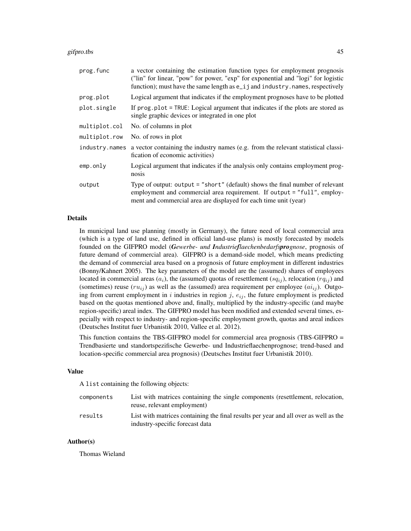#### gifpro.tbs 45

| prog.func      | a vector containing the estimation function types for employment prognosis<br>("lin" for linear, "pow" for power, "exp" for exponential and "logi" for logistic<br>function); must have the same length as e_ij and industry.names, respectively |
|----------------|--------------------------------------------------------------------------------------------------------------------------------------------------------------------------------------------------------------------------------------------------|
| prog.plot      | Logical argument that indicates if the employment prognoses have to be plotted                                                                                                                                                                   |
| plot.single    | If prog.plot = TRUE: Logical argument that indicates if the plots are stored as<br>single graphic devices or integrated in one plot                                                                                                              |
| multiplot.col  | No. of columns in plot                                                                                                                                                                                                                           |
| multiplot.row  | No. of rows in plot                                                                                                                                                                                                                              |
| industry.names | a vector containing the industry names (e.g. from the relevant statistical classi-<br>fication of economic activities)                                                                                                                           |
| emp.only       | Logical argument that indicates if the analysis only contains employment prog-<br>nosis                                                                                                                                                          |
| output         | Type of output: output $=$ "short" (default) shows the final number of relevant<br>employment and commercial area requirement. If output = "full", employ-<br>ment and commercial area are displayed for each time unit (year)                   |

## Details

In municipal land use planning (mostly in Germany), the future need of local commercial area (which is a type of land use, defined in official land-use plans) is mostly forecasted by models founded on the GIFPRO model (*Gewerbe- und Industrieflaechenbedarfsprognose*, prognosis of future demand of commercial area). GIFPRO is a demand-side model, which means predicting the demand of commercial area based on a prognosis of future employment in different industries (Bonny/Kahnert 2005). The key parameters of the model are the (assumed) shares of employees located in commercial areas  $(a_i)$ , the (assumed) quotas of resettlement  $(sq_{ij})$ , relocation  $(rq_{ij})$  and (sometimes) reuse  $(ru_{ij})$  as well as the (assumed) area requirement per employee  $(ai_{ij})$ . Outgoing from current employment in i industries in region j,  $e_{ij}$ , the future employment is predicted based on the quotas mentioned above and, finally, multiplied by the industry-specific (and maybe region-specific) areal index. The GIFPRO model has been modified and extended several times, especially with respect to industry- and region-specific employment growth, quotas and areal indices (Deutsches Institut fuer Urbanistik 2010, Vallee et al. 2012).

This function contains the TBS-GIFPRO model for commercial area prognosis (TBS-GIFPRO = Trendbasierte und standortspezifische Gewerbe- und Industrieflaechenprognose; trend-based and location-specific commercial area prognosis) (Deutsches Institut fuer Urbanistik 2010).

#### Value

A list containing the following objects:

| components | List with matrices containing the single components (resettlement, relocation,<br>reuse, relevant employment)           |
|------------|-------------------------------------------------------------------------------------------------------------------------|
| results    | List with matrices containing the final results per year and all over as well as the<br>industry-specific forecast data |

# Author(s)

Thomas Wieland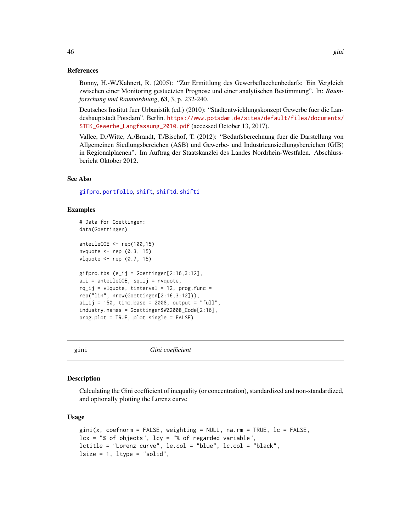### References

Bonny, H.-W./Kahnert, R. (2005): "Zur Ermittlung des Gewerbeflaechenbedarfs: Ein Vergleich zwischen einer Monitoring gestuetzten Prognose und einer analytischen Bestimmung". In: *Raumforschung und Raumordnung*, 63, 3, p. 232-240.

Deutsches Institut fuer Urbanistik (ed.) (2010): "Stadtentwicklungskonzept Gewerbe fuer die Landeshauptstadt Potsdam". Berlin. [https://www.potsdam.de/sites/default/files/documents/](https://www.potsdam.de/sites/default/files/documents/STEK_Gewerbe_Langfassung_2010.pdf) [STEK\\_Gewerbe\\_Langfassung\\_2010.pdf](https://www.potsdam.de/sites/default/files/documents/STEK_Gewerbe_Langfassung_2010.pdf) (accessed October 13, 2017).

Vallee, D./Witte, A./Brandt, T./Bischof, T. (2012): "Bedarfsberechnung fuer die Darstellung von Allgemeinen Siedlungsbereichen (ASB) und Gewerbe- und Industrieansiedlungsbereichen (GIB) in Regionalplaenen". Im Auftrag der Staatskanzlei des Landes Nordrhein-Westfalen. Abschlussbericht Oktober 2012.

#### See Also

[gifpro](#page-40-0), [portfolio](#page-93-0), [shift](#page-106-0), [shiftd](#page-110-0), [shifti](#page-113-0)

### Examples

```
# Data for Goettingen:
data(Goettingen)
anteileGOE <- rep(100,15)
nvquote \leq rep (0.3, 15)
vlquote \leq rep (0.7, 15)
gifpro.tbs (e_i j = Goettingen[2:16,3:12],a_i = anteileGOE, sq_ij = nvquote,
rq_i = vlquote, tinterval = 12, prog. func =
rep("lin", nrow(Goettingen[2:16,3:12])),
ai\_ij = 150, time.base = 2008, output = "full",
industry.names = Goettingen$WZ2008_Code[2:16],
prog.plot = TRUE, plot.single = FALSE)
```
<span id="page-45-0"></span>

gini *Gini coefficient*

#### **Description**

Calculating the Gini coefficient of inequality (or concentration), standardized and non-standardized, and optionally plotting the Lorenz curve

### Usage

```
gini(x, coefnorm = FALSE, weighting = NULL, na.rm = TRUE, 1c = FALSE,
lcx = "% of objects", \n  <math>lcy = "% of regarded variable",</math>lctitle = "Lorenz curve", le.col = "blue", lc.col = "black",
lsize = 1, ltype = "solid",
```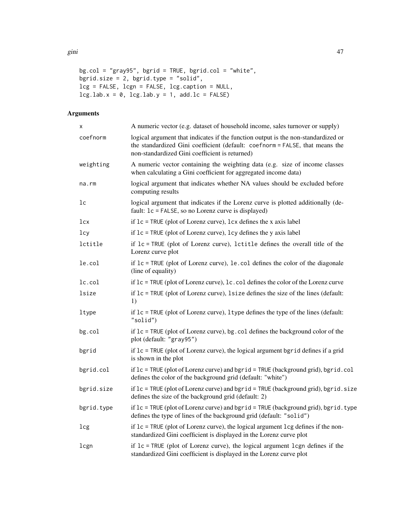```
bg.col = "gray95", bgrid = TRUE, bgrid.col = "white",
bgrid.size = 2, bgrid.type = "solid",
lcg = FALSE, lcgn = FALSE, lcg.caption = NULL,
leg.lab.x = 0, leg.lab.y = 1, add.lc = FALSE
```
# Arguments

| X          | A numeric vector (e.g. dataset of household income, sales turnover or supply)                                                                                                                                       |
|------------|---------------------------------------------------------------------------------------------------------------------------------------------------------------------------------------------------------------------|
| coefnorm   | logical argument that indicates if the function output is the non-standardized or<br>the standardized Gini coefficient (default: coefnorm = FALSE, that means the<br>non-standardized Gini coefficient is returned) |
| weighting  | A numeric vector containing the weighting data (e.g. size of income classes<br>when calculating a Gini coefficient for aggregated income data)                                                                      |
| na.rm      | logical argument that indicates whether NA values should be excluded before<br>computing results                                                                                                                    |
| lc         | logical argument that indicates if the Lorenz curve is plotted additionally (de-<br>fault: 1c = FALSE, so no Lorenz curve is displayed)                                                                             |
| lcx        | if $lc$ = TRUE (plot of Lorenz curve), $lcx$ defines the x axis label                                                                                                                                               |
| 1cy        | if $lc$ = TRUE (plot of Lorenz curve), $lcy$ defines the y axis label                                                                                                                                               |
| lctitle    | if $lc$ = TRUE (plot of Lorenz curve), lctitle defines the overall title of the<br>Lorenz curve plot                                                                                                                |
| le.col     | if $lc$ = TRUE (plot of Lorenz curve), le.col defines the color of the diagonale<br>(line of equality)                                                                                                              |
| lc.col     | if $lc$ = TRUE (plot of Lorenz curve), lc. col defines the color of the Lorenz curve                                                                                                                                |
| lsize      | if $lc$ = TRUE (plot of Lorenz curve), 1 size defines the size of the lines (default:<br>1)                                                                                                                         |
| ltype      | if $lc$ = TRUE (plot of Lorenz curve), 1 type defines the type of the lines (default:<br>"solid")                                                                                                                   |
| bg.col     | if $lc$ = TRUE (plot of Lorenz curve), bg. col defines the background color of the<br>plot (default: "gray95")                                                                                                      |
| bgrid      | if $lc$ = TRUE (plot of Lorenz curve), the logical argument bgrid defines if a grid<br>is shown in the plot                                                                                                         |
| bgrid.col  | if $lc$ = TRUE (plot of Lorenz curve) and bgrid = TRUE (background grid), bgrid.col<br>defines the color of the background grid (default: "white")                                                                  |
| bgrid.size | if $lc$ = TRUE (plot of Lorenz curve) and bgrid = TRUE (background grid), bgrid.size<br>defines the size of the background grid (default: 2)                                                                        |
| bgrid.type | if $lc$ = TRUE (plot of Lorenz curve) and bgrid = TRUE (background grid), bgrid.type<br>defines the type of lines of the background grid (default: "solid")                                                         |
| lcg        | if $lc$ = TRUE (plot of Lorenz curve), the logical argument lcg defines if the non-<br>standardized Gini coefficient is displayed in the Lorenz curve plot                                                          |
| lcgn       | if $lc$ = TRUE (plot of Lorenz curve), the logical argument lcgn defines if the<br>standardized Gini coefficient is displayed in the Lorenz curve plot                                                              |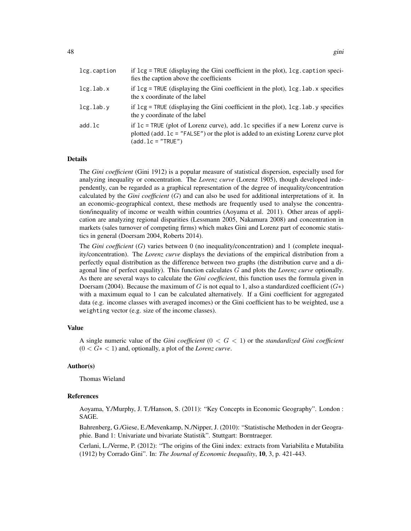| lcg.caption | if $\log$ = TRUE (displaying the Gini coefficient in the plot), $\log$ caption speci-<br>fies the caption above the coefficients                                                                                   |
|-------------|--------------------------------------------------------------------------------------------------------------------------------------------------------------------------------------------------------------------|
| lcg.lab.x   | if $leg = TRUE$ (displaying the Gini coefficient in the plot), $leg$ . lab. x specifies<br>the x coordinate of the label                                                                                           |
| lcg.lab.v   | if $\log$ = TRUE (displaying the Gini coefficient in the plot), $\log$ lab v specifies<br>the y coordinate of the label                                                                                            |
| add.lc      | if $lc$ = TRUE (plot of Lorenz curve), add $lc$ specifies if a new Lorenz curve is<br>plotted (add. $lc = "FALSE")$ or the plot is added to an existing Lorenz curve plot<br>$(\text{add}. \, \text{lc} = "TRUE")$ |

#### Details

The *Gini coefficient* (Gini 1912) is a popular measure of statistical dispersion, especially used for analyzing inequality or concentration. The *Lorenz curve* (Lorenz 1905), though developed independently, can be regarded as a graphical representation of the degree of inequality/concentration calculated by the *Gini coefficient* (G) and can also be used for additional interpretations of it. In an economic-geographical context, these methods are frequently used to analyse the concentration/inequality of income or wealth within countries (Aoyama et al. 2011). Other areas of application are analyzing regional disparities (Lessmann 2005, Nakamura 2008) and concentration in markets (sales turnover of competing firms) which makes Gini and Lorenz part of economic statistics in general (Doersam 2004, Roberts 2014).

The *Gini coefficient* (G) varies between 0 (no inequality/concentration) and 1 (complete inequality/concentration). The *Lorenz curve* displays the deviations of the empirical distribution from a perfectly equal distribution as the difference between two graphs (the distribution curve and a diagonal line of perfect equality). This function calculates G and plots the *Lorenz curve* optionally. As there are several ways to calculate the *Gini coefficient*, this function uses the formula given in Doersam (2004). Because the maximum of G is not equal to 1, also a standardized coefficient  $(G*)$ with a maximum equal to 1 can be calculated alternatively. If a Gini coefficient for aggregated data (e.g. income classes with averaged incomes) or the Gini coefficient has to be weighted, use a weighting vector (e.g. size of the income classes).

# Value

A single numeric value of the *Gini coefficient* (0 < G < 1) or the *standardized Gini coefficient* (0 < G∗ < 1) and, optionally, a plot of the *Lorenz curve*.

### Author(s)

Thomas Wieland

#### References

Aoyama, Y./Murphy, J. T./Hanson, S. (2011): "Key Concepts in Economic Geography". London : SAGE.

Bahrenberg, G./Giese, E./Mevenkamp, N./Nipper, J. (2010): "Statistische Methoden in der Geographie. Band 1: Univariate und bivariate Statistik". Stuttgart: Borntraeger.

Cerlani, L./Verme, P. (2012): "The origins of the Gini index: extracts from Variabilita e Mutabilita (1912) by Corrado Gini". In: *The Journal of Economic Inequality*, 10, 3, p. 421-443.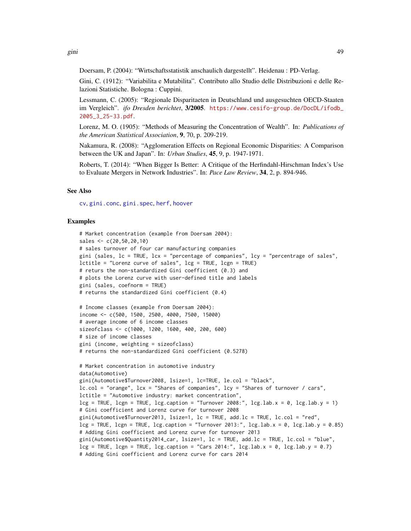gini 49

Doersam, P. (2004): "Wirtschaftsstatistik anschaulich dargestellt". Heidenau : PD-Verlag.

Gini, C. (1912): "Variabilita e Mutabilita". Contributo allo Studio delle Distribuzioni e delle Relazioni Statistiche. Bologna : Cuppini.

Lessmann, C. (2005): "Regionale Disparitaeten in Deutschland und ausgesuchten OECD-Staaten im Vergleich". *ifo Dresden berichtet*, 3/2005. [https://www.cesifo-group.de/DocDL/ifodb\\_](https://www.cesifo-group.de/DocDL/ifodb_2005_3_25-33.pdf) [2005\\_3\\_25-33.pdf](https://www.cesifo-group.de/DocDL/ifodb_2005_3_25-33.pdf).

Lorenz, M. O. (1905): "Methods of Measuring the Concentration of Wealth". In: *Publications of the American Statistical Association*, 9, 70, p. 209-219.

Nakamura, R. (2008): "Agglomeration Effects on Regional Economic Disparities: A Comparison between the UK and Japan". In: *Urban Studies*, 45, 9, p. 1947-1971.

Roberts, T. (2014): "When Bigger Is Better: A Critique of the Herfindahl-Hirschman Index's Use to Evaluate Mergers in Network Industries". In: *Pace Law Review*, 34, 2, p. 894-946.

## See Also

[cv](#page-18-0), [gini.conc](#page-49-0), [gini.spec](#page-51-0), [herf](#page-64-0), [hoover](#page-66-0)

#### Examples

```
# Market concentration (example from Doersam 2004):
sales <- c(20,50,20,10)
# sales turnover of four car manufacturing companies
gini (sales, lc = TRUE, lcx = "percentage of companies", lcy = "percentrage of sales",
lctitle = "Lorenz curve of sales", lcg = TRUE, lcgn = TRUE)
# returs the non-standardized Gini coefficient (0.3) and
# plots the Lorenz curve with user-defined title and labels
gini (sales, coefnorm = TRUE)
# returns the standardized Gini coefficient (0.4)
# Income classes (example from Doersam 2004):
income <- c(500, 1500, 2500, 4000, 7500, 15000)
# average income of 6 income classes
sizeofclass <- c(1000, 1200, 1600, 400, 200, 600)
# size of income classes
gini (income, weighting = sizeofclass)
# returns the non-standardized Gini coefficient (0.5278)
# Market concentration in automotive industry
data(Automotive)
gini(Automotive$Turnover2008, lsize=1, lc=TRUE, le.col = "black",
lc.col = "orange", lcx = "Shares of companies", lcy = "Shares of turnover / cars",
lctitle = "Automotive industry: market concentration",
leg = TRUE, leg = TRUE, leg.caption = "Turnover 2008:", leg.lab.x = 0, leg.lab.y = 1)# Gini coefficient and Lorenz curve for turnover 2008
gini(Automotive$Turnover2013, lsize=1, lc = TRUE, add.lc = TRUE, lc.col = "red",
\text{leg} = \text{TRUE}, \text{legn} = \text{TRUE}, \text{leg.caption} = \text{"Turnover 2013."}, \text{leg.lab.x} = \emptyset, \text{leg.lab.y} = \emptyset.85)
# Adding Gini coefficient and Lorenz curve for turnover 2013
gini(Automotive$Quantity2014_car, lsize=1, lc = TRUE, add.lc = TRUE, lc.col = "blue",
leg = TRUE, leg = TRUE, leg.caption = "Cars 2014.", leg.lab.x = 0, leg.lab.y = 0.7)# Adding Gini coefficient and Lorenz curve for cars 2014
```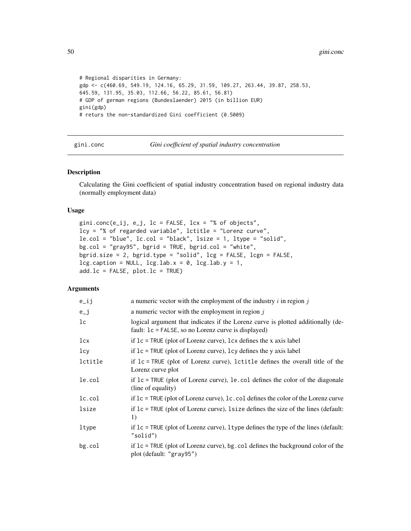```
# Regional disparities in Germany:
gdp <- c(460.69, 549.19, 124.16, 65.29, 31.59, 109.27, 263.44, 39.87, 258.53,
645.59, 131.95, 35.03, 112.66, 56.22, 85.61, 56.81)
# GDP of german regions (Bundeslaender) 2015 (in billion EUR)
gini(gdp)
# returs the non-standardized Gini coefficient (0.5009)
```
<span id="page-49-0"></span>gini.conc *Gini coefficient of spatial industry concentration*

### Description

Calculating the Gini coefficient of spatial industry concentration based on regional industry data (normally employment data)

### Usage

```
gini.conc(e_ij, e_j, lc = FALSE, lcx = "% of objects",
lcy = "% of regarded variable", lctitle = "Lorenz curve",
le.col = "blue", lc.col = "black", lsize = 1, ltype = "solid",
bg.col = "gray95", bgrid = TRUE, bgrid.col = "white",
bgrid.size = 2, bgrid.type = "solid", lcg = FALSE, lcgn = FALSE,
leg.caption = NULL, <math>leg.lab.x = 0</math>, <math>leg.lab.y = 1</math>,add.lc = FALSE, plot.lc = TRUE)
```
## **Arguments**

| $e$ _ij        | a numeric vector with the employment of the industry $i$ in region $j$                                                                     |
|----------------|--------------------------------------------------------------------------------------------------------------------------------------------|
| $e_j$          | a numeric vector with the employment in region $j$                                                                                         |
| 1 <sub>c</sub> | logical argument that indicates if the Lorenz curve is plotted additionally (de-<br>fault: $lc = FALSE$ , so no Lorenz curve is displayed) |
| lcx            | if $lc$ = TRUE (plot of Lorenz curve), $lcx$ defines the x axis label                                                                      |
| 1cy            | if $lc$ = TRUE (plot of Lorenz curve), $lcy$ defines the y axis label                                                                      |
| lctitle        | if $lc$ = TRUE (plot of Lorenz curve), lctitle defines the overall title of the<br>Lorenz curve plot                                       |
| le.col         | if $lc$ = TRUE (plot of Lorenz curve), $le$ col defines the color of the diagonale<br>(line of equality)                                   |
| lc.col         | if $lc$ = TRUE (plot of Lorenz curve), $lc$ col defines the color of the Lorenz curve                                                      |
| lsize          | if $lc$ = TRUE (plot of Lorenz curve), 1 size defines the size of the lines (default:<br>1)                                                |
| ltype          | if $1c = TRUE$ (plot of Lorenz curve), 1 type defines the type of the lines (default:<br>"solid")                                          |
| $bg$ .col      | if $1c = TRUE$ (plot of Lorenz curve), bg. col defines the background color of the<br>plot (default: "gray95")                             |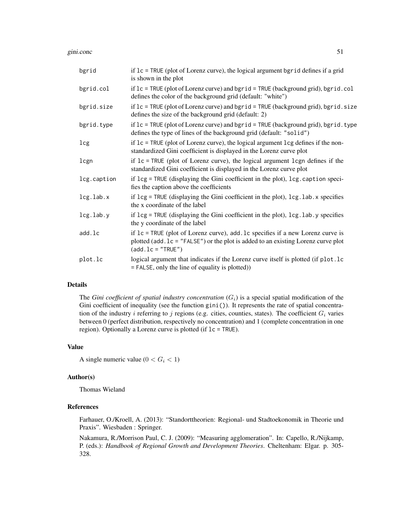gini.conc 51

| bgrid           | if $lc$ = TRUE (plot of Lorenz curve), the logical argument bgrid defines if a grid<br>is shown in the plot                                                                                          |
|-----------------|------------------------------------------------------------------------------------------------------------------------------------------------------------------------------------------------------|
| bgrid.col       | if $lc$ = TRUE (plot of Lorenz curve) and bgrid = TRUE (background grid), bgrid.col<br>defines the color of the background grid (default: "white")                                                   |
| bgrid.size      | if $lc$ = TRUE (plot of Lorenz curve) and bgrid = TRUE (background grid), bgrid.size<br>defines the size of the background grid (default: 2)                                                         |
| bgrid.type      | if $lc$ = TRUE (plot of Lorenz curve) and bgrid = TRUE (background grid), bgrid.type<br>defines the type of lines of the background grid (default: "solid")                                          |
| lcg             | if $lc$ = TRUE (plot of Lorenz curve), the logical argument $lc$ g defines if the non-<br>standardized Gini coefficient is displayed in the Lorenz curve plot                                        |
| lcgn            | if $lc$ = TRUE (plot of Lorenz curve), the logical argument lcgn defines if the<br>standardized Gini coefficient is displayed in the Lorenz curve plot                                               |
| lcg.caption     | if lcg = TRUE (displaying the Gini coefficient in the plot), lcg. caption speci-<br>fies the caption above the coefficients                                                                          |
| $leg.$ lab. $x$ | if $leg = TRUE$ (displaying the Gini coefficient in the plot), $leg$ . lab. x specifies<br>the x coordinate of the label                                                                             |
| $leg.$ lab.y    | if $leg = TRUE$ (displaying the Gini coefficient in the plot), $leg$ . lab. y specifies<br>the y coordinate of the label                                                                             |
| add.lc          | if $lc$ = TRUE (plot of Lorenz curve), add. lc specifies if a new Lorenz curve is<br>plotted (add. 1c = "FALSE") or the plot is added to an existing Lorenz curve plot<br>$(\text{add}.lc = "TRUE")$ |
| plot.lc         | logical argument that indicates if the Lorenz curve itself is plotted (if plot.lc<br>= FALSE, only the line of equality is plotted))                                                                 |

# Details

The *Gini coefficient of spatial industry concentration*  $(G_i)$  is a special spatial modification of the Gini coefficient of inequality (see the function gini()). It represents the rate of spatial concentration of the industry i referring to j regions (e.g. cities, counties, states). The coefficient  $G_i$  varies between 0 (perfect distribution, respectively no concentration) and 1 (complete concentration in one region). Optionally a Lorenz curve is plotted (if lc = TRUE).

# Value

A single numeric value ( $0 < G_i < 1$ )

#### Author(s)

Thomas Wieland

#### References

Farhauer, O./Kroell, A. (2013): "Standorttheorien: Regional- und Stadtoekonomik in Theorie und Praxis". Wiesbaden : Springer.

Nakamura, R./Morrison Paul, C. J. (2009): "Measuring agglomeration". In: Capello, R./Nijkamp, P. (eds.): *Handbook of Regional Growth and Development Theories*. Cheltenham: Elgar. p. 305- 328.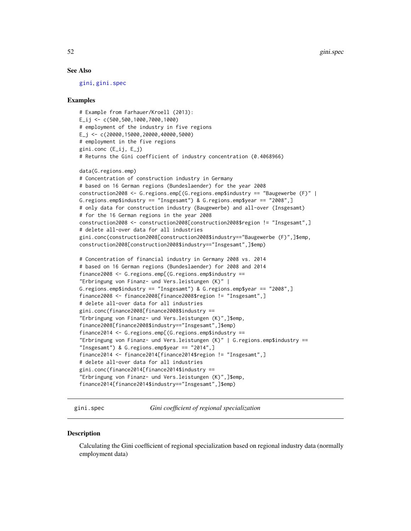## See Also

[gini](#page-45-0), [gini.spec](#page-51-0)

#### Examples

```
# Example from Farhauer/Kroell (2013):
E_ij <- c(500,500,1000,7000,1000)
# employment of the industry in five regions
E_j <- c(20000,15000,20000,40000,5000)
# employment in the five regions
gini.conc (E_ij, E_j)
# Returns the Gini coefficient of industry concentration (0.4068966)
data(G.regions.emp)
# Concentration of construction industry in Germany
# based on 16 German regions (Bundeslaender) for the year 2008
construction2008 <- G.regions.emp[(G.regions.emp$industry == "Baugewerbe (F)" |
G.regions.emp$industry == "Insgesamt") & G.regions.emp$year == "2008",]
# only data for construction industry (Baugewerbe) and all-over (Insgesamt)
# for the 16 German regions in the year 2008
construction2008 <- construction2008[construction2008$region != "Insgesamt",]
# delete all-over data for all industries
gini.conc(construction2008[construction2008$industry=="Baugewerbe (F)",]$emp,
construction2008[construction2008$industry=="Insgesamt",]$emp)
# Concentration of financial industry in Germany 2008 vs. 2014
# based on 16 German regions (Bundeslaender) for 2008 and 2014
finance2008 <- G.regions.emp[(G.regions.emp$industry ==
"Erbringung von Finanz- und Vers.leistungen (K)" |
G.regions.emp$industry == "Insgesamt") & G.regions.emp$year == "2008",]
finance2008 <- finance2008[finance2008$region != "Insgesamt",]
# delete all-over data for all industries
gini.conc(finance2008[finance2008$industry ==
"Erbringung von Finanz- und Vers.leistungen (K)",]$emp,
finance2008[finance2008$industry=="Insgesamt",]$emp)
finance2014 <- G.regions.emp[(G.regions.emp$industry ==
"Erbringung von Finanz- und Vers.leistungen (K)" | G.regions.emp$industry ==
"Insgesamt") & G.regions.emp$year == "2014", ]finance2014 <- finance2014[finance2014$region != "Insgesamt",]
# delete all-over data for all industries
gini.conc(finance2014[finance2014$industry ==
"Erbringung von Finanz- und Vers.leistungen (K)",]$emp,
finance2014[finance2014$industry=="Insgesamt",]$emp)
```
<span id="page-51-0"></span>gini.spec *Gini coefficient of regional specialization*

#### **Description**

Calculating the Gini coefficient of regional specialization based on regional industry data (normally employment data)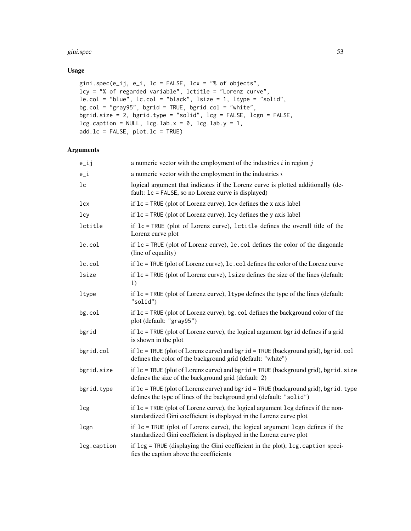#### gini.spec 53

# Usage

```
gini.spec(e_ij, e_i, lc = FALSE, lcx = "% of objects",
lcy = "% of regarded variable", lctitle = "Lorenz curve",
le.col = "blue", lc.col = "black", lsize = 1, ltype = "solid",
bg.col = "gray95", bgrid = TRUE, bgrid.col = "white",
bgrid.size = 2, bgrid.type = "solid", lcg = FALSE, lcgn = FALSE,
leg.caption = NULL, <math>leg.lab.x = 0, <math>leg.lab.y = 1</math>,add.lc = FALSE, plot.lc = TRUE)
```
# Arguments

| $e$ _ij        | a numeric vector with the employment of the industries $i$ in region $j$                                                                                    |
|----------------|-------------------------------------------------------------------------------------------------------------------------------------------------------------|
| $e_i$          | a numeric vector with the employment in the industries $i$                                                                                                  |
| 1 <sup>c</sup> | logical argument that indicates if the Lorenz curve is plotted additionally (de-<br>fault: 1c = FALSE, so no Lorenz curve is displayed)                     |
| 1cx            | if $lc$ = TRUE (plot of Lorenz curve), $lcx$ defines the x axis label                                                                                       |
| 1cy            | if $lc$ = TRUE (plot of Lorenz curve), lcy defines the y axis label                                                                                         |
| lctitle        | if $lc$ = TRUE (plot of Lorenz curve), lctitle defines the overall title of the<br>Lorenz curve plot                                                        |
| le.col         | if $lc$ = TRUE (plot of Lorenz curve), le.col defines the color of the diagonale<br>(line of equality)                                                      |
| lc.col         | if $lc$ = TRUE (plot of Lorenz curve), lc. col defines the color of the Lorenz curve                                                                        |
| lsize          | if $lc$ = TRUE (plot of Lorenz curve), 1 size defines the size of the lines (default:<br>1)                                                                 |
| ltype          | if $lc$ = TRUE (plot of Lorenz curve), 1 type defines the type of the lines (default:<br>"solid")                                                           |
| bg.col         | if $lc$ = TRUE (plot of Lorenz curve), bg. col defines the background color of the<br>plot (default: "gray95")                                              |
| bgrid          | if $lc$ = TRUE (plot of Lorenz curve), the logical argument bgrid defines if a grid<br>is shown in the plot                                                 |
| bgrid.col      | if $lc$ = TRUE (plot of Lorenz curve) and bgrid = TRUE (background grid), bgrid.col<br>defines the color of the background grid (default: "white")          |
| bgrid.size     | if lc = TRUE (plot of Lorenz curve) and bgrid = TRUE (background grid), bgrid.size<br>defines the size of the background grid (default: 2)                  |
| bgrid.type     | if $lc$ = TRUE (plot of Lorenz curve) and bgrid = TRUE (background grid), bgrid.type<br>defines the type of lines of the background grid (default: "solid") |
| lcg            | if $lc$ = TRUE (plot of Lorenz curve), the logical argument lcg defines if the non-<br>standardized Gini coefficient is displayed in the Lorenz curve plot  |
| lcgn           | if $lc$ = TRUE (plot of Lorenz curve), the logical argument lcgn defines if the<br>standardized Gini coefficient is displayed in the Lorenz curve plot      |
| lcg.caption    | if lcg = TRUE (displaying the Gini coefficient in the plot), lcg. caption speci-<br>fies the caption above the coefficients                                 |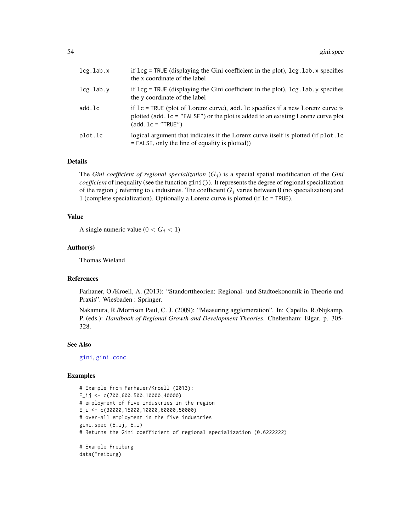| lcg.lab.x | if $leg = TRUE$ (displaying the Gini coefficient in the plot), $leg$ . lab. x specifies<br>the x coordinate of the label                                                                                           |
|-----------|--------------------------------------------------------------------------------------------------------------------------------------------------------------------------------------------------------------------|
| lcg.lab.v | if $\log$ = TRUE (displaying the Gini coefficient in the plot), $\log$ lab y specifies<br>the y coordinate of the label                                                                                            |
| add.lc    | if $lc$ = TRUE (plot of Lorenz curve), add $lc$ specifies if a new Lorenz curve is<br>plotted (add. $lc = "FALSE")$ or the plot is added to an existing Lorenz curve plot<br>$(\text{add}. \, \text{lc} = "TRUE")$ |
| plot.lc   | logical argument that indicates if the Lorenz curve itself is plotted (if plot. lc<br>$=$ FALSE, only the line of equality is plotted)                                                                             |

## Details

The *Gini coefficient of regional specialization*  $(G_i)$  is a special spatial modification of the *Gini coefficient* of inequality (see the function gini()). It represents the degree of regional specialization of the region j referring to i industries. The coefficient  $G_j$  varies between 0 (no specialization) and 1 (complete specialization). Optionally a Lorenz curve is plotted (if lc = TRUE).

### Value

A single numeric value  $(0 < G<sub>j</sub> < 1)$ 

### Author(s)

Thomas Wieland

#### References

Farhauer, O./Kroell, A. (2013): "Standorttheorien: Regional- und Stadtoekonomik in Theorie und Praxis". Wiesbaden : Springer.

Nakamura, R./Morrison Paul, C. J. (2009): "Measuring agglomeration". In: Capello, R./Nijkamp, P. (eds.): *Handbook of Regional Growth and Development Theories*. Cheltenham: Elgar. p. 305- 328.

#### See Also

[gini](#page-45-0), [gini.conc](#page-49-0)

### Examples

```
# Example from Farhauer/Kroell (2013):
E_ij <- c(700,600,500,10000,40000)
# employment of five industries in the region
E_i <- c(30000,15000,10000,60000,50000)
# over-all employment in the five industries
gini.spec (E_ij, E_i)
# Returns the Gini coefficient of regional specialization (0.6222222)
# Example Freiburg
data(Freiburg)
```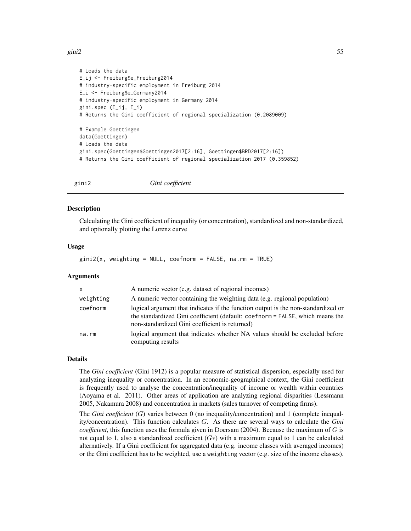#### gini2 55

```
# Loads the data
E_ij <- Freiburg$e_Freiburg2014
# industry-specific employment in Freiburg 2014
E_i <- Freiburg$e_Germany2014
# industry-specific employment in Germany 2014
gini.spec (E_ij, E_i)
# Returns the Gini coefficient of regional specialization (0.2089009)
# Example Goettingen
data(Goettingen)
# Loads the data
gini.spec(Goettingen$Goettingen2017[2:16], Goettingen$BRD2017[2:16])
# Returns the Gini coefficient of regional specialization 2017 (0.359852)
```
gini2 *Gini coefficient*

#### **Description**

Calculating the Gini coefficient of inequality (or concentration), standardized and non-standardized, and optionally plotting the Lorenz curve

### Usage

```
gini2(x, weighting = NULL, coefnorm = FALSE, na.rm = TRUE)
```
### **Arguments**

| $\mathsf{x}$ | A numeric vector (e.g. dataset of regional incomes)                                                                                                                                                                  |
|--------------|----------------------------------------------------------------------------------------------------------------------------------------------------------------------------------------------------------------------|
| weighting    | A numeric vector containing the weighting data (e.g. regional population)                                                                                                                                            |
| coefnorm     | logical argument that indicates if the function output is the non-standardized or<br>the standardized Gini coefficient (default: coefnorm = FALSE, which means the<br>non-standardized Gini coefficient is returned) |
| na.rm        | logical argument that indicates whether NA values should be excluded before<br>computing results                                                                                                                     |

# Details

The *Gini coefficient* (Gini 1912) is a popular measure of statistical dispersion, especially used for analyzing inequality or concentration. In an economic-geographical context, the Gini coefficient is frequently used to analyse the concentration/inequality of income or wealth within countries (Aoyama et al. 2011). Other areas of application are analyzing regional disparities (Lessmann 2005, Nakamura 2008) and concentration in markets (sales turnover of competing firms).

The *Gini coefficient* (G) varies between 0 (no inequality/concentration) and 1 (complete inequality/concentration). This function calculates G. As there are several ways to calculate the *Gini coefficient*, this function uses the formula given in Doersam (2004). Because the maximum of  $G$  is not equal to 1, also a standardized coefficient  $(G<sub>*</sub>)$  with a maximum equal to 1 can be calculated alternatively. If a Gini coefficient for aggregated data (e.g. income classes with averaged incomes) or the Gini coefficient has to be weighted, use a weighting vector (e.g. size of the income classes).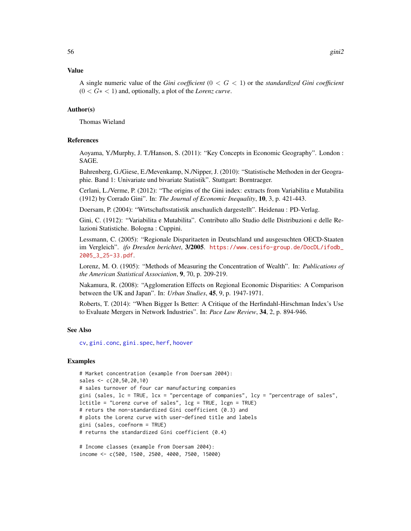#### Value

A single numeric value of the *Gini coefficient* (0 < G < 1) or the *standardized Gini coefficient* (0 < G∗ < 1) and, optionally, a plot of the *Lorenz curve*.

## Author(s)

Thomas Wieland

### References

Aoyama, Y./Murphy, J. T./Hanson, S. (2011): "Key Concepts in Economic Geography". London : SAGE.

Bahrenberg, G./Giese, E./Mevenkamp, N./Nipper, J. (2010): "Statistische Methoden in der Geographie. Band 1: Univariate und bivariate Statistik". Stuttgart: Borntraeger.

Cerlani, L./Verme, P. (2012): "The origins of the Gini index: extracts from Variabilita e Mutabilita (1912) by Corrado Gini". In: *The Journal of Economic Inequality*, 10, 3, p. 421-443.

Doersam, P. (2004): "Wirtschaftsstatistik anschaulich dargestellt". Heidenau : PD-Verlag.

Gini, C. (1912): "Variabilita e Mutabilita". Contributo allo Studio delle Distribuzioni e delle Relazioni Statistiche. Bologna : Cuppini.

Lessmann, C. (2005): "Regionale Disparitaeten in Deutschland und ausgesuchten OECD-Staaten im Vergleich". *ifo Dresden berichtet*, 3/2005. [https://www.cesifo-group.de/DocDL/ifodb\\_](https://www.cesifo-group.de/DocDL/ifodb_2005_3_25-33.pdf) [2005\\_3\\_25-33.pdf](https://www.cesifo-group.de/DocDL/ifodb_2005_3_25-33.pdf).

Lorenz, M. O. (1905): "Methods of Measuring the Concentration of Wealth". In: *Publications of the American Statistical Association*, 9, 70, p. 209-219.

Nakamura, R. (2008): "Agglomeration Effects on Regional Economic Disparities: A Comparison between the UK and Japan". In: *Urban Studies*, 45, 9, p. 1947-1971.

Roberts, T. (2014): "When Bigger Is Better: A Critique of the Herfindahl-Hirschman Index's Use to Evaluate Mergers in Network Industries". In: *Pace Law Review*, 34, 2, p. 894-946.

#### See Also

[cv](#page-18-0), [gini.conc](#page-49-0), [gini.spec](#page-51-0), [herf](#page-64-0), [hoover](#page-66-0)

### Examples

```
# Market concentration (example from Doersam 2004):
sales <- c(20,50,20,10)
# sales turnover of four car manufacturing companies
gini (sales, lc = TRUE, lcx = "percentage of companies", lcy = "percentrage of sales",
lctitle = "Lorenz curve of sales", lcg = TRUE, lcgn = TRUE)
# returs the non-standardized Gini coefficient (0.3) and
# plots the Lorenz curve with user-defined title and labels
gini (sales, coefnorm = TRUE)
# returns the standardized Gini coefficient (0.4)
```

```
# Income classes (example from Doersam 2004):
income <- c(500, 1500, 2500, 4000, 7500, 15000)
```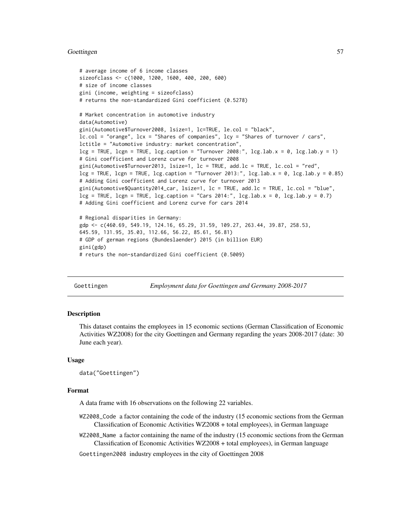#### Goettingen 57

```
# average income of 6 income classes
sizeofclass <- c(1000, 1200, 1600, 400, 200, 600)
# size of income classes
gini (income, weighting = sizeofclass)
# returns the non-standardized Gini coefficient (0.5278)
# Market concentration in automotive industry
data(Automotive)
gini(Automotive$Turnover2008, lsize=1, lc=TRUE, le.col = "black",
lc.col = "orange", lcx = "Shares of companies", lcy = "Shares of turnover / cars",
lctitle = "Automotive industry: market concentration",
leg = TRUE, leg = TRUE, leg \cdot caption = "Turnover 2008.", leg \cdot lab \cdot x = 0, leg \cdot lab \cdot y = 1)# Gini coefficient and Lorenz curve for turnover 2008
gini(Automotive$Turnover2013, lsize=1, lc = TRUE, add.lc = TRUE, lc.col = "red",
leg = TRUE, leg = TRUE, leg, leg</math># Adding Gini coefficient and Lorenz curve for turnover 2013
gini(Automotive$Quantity2014_car, lsize=1, lc = TRUE, add.lc = TRUE, lc.col = "blue",
leg = TRUE, leg = TRUE, leg.caption = "Cars 2014:", leg.lab.x = 0, leg.lab.y = 0.7)# Adding Gini coefficient and Lorenz curve for cars 2014
# Regional disparities in Germany:
gdp <- c(460.69, 549.19, 124.16, 65.29, 31.59, 109.27, 263.44, 39.87, 258.53,
645.59, 131.95, 35.03, 112.66, 56.22, 85.61, 56.81)
# GDP of german regions (Bundeslaender) 2015 (in billion EUR)
gini(gdp)
```
# returs the non-standardized Gini coefficient (0.5009)

Goettingen *Employment data for Goettingen and Germany 2008-2017*

#### Description

This dataset contains the employees in 15 economic sections (German Classification of Economic Activities WZ2008) for the city Goettingen and Germany regarding the years 2008-2017 (date: 30 June each year).

#### Usage

data("Goettingen")

### Format

A data frame with 16 observations on the following 22 variables.

- WZ2008\_Code a factor containing the code of the industry (15 economic sections from the German Classification of Economic Activities WZ2008 + total employees), in German language
- WZ2008\_Name a factor containing the name of the industry (15 economic sections from the German Classification of Economic Activities WZ2008 + total employees), in German language

Goettingen2008 industry employees in the city of Goettingen 2008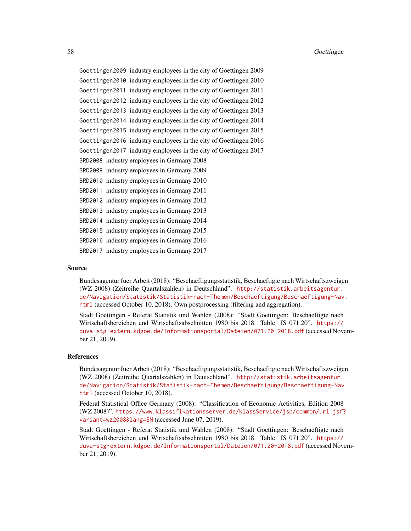Goettingen2009 industry employees in the city of Goettingen 2009 Goettingen2010 industry employees in the city of Goettingen 2010 Goettingen2011 industry employees in the city of Goettingen 2011 Goettingen2012 industry employees in the city of Goettingen 2012 Goettingen2013 industry employees in the city of Goettingen 2013 Goettingen2014 industry employees in the city of Goettingen 2014 Goettingen2015 industry employees in the city of Goettingen 2015 Goettingen2016 industry employees in the city of Goettingen 2016 Goettingen2017 industry employees in the city of Goettingen 2017 BRD2008 industry employees in Germany 2008 BRD2009 industry employees in Germany 2009 BRD2010 industry employees in Germany 2010 BRD2011 industry employees in Germany 2011 BRD2012 industry employees in Germany 2012 BRD2013 industry employees in Germany 2013 BRD2014 industry employees in Germany 2014 BRD2015 industry employees in Germany 2015 BRD2016 industry employees in Germany 2016 BRD2017 industry employees in Germany 2017

### Source

Bundesagentur fuer Arbeit (2018): "Beschaeftigungsstatistik, Beschaeftigte nach Wirtschaftszweigen (WZ 2008) (Zeitreihe Quartalszahlen) in Deutschland". [http://statistik.arbeitsagentur.](http://statistik.arbeitsagentur.de/Navigation/Statistik/Statistik-nach-Themen/Beschaeftigung/Beschaeftigung-Nav.html) [de/Navigation/Statistik/Statistik-nach-Themen/Beschaeftigung/Beschaeftigung-Nav](http://statistik.arbeitsagentur.de/Navigation/Statistik/Statistik-nach-Themen/Beschaeftigung/Beschaeftigung-Nav.html). [html](http://statistik.arbeitsagentur.de/Navigation/Statistik/Statistik-nach-Themen/Beschaeftigung/Beschaeftigung-Nav.html) (accessed October 10, 2018). Own postprocessing (filtering and aggregation).

Stadt Goettingen - Referat Statistik und Wahlen (2008): "Stadt Goettingen: Beschaeftigte nach Wirtschaftsbereichen und Wirtschaftsabschnitten 1980 bis 2018. Table: IS 071.20". [https://](https://duva-stg-extern.kdgoe.de/Informationsportal/Dateien/071.20-2018.pdf) [duva-stg-extern.kdgoe.de/Informationsportal/Dateien/071.20-2018.pdf](https://duva-stg-extern.kdgoe.de/Informationsportal/Dateien/071.20-2018.pdf) (accessed November 21, 2019).

### References

Bundesagentur fuer Arbeit (2018): "Beschaeftigungsstatistik, Beschaeftigte nach Wirtschaftszweigen (WZ 2008) (Zeitreihe Quartalszahlen) in Deutschland". [http://statistik.arbeitsagentur.](http://statistik.arbeitsagentur.de/Navigation/Statistik/Statistik-nach-Themen/Beschaeftigung/Beschaeftigung-Nav.html) [de/Navigation/Statistik/Statistik-nach-Themen/Beschaeftigung/Beschaeftigung-Nav](http://statistik.arbeitsagentur.de/Navigation/Statistik/Statistik-nach-Themen/Beschaeftigung/Beschaeftigung-Nav.html). [html](http://statistik.arbeitsagentur.de/Navigation/Statistik/Statistik-nach-Themen/Beschaeftigung/Beschaeftigung-Nav.html) (accessed October 10, 2018).

Federal Statistical Office Germany (2008): "Classification of Economic Activities, Edition 2008 (WZ 2008)". [https://www.klassifikationsserver.de/klassService/jsp/common/url.jsf?](https://www.klassifikationsserver.de/klassService/jsp/common/url.jsf?variant=wz2008&lang=EN) [variant=wz2008&lang=EN](https://www.klassifikationsserver.de/klassService/jsp/common/url.jsf?variant=wz2008&lang=EN) (accessed June 07, 2019).

Stadt Goettingen - Referat Statistik und Wahlen (2008): "Stadt Goettingen: Beschaeftigte nach Wirtschaftsbereichen und Wirtschaftsabschnitten 1980 bis 2018. Table: IS 071.20". [https://](https://duva-stg-extern.kdgoe.de/Informationsportal/Dateien/071.20-2018.pdf) [duva-stg-extern.kdgoe.de/Informationsportal/Dateien/071.20-2018.pdf](https://duva-stg-extern.kdgoe.de/Informationsportal/Dateien/071.20-2018.pdf) (accessed November 21, 2019).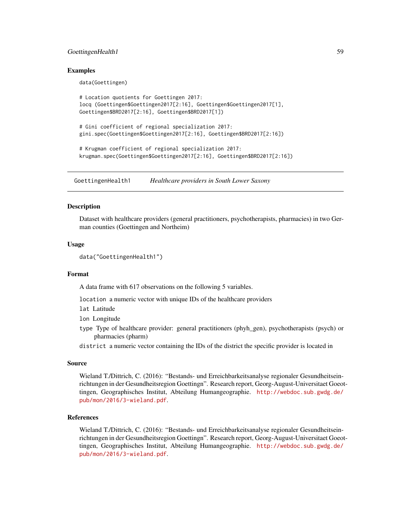# GoettingenHealth1 59

### Examples

data(Goettingen)

```
# Location quotients for Goettingen 2017:
locq (Goettingen$Goettingen2017[2:16], Goettingen$Goettingen2017[1],
Goettingen$BRD2017[2:16], Goettingen$BRD2017[1])
# Gini coefficient of regional specialization 2017:
gini.spec(Goettingen$Goettingen2017[2:16], Goettingen$BRD2017[2:16])
# Krugman coefficient of regional specialization 2017:
krugman.spec(Goettingen$Goettingen2017[2:16], Goettingen$BRD2017[2:16])
```
GoettingenHealth1 *Healthcare providers in South Lower Saxony*

### Description

Dataset with healthcare providers (general practitioners, psychotherapists, pharmacies) in two German counties (Goettingen and Northeim)

## Usage

```
data("GoettingenHealth1")
```
#### Format

A data frame with 617 observations on the following 5 variables.

location a numeric vector with unique IDs of the healthcare providers

lat Latitude

lon Longitude

- type Type of healthcare provider: general practitioners (phyh\_gen), psychotherapists (psych) or pharmacies (pharm)
- district a numeric vector containing the IDs of the district the specific provider is located in

# Source

Wieland T./Dittrich, C. (2016): "Bestands- und Erreichbarkeitsanalyse regionaler Gesundheitseinrichtungen in der Gesundheitsregion Goettingn". Research report, Georg-August-Universitaet Goeottingen, Geographisches Institut, Abteilung Humangeographie. [http://webdoc.sub.gwdg.de/](http://webdoc.sub.gwdg.de/pub/mon/2016/3-wieland.pdf) [pub/mon/2016/3-wieland.pdf](http://webdoc.sub.gwdg.de/pub/mon/2016/3-wieland.pdf).

### References

Wieland T./Dittrich, C. (2016): "Bestands- und Erreichbarkeitsanalyse regionaler Gesundheitseinrichtungen in der Gesundheitsregion Goettingn". Research report, Georg-August-Universitaet Goeottingen, Geographisches Institut, Abteilung Humangeographie. [http://webdoc.sub.gwdg.de/](http://webdoc.sub.gwdg.de/pub/mon/2016/3-wieland.pdf) [pub/mon/2016/3-wieland.pdf](http://webdoc.sub.gwdg.de/pub/mon/2016/3-wieland.pdf).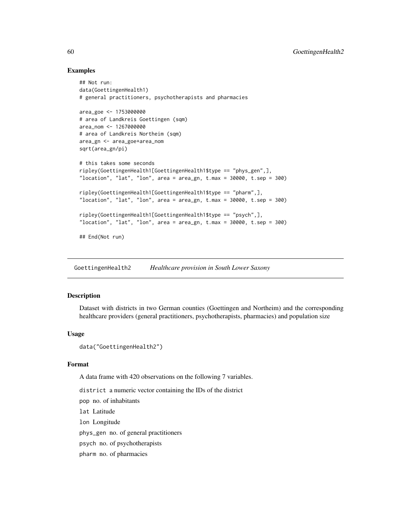## Examples

```
## Not run:
data(GoettingenHealth1)
# general practitioners, psychotherapists and pharmacies
area_goe <- 1753000000
# area of Landkreis Goettingen (sqm)
area_nom <- 1267000000
# area of Landkreis Northeim (sqm)
area_gn <- area_goe+area_nom
sqrt(area_gn/pi)
# this takes some seconds
ripley(GoettingenHealth1[GoettingenHealth1$type == "phys_gen",],
"location", "lat", "lon", area = area_gn, t.max = 30000, t.sep = 300)
ripley(GoettingenHealth1[GoettingenHealth1$type == "pharm",],
"location", "lat", "lon", area = area_gn, t.max = 30000, t.sep = 300)
ripley(GoettingenHealth1[GoettingenHealth1$type == "psych",],
"location", "lat", "lon", area = area_gn, t.max = 30000, t.sep = 300)
## End(Not run)
```
GoettingenHealth2 *Healthcare provision in South Lower Saxony*

### Description

Dataset with districts in two German counties (Goettingen and Northeim) and the corresponding healthcare providers (general practitioners, psychotherapists, pharmacies) and population size

# Usage

```
data("GoettingenHealth2")
```
## Format

A data frame with 420 observations on the following 7 variables.

district a numeric vector containing the IDs of the district

pop no. of inhabitants

lat Latitude

lon Longitude

phys\_gen no. of general practitioners

psych no. of psychotherapists

pharm no. of pharmacies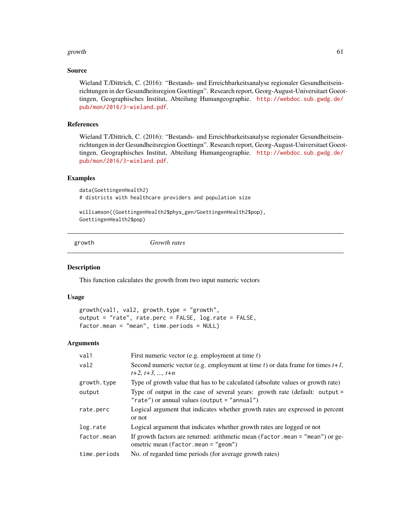#### growth 61

### Source

Wieland T./Dittrich, C. (2016): "Bestands- und Erreichbarkeitsanalyse regionaler Gesundheitseinrichtungen in der Gesundheitsregion Goettingn". Research report, Georg-August-Universitaet Goeottingen, Geographisches Institut, Abteilung Humangeographie. [http://webdoc.sub.gwdg.de/](http://webdoc.sub.gwdg.de/pub/mon/2016/3-wieland.pdf) [pub/mon/2016/3-wieland.pdf](http://webdoc.sub.gwdg.de/pub/mon/2016/3-wieland.pdf).

# References

Wieland T./Dittrich, C. (2016): "Bestands- und Erreichbarkeitsanalyse regionaler Gesundheitseinrichtungen in der Gesundheitsregion Goettingn". Research report, Georg-August-Universitaet Goeottingen, Geographisches Institut, Abteilung Humangeographie. [http://webdoc.sub.gwdg.de/](http://webdoc.sub.gwdg.de/pub/mon/2016/3-wieland.pdf) [pub/mon/2016/3-wieland.pdf](http://webdoc.sub.gwdg.de/pub/mon/2016/3-wieland.pdf).

#### Examples

```
data(GoettingenHealth2)
# districts with healthcare providers and population size
```
williamson((GoettingenHealth2\$phys\_gen/GoettingenHealth2\$pop), GoettingenHealth2\$pop)

growth *Growth rates*

#### Description

This function calculates the growth from two input numeric vectors

#### Usage

```
growth(val1, val2, growth.type = "growth",
output = "rate", rate.perc = FALSE, log.rate = FALSE,
factor.mean = "mean", time.periods = NULL)
```
# Arguments

| val1         | First numeric vector (e.g. employment at time $t$ )                                                                               |
|--------------|-----------------------------------------------------------------------------------------------------------------------------------|
| val2         | Second numeric vector (e.g. employment at time t) or data frame for times $t+1$ ,<br>$t+2, t+3, \ldots, t+n$                      |
| growth.type  | Type of growth value that has to be calculated (absolute values or growth rate)                                                   |
| output       | Type of output in the case of several years: growth rate (default: output $=$<br>" $rate"$ ) or annual values (output = "annual") |
| rate.perc    | Logical argument that indicates whether growth rates are expressed in percent<br>or not                                           |
| log.rate     | Logical argument that indicates whether growth rates are logged or not                                                            |
| factor.mean  | If growth factors are returned: arithmetic mean (factor mean = "mean") or ge-<br>ometric mean (factor.mean = "geom")              |
| time.periods | No. of regarded time periods (for average growth rates)                                                                           |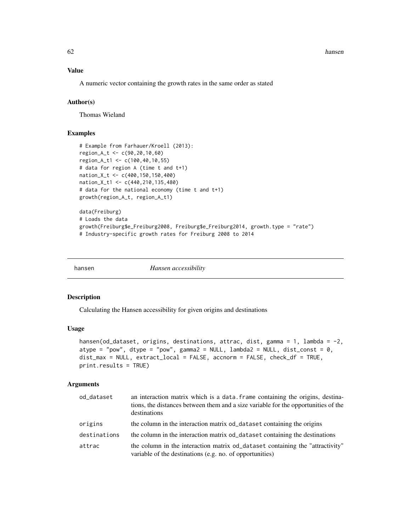## Value

A numeric vector containing the growth rates in the same order as stated

## Author(s)

Thomas Wieland

# Examples

```
# Example from Farhauer/Kroell (2013):
region_A_t <- c(90,20,10,60)
region_A_t1 <- c(100,40,10,55)
# data for region A (time t and t+1)
nation_X_t <- c(400,150,150,400)
nation_X_t1 <- c(440,210,135,480)
# data for the national economy (time t and t+1)
growth(region_A_t, region_A_t1)
data(Freiburg)
# Loads the data
growth(Freiburg$e_Freiburg2008, Freiburg$e_Freiburg2014, growth.type = "rate")
# Industry-specific growth rates for Freiburg 2008 to 2014
```
hansen *Hansen accessibility*

#### **Description**

Calculating the Hansen accessibility for given origins and destinations

#### Usage

```
hansen(od_dataset, origins, destinations, attrac, dist, gamma = 1, lambda = -2,
atype = "pow", dtype = "pow", gamma2 = NULL, lambda2 = NULL, dist_const = \theta,
dist_max = NULL, extract_local = FALSE, accnorm = FALSE, check_df = TRUE,
print.results = TRUE)
```
#### Arguments

| od_dataset   | an interaction matrix which is a data. frame containing the origins, destina-<br>tions, the distances between them and a size variable for the opportunities of the<br>destinations |
|--------------|-------------------------------------------------------------------------------------------------------------------------------------------------------------------------------------|
| origins      | the column in the interaction matrix od_dataset containing the origins                                                                                                              |
| destinations | the column in the interaction matrix od_dataset containing the destinations                                                                                                         |
| attrac       | the column in the interaction matrix od dataset containing the "attractivity"<br>variable of the destinations (e.g. no. of opportunities)                                           |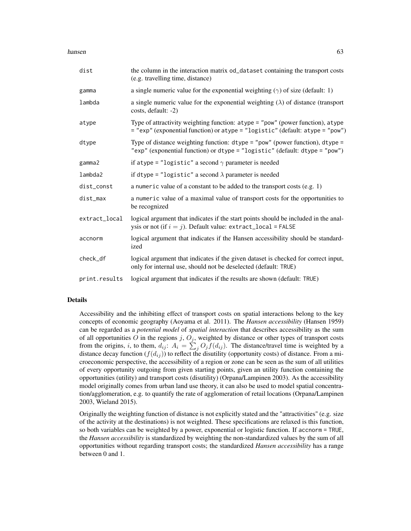#### hansen 63 besteht is a state of the state of the state of the state of the state of the state of the state of the state of the state of the state of the state of the state of the state of the state of the state of the stat

| dist          | the column in the interaction matrix od_dataset containing the transport costs<br>(e.g. travelling time, distance)                                                                   |
|---------------|--------------------------------------------------------------------------------------------------------------------------------------------------------------------------------------|
| gamma         | a single numeric value for the exponential weighting $(\gamma)$ of size (default: 1)                                                                                                 |
| lambda        | a single numeric value for the exponential weighting $(\lambda)$ of distance (transport<br>costs, default: -2)                                                                       |
| atype         | Type of attractivity weighting function: atype = "pow" (power function), atype<br>= "exp" (exponential function) or atype = "logistic" (default: atype = "pow")                      |
| dtype         | Type of distance weighting function: $\text{dtype} = \text{"pow"}$ (power function), $\text{dtype} =$<br>"exp" (exponential function) or dtype = "logistic" (default: dtype = "pow") |
| gamma2        | if atype = "logistic" a second $\gamma$ parameter is needed                                                                                                                          |
| lambda2       | if dtype = "logistic" a second $\lambda$ parameter is needed                                                                                                                         |
| dist_const    | a numeric value of a constant to be added to the transport costs $(e.g. 1)$                                                                                                          |
| dist_max      | a numeric value of a maximal value of transport costs for the opportunities to<br>be recognized                                                                                      |
| extract_local | logical argument that indicates if the start points should be included in the anal-<br>ysis or not (if $i = j$ ). Default value: extract_local = FALSE                               |
| accnorm       | logical argument that indicates if the Hansen accessibility should be standard-<br>ized                                                                                              |
| check_df      | logical argument that indicates if the given dataset is checked for correct input,<br>only for internal use, should not be deselected (default: TRUE)                                |
| print.results | logical argument that indicates if the results are shown (default: TRUE)                                                                                                             |

### Details

Accessibility and the inhibiting effect of transport costs on spatial interactions belong to the key concepts of economic geography (Aoyama et al. 2011). The *Hansen accessibility* (Hansen 1959) can be regarded as a *potential model* of *spatial interaction* that describes accessibility as the sum of all opportunities O in the regions j,  $O_j$ , weighted by distance or other types of transport costs from the origins, *i*, to them,  $d_{ij}$ :  $A_i = \sum_j O_j f(d_{ij})$ . The distance/travel time is weighted by a distance decay function  $(f(d_{ij}))$  to reflect the disutility (opportunity costs) of distance. From a microeconomic perspective, the accessibility of a region or zone can be seen as the sum of all utilities of every opportunity outgoing from given starting points, given an utility function containing the opportunities (utility) and transport costs (disutility) (Orpana/Lampinen 2003). As the accessibility model originally comes from urban land use theory, it can also be used to model spatial concentration/agglomeration, e.g. to quantify the rate of agglomeration of retail locations (Orpana/Lampinen 2003, Wieland 2015).

Originally the weighting function of distance is not explicitly stated and the "attractivities" (e.g. size of the activity at the destinations) is not weighted. These specifications are relaxed is this function, so both variables can be weighted by a power, exponential or logistic function. If accnorm = TRUE, the *Hansen accessibility* is standardized by weighting the non-standardized values by the sum of all opportunities without regarding transport costs; the standardized *Hansen accessibility* has a range between 0 and 1.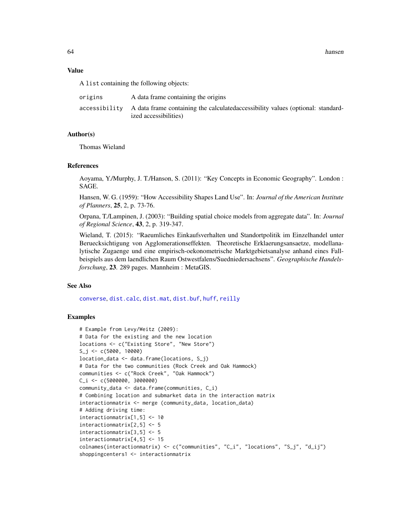64 hansen

#### Value

A list containing the following objects:

| origins | A data frame containing the origins                                                                                     |
|---------|-------------------------------------------------------------------------------------------------------------------------|
|         | accessibility A data frame containing the calculated accessibility values (optional: standard-<br>ized accessibilities) |

### Author(s)

Thomas Wieland

### References

Aoyama, Y./Murphy, J. T./Hanson, S. (2011): "Key Concepts in Economic Geography". London : SAGE.

Hansen, W. G. (1959): "How Accessibility Shapes Land Use". In: *Journal of the American Institute of Planners*, 25, 2, p. 73-76.

Orpana, T./Lampinen, J. (2003): "Building spatial choice models from aggregate data". In: *Journal of Regional Science*, 43, 2, p. 319-347.

Wieland, T. (2015): "Raeumliches Einkaufsverhalten und Standortpolitik im Einzelhandel unter Beruecksichtigung von Agglomerationseffekten. Theoretische Erklaerungsansaetze, modellanalytische Zugaenge und eine empirisch-oekonometrische Marktgebietsanalyse anhand eines Fallbeispiels aus dem laendlichen Raum Ostwestfalens/Suedniedersachsens". *Geographische Handelsforschung*, 23. 289 pages. Mannheim : MetaGIS.

### See Also

[converse](#page-14-0), [dist.calc](#page-24-0), [dist.mat](#page-25-0), [dist.buf](#page-22-0), [huff](#page-70-0), [reilly](#page-100-0)

# Examples

```
# Example from Levy/Weitz (2009):
# Data for the existing and the new location
locations <- c("Existing Store", "New Store")
S_j <- c(5000, 10000)
location_data <- data.frame(locations, S_j)
# Data for the two communities (Rock Creek and Oak Hammock)
communities <- c("Rock Creek", "Oak Hammock")
C_i <- C(5000000, 3000000)community_data <- data.frame(communities, C_i)
# Combining location and submarket data in the interaction matrix
interactionmatrix <- merge (community_data, location_data)
# Adding driving time:
interactionmatrix[1,5] <- 10
interactionmatrix[2,5] <- 5
interactionmatrix[3,5] <- 5
interactionmatrix[4,5] <- 15
colnames(interactionmatrix) <- c("communities", "C_i", "locations", "S_j", "d_ij")
shoppingcenters1 <- interactionmatrix
```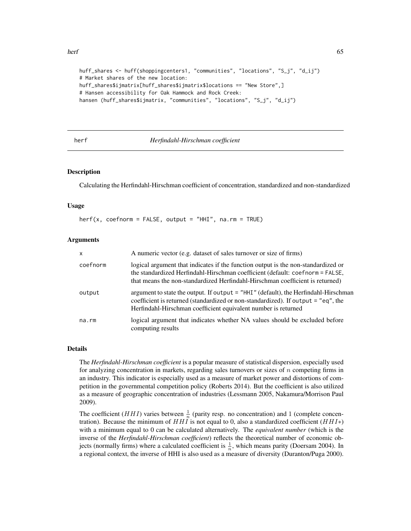```
huff_shares <- huff(shoppingcenters1, "communities", "locations", "S_j", "d_ij")
# Market shares of the new location:
huff_shares$ijmatrix[huff_shares$ijmatrix$locations == "New Store",]
# Hansen accessibility for Oak Hammock and Rock Creek:
hansen (huff_shares$ijmatrix, "communities", "locations", "S_j", "d_ij")
```
# <span id="page-64-0"></span>herf *Herfindahl-Hirschman coefficient*

## Description

Calculating the Herfindahl-Hirschman coefficient of concentration, standardized and non-standardized

#### Usage

herf(x, coefnorm = FALSE, output = "HHI", na.rm = TRUE)

### Arguments

| $\mathsf{x}$ | A numeric vector (e.g. dataset of sales turnover or size of firms)                                                                                                                                                                                  |
|--------------|-----------------------------------------------------------------------------------------------------------------------------------------------------------------------------------------------------------------------------------------------------|
| coefnorm     | logical argument that indicates if the function output is the non-standardized or<br>the standardized Herfindahl-Hirschman coefficient (default: coefnorm = FALSE,<br>that means the non-standardized Herfindahl-Hirschman coefficient is returned) |
| output       | argument to state the output. If output $=$ "HHI" (default), the Herfindahl-Hirschman<br>coefficient is returned (standardized or non-standardized). If output = "eq", the<br>Herfindahl-Hirschman coefficient equivalent number is returned        |
| na.rm        | logical argument that indicates whether NA values should be excluded before<br>computing results                                                                                                                                                    |

### Details

The *Herfindahl-Hirschman coefficient* is a popular measure of statistical dispersion, especially used for analyzing concentration in markets, regarding sales turnovers or sizes of  $n$  competing firms in an industry. This indicator is especially used as a measure of market power and distortions of competition in the governmental competition policy (Roberts 2014). But the coefficient is also utilized as a measure of geographic concentration of industries (Lessmann 2005, Nakamura/Morrison Paul 2009).

The coefficient (*HHI*) varies between  $\frac{1}{n}$  (parity resp. no concentration) and 1 (complete concentration). Because the minimum of  $HHI$  is not equal to 0, also a standardized coefficient ( $HHI*$ ) with a minimum equal to 0 can be calculated alternatively. The *equivalent number* (which is the inverse of the *Herfindahl-Hirschman coefficient*) reflects the theoretical number of economic objects (normally firms) where a calculated coefficient is  $\frac{1}{n}$ , which means parity (Doersam 2004). In a regional context, the inverse of HHI is also used as a measure of diversity (Duranton/Puga 2000).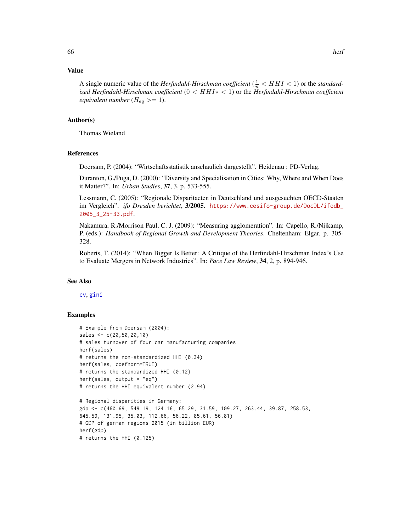### Value

A single numeric value of the *Herfindahl-Hirschman coefficient* ( $\frac{1}{n}$  <  $HHI$  < 1) or the *standardized Herfindahl-Hirschman coefficient* (0 < HHI∗ < 1) or the *Herfindahl-Hirschman coefficient equivalent number* ( $H_{eq}$  >= 1).

#### Author(s)

Thomas Wieland

### References

Doersam, P. (2004): "Wirtschaftsstatistik anschaulich dargestellt". Heidenau : PD-Verlag.

Duranton, G./Puga, D. (2000): "Diversity and Specialisation in Cities: Why, Where and When Does it Matter?". In: *Urban Studies*, 37, 3, p. 533-555.

Lessmann, C. (2005): "Regionale Disparitaeten in Deutschland und ausgesuchten OECD-Staaten im Vergleich". *ifo Dresden berichtet*, 3/2005. [https://www.cesifo-group.de/DocDL/ifodb\\_](https://www.cesifo-group.de/DocDL/ifodb_2005_3_25-33.pdf) [2005\\_3\\_25-33.pdf](https://www.cesifo-group.de/DocDL/ifodb_2005_3_25-33.pdf).

Nakamura, R./Morrison Paul, C. J. (2009): "Measuring agglomeration". In: Capello, R./Nijkamp, P. (eds.): *Handbook of Regional Growth and Development Theories*. Cheltenham: Elgar. p. 305- 328.

Roberts, T. (2014): "When Bigger Is Better: A Critique of the Herfindahl-Hirschman Index's Use to Evaluate Mergers in Network Industries". In: *Pace Law Review*, 34, 2, p. 894-946.

#### See Also

# [cv](#page-18-0), [gini](#page-45-0)

## Examples

```
# Example from Doersam (2004):
sales <- c(20,50,20,10)
# sales turnover of four car manufacturing companies
herf(sales)
# returns the non-standardized HHI (0.34)
herf(sales, coefnorm=TRUE)
# returns the standardized HHI (0.12)
herf(sales, output = "eq")
# returns the HHI equivalent number (2.94)
# Regional disparities in Germany:
gdp <- c(460.69, 549.19, 124.16, 65.29, 31.59, 109.27, 263.44, 39.87, 258.53,
```

```
645.59, 131.95, 35.03, 112.66, 56.22, 85.61, 56.81)
# GDP of german regions 2015 (in billion EUR)
herf(gdp)
```

```
# returns the HHI (0.125)
```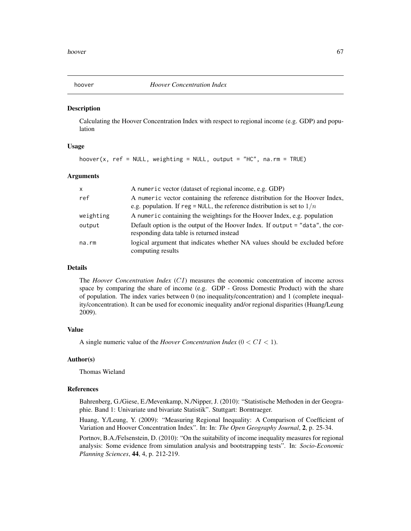<span id="page-66-0"></span>

#### Description

Calculating the Hoover Concentration Index with respect to regional income (e.g. GDP) and population

# Usage

```
hoover(x, ref = NULL, weighting = NULL, output = "HC", na.rm = TRUE)
```
### Arguments

| $\mathsf{x}$ | A numeric vector (dataset of regional income, e.g. GDP)                                                                                                    |
|--------------|------------------------------------------------------------------------------------------------------------------------------------------------------------|
| ref          | A numeric vector containing the reference distribution for the Hoover Index,<br>e.g. population. If reg = NULL, the reference distribution is set to $1/n$ |
| weighting    | A numeric containing the weightings for the Hoover Index, e.g. population                                                                                  |
| output       | Default option is the output of the Hoover Index. If output = "data", the cor-<br>responding data table is returned instead                                |
| na.rm        | logical argument that indicates whether NA values should be excluded before<br>computing results                                                           |

# Details

The *Hoover Concentration Index* (CI) measures the economic concentration of income across space by comparing the share of income (e.g. GDP - Gross Domestic Product) with the share of population. The index varies between 0 (no inequality/concentration) and 1 (complete inequality/concentration). It can be used for economic inequality and/or regional disparities (Huang/Leung 2009).

# Value

A single numeric value of the *Hoover Concentration Index* (0 < CI < 1).

#### Author(s)

Thomas Wieland

#### References

Bahrenberg, G./Giese, E./Mevenkamp, N./Nipper, J. (2010): "Statistische Methoden in der Geographie. Band 1: Univariate und bivariate Statistik". Stuttgart: Borntraeger.

Huang, Y./Leung, Y. (2009): "Measuring Regional Inequality: A Comparison of Coefficient of Variation and Hoover Concentration Index". In: In: *The Open Geography Journal*, 2, p. 25-34.

Portnov, B.A./Felsenstein, D. (2010): "On the suitability of income inequality measures for regional analysis: Some evidence from simulation analysis and bootstrapping tests". In: *Socio-Economic Planning Sciences*, 44, 4, p. 212-219.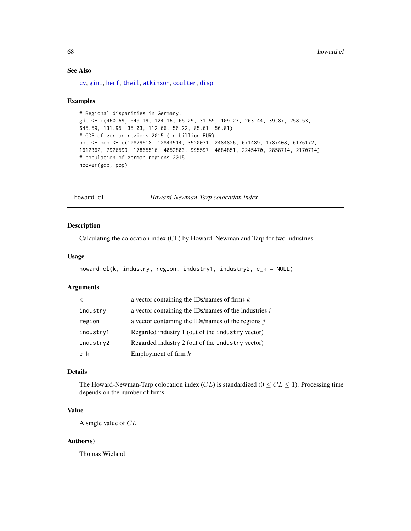# See Also

[cv](#page-18-0), [gini](#page-45-0), [herf](#page-64-0), [theil](#page-127-0), [atkinson](#page-3-0), [coulter](#page-15-0), [disp](#page-21-0)

### Examples

```
# Regional disparities in Germany:
gdp <- c(460.69, 549.19, 124.16, 65.29, 31.59, 109.27, 263.44, 39.87, 258.53,
645.59, 131.95, 35.03, 112.66, 56.22, 85.61, 56.81)
# GDP of german regions 2015 (in billion EUR)
pop <- pop <- c(10879618, 12843514, 3520031, 2484826, 671489, 1787408, 6176172,
1612362, 7926599, 17865516, 4052803, 995597, 4084851, 2245470, 2858714, 2170714)
# population of german regions 2015
hoover(gdp, pop)
```
<span id="page-67-0"></span>howard.cl *Howard-Newman-Tarp colocation index*

#### Description

Calculating the colocation index (CL) by Howard, Newman and Tarp for two industries

# Usage

```
howard.cl(k, industry, region, industry1, industry2, e_k = NULL)
```
# Arguments

| k         | a vector containing the IDs/names of firms $k$        |
|-----------|-------------------------------------------------------|
| industry  | a vector containing the IDs/names of the industries i |
| region    | a vector containing the IDs/names of the regions $j$  |
| industry1 | Regarded industry 1 (out of the industry vector)      |
| industry2 | Regarded industry 2 (out of the industry vector)      |
| e k       | Employment of firm $k$                                |

# Details

The Howard-Newman-Tarp colocation index  $(CL)$  is standardized  $(0 \leq CL \leq 1)$ . Processing time depends on the number of firms.

# Value

A single value of CL

#### Author(s)

Thomas Wieland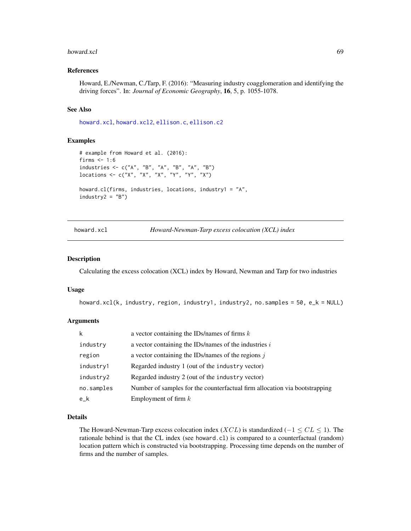#### howard.xcl 69

### References

Howard, E./Newman, C./Tarp, F. (2016): "Measuring industry coagglomeration and identifying the driving forces". In: *Journal of Economic Geography*, 16, 5, p. 1055-1078.

#### See Also

[howard.xcl](#page-68-0), [howard.xcl2](#page-69-0), [ellison.c](#page-29-0), [ellison.c2](#page-30-0)

## Examples

```
# example from Howard et al. (2016):
firms <-1:6industries <- c("A", "B", "A", "B", "A", "B")
locations <- c("X", "X", "X", "Y", "Y", "X")
howard.cl(firms, industries, locations, industry1 = "A",
industry2 = "B")
```
<span id="page-68-0"></span>howard.xcl *Howard-Newman-Tarp excess colocation (XCL) index*

# Description

Calculating the excess colocation (XCL) index by Howard, Newman and Tarp for two industries

### Usage

```
howard.xcl(k, industry, region, industry1, industry2, no.samples = 50, e_k = NULL)
```
# Arguments

| k          | a vector containing the IDs/names of firms $k$                             |
|------------|----------------------------------------------------------------------------|
| industry   | a vector containing the IDs/names of the industries $i$                    |
| region     | a vector containing the IDs/names of the regions $j$                       |
| industry1  | Regarded industry 1 (out of the industry vector)                           |
| industry2  | Regarded industry 2 (out of the industry vector)                           |
| no.samples | Number of samples for the counterfactual firm allocation via bootstrapping |
| $e_{-}k$   | Employment of firm $k$                                                     |

### Details

The Howard-Newman-Tarp excess colocation index ( $XCL$ ) is standardized ( $-1 \le CL \le 1$ ). The rationale behind is that the CL index (see howard.cl) is compared to a counterfactual (random) location pattern which is constructed via bootstrapping. Processing time depends on the number of firms and the number of samples.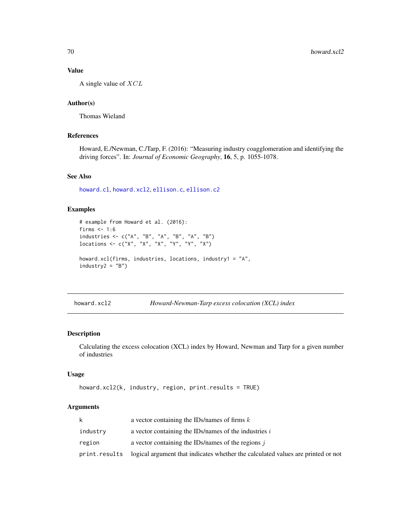# Value

A single value of  $XCL$ 

# Author(s)

Thomas Wieland

# References

Howard, E./Newman, C./Tarp, F. (2016): "Measuring industry coagglomeration and identifying the driving forces". In: *Journal of Economic Geography*, 16, 5, p. 1055-1078.

# See Also

[howard.cl](#page-67-0), [howard.xcl2](#page-69-0), [ellison.c](#page-29-0), [ellison.c2](#page-30-0)

## Examples

```
# example from Howard et al. (2016):
firms <-1:6industries <- c("A", "B", "A", "B", "A", "B")
locations <- c("X", "X", "X", "Y", "Y", "X")
howard.xcl(firms, industries, locations, industry1 = "A",
industry2 = "B")
```
<span id="page-69-0"></span>howard.xcl2 *Howard-Newman-Tarp excess colocation (XCL) index*

### Description

Calculating the excess colocation (XCL) index by Howard, Newman and Tarp for a given number of industries

# Usage

```
howard.xcl2(k, industry, region, print.results = TRUE)
```
#### **Arguments**

| k        | a vector containing the IDs/names of firms $k$                                                  |
|----------|-------------------------------------------------------------------------------------------------|
| industry | a vector containing the IDs/names of the industries $i$                                         |
| region   | a vector containing the IDs/names of the regions $\dot{\mathbf{i}}$                             |
|          | print. results logical argument that indicates whether the calculated values are printed or not |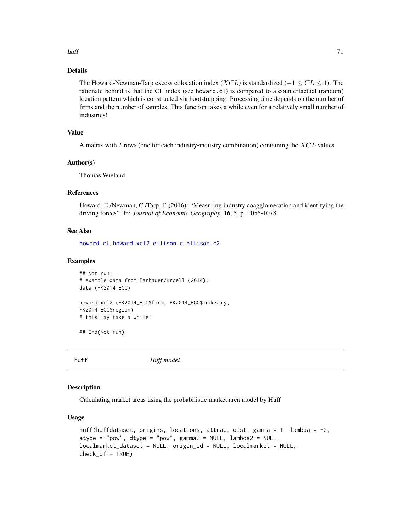### huff **71**

# Details

The Howard-Newman-Tarp excess colocation index ( $XCL$ ) is standardized ( $-1 \le CL \le 1$ ). The rationale behind is that the CL index (see howard.cl) is compared to a counterfactual (random) location pattern which is constructed via bootstrapping. Processing time depends on the number of firms and the number of samples. This function takes a while even for a relatively small number of industries!

# Value

A matrix with  $I$  rows (one for each industry-industry combination) containing the  $XCL$  values

### Author(s)

Thomas Wieland

## References

Howard, E./Newman, C./Tarp, F. (2016): "Measuring industry coagglomeration and identifying the driving forces". In: *Journal of Economic Geography*, 16, 5, p. 1055-1078.

### See Also

[howard.cl](#page-67-0), [howard.xcl2](#page-69-0), [ellison.c](#page-29-0), [ellison.c2](#page-30-0)

#### Examples

```
## Not run:
# example data from Farhauer/Kroell (2014):
data (FK2014_EGC)
howard.xcl2 (FK2014_EGC$firm, FK2014_EGC$industry,
FK2014_EGC$region)
# this may take a while!
```
## End(Not run)

<span id="page-70-0"></span>huff *Huff model*

# Description

Calculating market areas using the probabilistic market area model by Huff

### Usage

```
huff(huffdataset, origins, locations, attrac, dist, gamma = 1, lambda = -2,
atype = "pow", dtype = "pow", gamma2 = NULL, lambda2 = NULL,localmarket_dataset = NULL, origin_id = NULL, localmarket = NULL,
check_df = TRUE)
```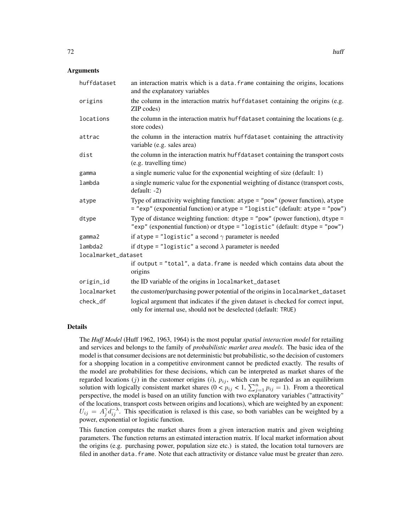| huffdataset         | an interaction matrix which is a data. frame containing the origins, locations<br>and the explanatory variables                                                 |
|---------------------|-----------------------------------------------------------------------------------------------------------------------------------------------------------------|
| origins             | the column in the interaction matrix huffdataset containing the origins (e.g.<br>ZIP codes)                                                                     |
| locations           | the column in the interaction matrix huffdataset containing the locations (e.g.<br>store codes)                                                                 |
| attrac              | the column in the interaction matrix huffdataset containing the attractivity<br>variable (e.g. sales area)                                                      |
| dist                | the column in the interaction matrix huffdataset containing the transport costs<br>(e.g. travelling time)                                                       |
| gamma               | a single numeric value for the exponential weighting of size (default: 1)                                                                                       |
| lambda              | a single numeric value for the exponential weighting of distance (transport costs,<br>$default: -2)$                                                            |
| atype               | Type of attractivity weighting function: atype = "pow" (power function), atype<br>= "exp" (exponential function) or atype = "logistic" (default: atype = "pow") |
| dtype               | Type of distance weighting function: $dtype = "pow"$ (power function), $dtype =$<br>"exp" (exponential function) or dtype = "logistic" (default: dtype = "pow") |
| gamma2              | if atype = "logistic" a second $\gamma$ parameter is needed                                                                                                     |
| lambda2             | if dtype = "logistic" a second $\lambda$ parameter is needed                                                                                                    |
| localmarket_dataset |                                                                                                                                                                 |
|                     | if output = "total", a data. frame is needed which contains data about the<br>origins                                                                           |
| origin_id           | the ID variable of the origins in localmarket_dataset                                                                                                           |
| localmarket         | the customer/purchasing power potential of the origins in localmarket_dataset                                                                                   |
| check_df            | logical argument that indicates if the given dataset is checked for correct input,<br>only for internal use, should not be deselected (default: TRUE)           |

#### Details

The *Huff Model* (Huff 1962, 1963, 1964) is the most popular *spatial interaction model* for retailing and services and belongs to the family of *probabilistic market area models*. The basic idea of the model is that consumer decisions are not deterministic but probabilistic, so the decision of customers for a shopping location in a competitive environment cannot be predicted exactly. The results of the model are probabilities for these decisions, which can be interpreted as market shares of the regarded locations (j) in the customer origins (i),  $p_{ij}$ , which can be regarded as an equilibrium solution with logically consistent market shares  $(0 \lt p_{ij} \lt 1, \sum_{j=1}^n p_{ij} = 1)$ . From a theoretical perspective, the model is based on an utility function with two explanatory variables ("attractivity" of the locations, transport costs between origins and locations), which are weighted by an exponent:  $U_{ij} = A_j^{\gamma} d_{ij}^{-\lambda}$ . This specification is relaxed is this case, so both variables can be weighted by a power, exponential or logistic function.

This function computes the market shares from a given interaction matrix and given weighting parameters. The function returns an estimated interaction matrix. If local market information about the origins (e.g. purchasing power, population size etc.) is stated, the location total turnovers are filed in another data. frame. Note that each attractivity or distance value must be greater than zero.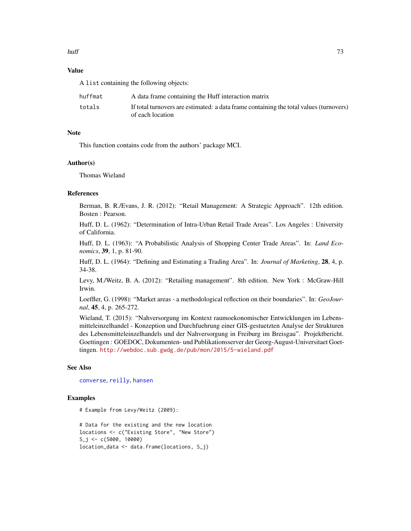## huff **13**

# Value

A list containing the following objects:

| huffmat | A data frame containing the Huff interaction matrix                                    |
|---------|----------------------------------------------------------------------------------------|
| totals  | If total turnovers are estimated: a data frame containing the total values (turnovers) |
|         | of each location                                                                       |

# Note

This function contains code from the authors' package MCI.

## Author(s)

Thomas Wieland

#### References

Berman, B. R./Evans, J. R. (2012): "Retail Management: A Strategic Approach". 12th edition. Bosten : Pearson.

Huff, D. L. (1962): "Determination of Intra-Urban Retail Trade Areas". Los Angeles : University of California.

Huff, D. L. (1963): "A Probabilistic Analysis of Shopping Center Trade Areas". In: *Land Economics*, 39, 1, p. 81-90.

Huff, D. L. (1964): "Defining and Estimating a Trading Area". In: *Journal of Marketing*, 28, 4, p. 34-38.

Levy, M./Weitz, B. A. (2012): "Retailing management". 8th edition. New York : McGraw-Hill Irwin.

Loeffler, G. (1998): "Market areas - a methodological reflection on their boundaries". In: *GeoJournal*, 45, 4, p. 265-272.

Wieland, T. (2015): "Nahversorgung im Kontext raumoekonomischer Entwicklungen im Lebensmitteleinzelhandel - Konzeption und Durchfuehrung einer GIS-gestuetzten Analyse der Strukturen des Lebensmitteleinzelhandels und der Nahversorgung in Freiburg im Breisgau". Projektbericht. Goettingen : GOEDOC, Dokumenten- und Publikationsserver der Georg-August-Universitaet Goettingen. <http://webdoc.sub.gwdg.de/pub/mon/2015/5-wieland.pdf>

## See Also

[converse](#page-14-0), [reilly](#page-100-0), [hansen](#page-61-0)

## Examples

# Example from Levy/Weitz (2009):

# Data for the existing and the new location locations <- c("Existing Store", "New Store") S\_j <- c(5000, 10000) location\_data <- data.frame(locations, S\_j)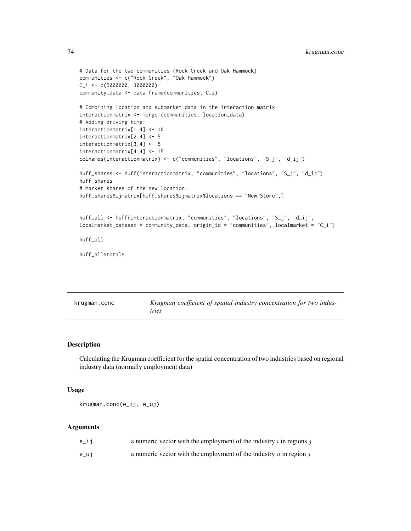```
# Data for the two communities (Rock Creek and Oak Hammock)
communities <- c("Rock Creek", "Oak Hammock")
C_i <- c(5000000, 3000000)
community_data <- data.frame(communities, C_i)
# Combining location and submarket data in the interaction matrix
interactionmatrix <- merge (communities, location_data)
# Adding driving time:
interactionmatrix[1,4] <- 10
interactionmatrix[2,4] <- 5
interactionmatrix[3,4] <- 5
interactionmatrix[4,4] <- 15
colnames(interactionmatrix) <- c("communities", "locations", "S_j", "d_ij")
huff_shares <- huff(interactionmatrix, "communities", "locations", "S_j", "d_ij")
huff_shares
# Market shares of the new location:
huff_shares$ijmatrix[huff_shares$ijmatrix$locations == "New Store",]
huff_all <- huff(interactionmatrix, "communities", "locations", "S_j", "d_ij",
local market_dataset = community_data, origin_id = "communities", localmarket = "C_i")huff_all
huff_all$totals
```
<span id="page-73-0"></span>

| krugman.conc | Krugman coefficient of spatial industry concentration for two indus- |
|--------------|----------------------------------------------------------------------|
|              | tries                                                                |

# Description

Calculating the Krugman coefficient for the spatial concentration of two industries based on regional industry data (normally employment data)

## Usage

krugman.conc(e\_ij, e\_uj)

| e_ij | a numeric vector with the employment of the industry $i$ in regions $j$ |
|------|-------------------------------------------------------------------------|
| e_uj | a numeric vector with the employment of the industry $u$ in region $j$  |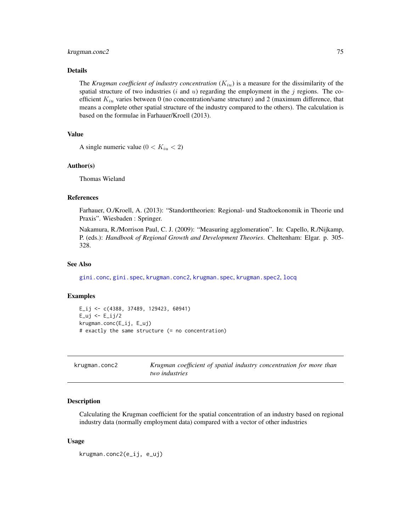#### krugman.conc2 75

## Details

The *Krugman coefficient of industry concentration*  $(K_{iu})$  is a measure for the dissimilarity of the spatial structure of two industries ( $i$  and  $u$ ) regarding the employment in the  $j$  regions. The coefficient  $K_{iu}$  varies between 0 (no concentration/same structure) and 2 (maximum difference, that means a complete other spatial structure of the industry compared to the others). The calculation is based on the formulae in Farhauer/Kroell (2013).

## Value

A single numeric value  $(0 < K_{iu} < 2)$ 

#### Author(s)

Thomas Wieland

#### References

Farhauer, O./Kroell, A. (2013): "Standorttheorien: Regional- und Stadtoekonomik in Theorie und Praxis". Wiesbaden : Springer.

Nakamura, R./Morrison Paul, C. J. (2009): "Measuring agglomeration". In: Capello, R./Nijkamp, P. (eds.): *Handbook of Regional Growth and Development Theories*. Cheltenham: Elgar. p. 305- 328.

## See Also

[gini.conc](#page-49-0), [gini.spec](#page-51-0), [krugman.conc2](#page-74-0), [krugman.spec](#page-76-0), [krugman.spec2](#page-77-0), [locq](#page-82-0)

#### Examples

```
E_ij <- c(4388, 37489, 129423, 60941)
E_{uj} < -E_{jj}/2krugman.conc(E_ij, E_uj)
# exactly the same structure (= no concentration)
```
<span id="page-74-0"></span>

| krugman.conc2 | Krugman coefficient of spatial industry concentration for more than |
|---------------|---------------------------------------------------------------------|
|               | <i>two industries</i>                                               |

## Description

Calculating the Krugman coefficient for the spatial concentration of an industry based on regional industry data (normally employment data) compared with a vector of other industries

## Usage

krugman.conc2(e\_ij, e\_uj)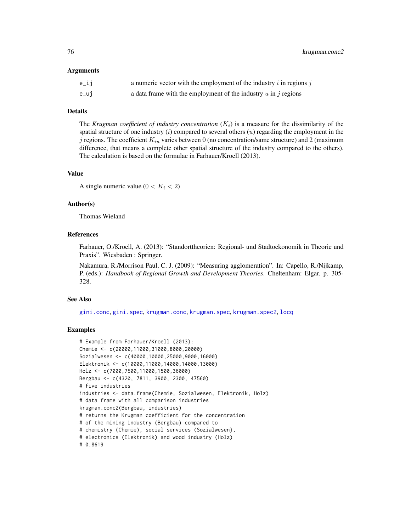76 krugman.conc2

#### Arguments

| e_ij | a numeric vector with the employment of the industry $i$ in regions $j$ |
|------|-------------------------------------------------------------------------|
| e_uj | a data frame with the employment of the industry $u$ in $j$ regions     |

## Details

The *Krugman coefficient of industry concentration*  $(K_i)$  is a measure for the dissimilarity of the spatial structure of one industry  $(i)$  compared to several others  $(u)$  regarding the employment in the j regions. The coefficient  $K_{iu}$  varies between 0 (no concentration/same structure) and 2 (maximum difference, that means a complete other spatial structure of the industry compared to the others). The calculation is based on the formulae in Farhauer/Kroell (2013).

# Value

A single numeric value  $(0 < K<sub>i</sub> < 2)$ 

## Author(s)

Thomas Wieland

## **References**

Farhauer, O./Kroell, A. (2013): "Standorttheorien: Regional- und Stadtoekonomik in Theorie und Praxis". Wiesbaden : Springer.

Nakamura, R./Morrison Paul, C. J. (2009): "Measuring agglomeration". In: Capello, R./Nijkamp, P. (eds.): *Handbook of Regional Growth and Development Theories*. Cheltenham: Elgar. p. 305- 328.

# See Also

[gini.conc](#page-49-0), [gini.spec](#page-51-0), [krugman.conc](#page-73-0), [krugman.spec](#page-76-0), [krugman.spec2](#page-77-0), [locq](#page-82-0)

#### Examples

```
# Example from Farhauer/Kroell (2013):
Chemie <- c(20000,11000,31000,8000,20000)
Sozialwesen <- c(40000,10000,25000,9000,16000)
Elektronik <- c(10000,11000,14000,14000,13000)
Holz <- c(7000,7500,11000,1500,36000)
Bergbau <- c(4320, 7811, 3900, 2300, 47560)
# five industries
industries <- data.frame(Chemie, Sozialwesen, Elektronik, Holz)
# data frame with all comparison industries
krugman.conc2(Bergbau, industries)
# returns the Krugman coefficient for the concentration
# of the mining industry (Bergbau) compared to
# chemistry (Chemie), social services (Sozialwesen),
# electronics (Elektronik) and wood industry (Holz)
# 0.8619
```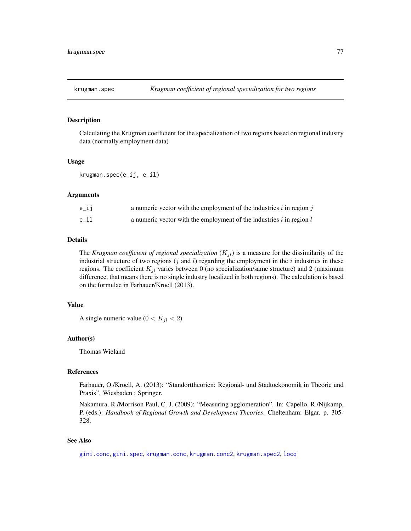<span id="page-76-0"></span>

## Description

Calculating the Krugman coefficient for the specialization of two regions based on regional industry data (normally employment data)

## Usage

krugman.spec(e\_ij, e\_il)

# Arguments

| e_ii | a numeric vector with the employment of the industries $i$ in region $j$ |
|------|--------------------------------------------------------------------------|
| e il | a numeric vector with the employment of the industries $i$ in region $l$ |

# Details

The *Krugman coefficient of regional specialization*  $(K_{jl})$  is a measure for the dissimilarity of the industrial structure of two regions  $(j \text{ and } l)$  regarding the employment in the i industries in these regions. The coefficient  $K_{jl}$  varies between 0 (no specialization/same structure) and 2 (maximum difference, that means there is no single industry localized in both regions). The calculation is based on the formulae in Farhauer/Kroell (2013).

## Value

A single numeric value  $(0 < K_{jl} < 2)$ 

#### Author(s)

Thomas Wieland

## References

Farhauer, O./Kroell, A. (2013): "Standorttheorien: Regional- und Stadtoekonomik in Theorie und Praxis". Wiesbaden : Springer.

Nakamura, R./Morrison Paul, C. J. (2009): "Measuring agglomeration". In: Capello, R./Nijkamp, P. (eds.): *Handbook of Regional Growth and Development Theories*. Cheltenham: Elgar. p. 305- 328.

## See Also

[gini.conc](#page-49-0), [gini.spec](#page-51-0), [krugman.conc](#page-73-0), [krugman.conc2](#page-74-0), [krugman.spec2](#page-77-0), [locq](#page-82-0)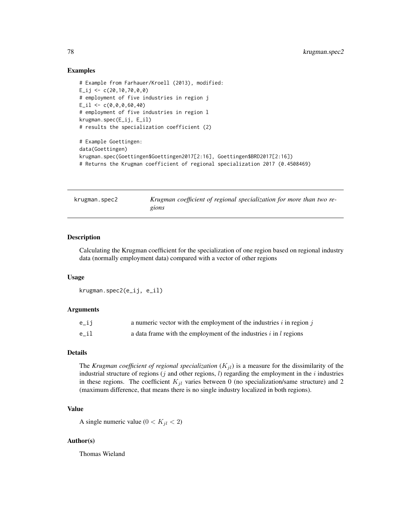## Examples

```
# Example from Farhauer/Kroell (2013), modified:
E_{ij} <- c(20,10,70,0,0)
# employment of five industries in region j
E_i1 < -c(0,0,0,60,40)# employment of five industries in region l
krugman.spec(E_ij, E_il)
# results the specialization coefficient (2)
# Example Goettingen:
data(Goettingen)
krugman.spec(Goettingen$Goettingen2017[2:16], Goettingen$BRD2017[2:16])
# Returns the Krugman coefficient of regional specialization 2017 (0.4508469)
```
<span id="page-77-0"></span>krugman.spec2 *Krugman coefficient of regional specialization for more than two regions*

## **Description**

Calculating the Krugman coefficient for the specialization of one region based on regional industry data (normally employment data) compared with a vector of other regions

#### Usage

```
krugman.spec2(e_ij, e_il)
```
## Arguments

| e_ij | a numeric vector with the employment of the industries $i$ in region $j$ |
|------|--------------------------------------------------------------------------|
| e il | a data frame with the employment of the industries $i$ in $l$ regions    |

#### Details

The *Krugman coefficient of regional specialization*  $(K_{jl})$  is a measure for the dissimilarity of the industrial structure of regions  $(j$  and other regions,  $l$ ) regarding the employment in the  $i$  industries in these regions. The coefficient  $K_{jl}$  varies between 0 (no specialization/same structure) and 2 (maximum difference, that means there is no single industry localized in both regions).

## Value

A single numeric value  $(0 < K_{il} < 2)$ 

## Author(s)

Thomas Wieland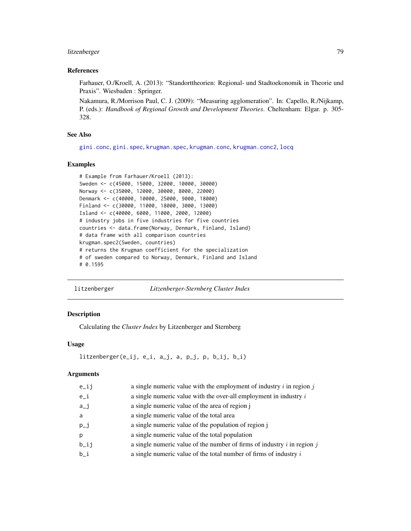# litzenberger 79

## References

Farhauer, O./Kroell, A. (2013): "Standorttheorien: Regional- und Stadtoekonomik in Theorie und Praxis". Wiesbaden : Springer.

Nakamura, R./Morrison Paul, C. J. (2009): "Measuring agglomeration". In: Capello, R./Nijkamp, P. (eds.): *Handbook of Regional Growth and Development Theories*. Cheltenham: Elgar. p. 305- 328.

## See Also

[gini.conc](#page-49-0), [gini.spec](#page-51-0), [krugman.spec](#page-76-0), [krugman.conc](#page-73-0), [krugman.conc2](#page-74-0), [locq](#page-82-0)

# Examples

```
# Example from Farhauer/Kroell (2013):
Sweden <- c(45000, 15000, 32000, 10000, 30000)
Norway <- c(35000, 12000, 30000, 8000, 22000)
Denmark <- c(40000, 10000, 25000, 9000, 18000)
Finland <- c(30000, 11000, 18000, 3000, 13000)
Island <- c(40000, 6000, 11000, 2000, 12000)
# industry jobs in five industries for five countries
countries <- data.frame(Norway, Denmark, Finland, Island)
# data frame with all comparison countries
krugman.spec2(Sweden, countries)
# returns the Krugman coefficient for the specialization
# of sweden compared to Norway, Denmark, Finland and Island
# 0.1595
```
<span id="page-78-0"></span>litzenberger *Litzenberger-Sternberg Cluster Index*

# Description

Calculating the *Cluster Index* by Litzenberger and Sternberg

#### Usage

```
litzenberger(e_ij, e_i, a_j, a, p_j, p, b_ij, b_i)
```

| e_ij | a single numeric value with the employment of industry $i$ in region $j$    |
|------|-----------------------------------------------------------------------------|
| e_i  | a single numeric value with the over-all employment in industry $i$         |
| a_j  | a single numeric value of the area of region j                              |
| a    | a single numeric value of the total area                                    |
| p_j  | a single numeric value of the population of region j                        |
| p    | a single numeric value of the total population                              |
| b_ij | a single numeric value of the number of firms of industry $i$ in region $j$ |
| b_i  | a single numeric value of the total number of firms of industry $i$         |
|      |                                                                             |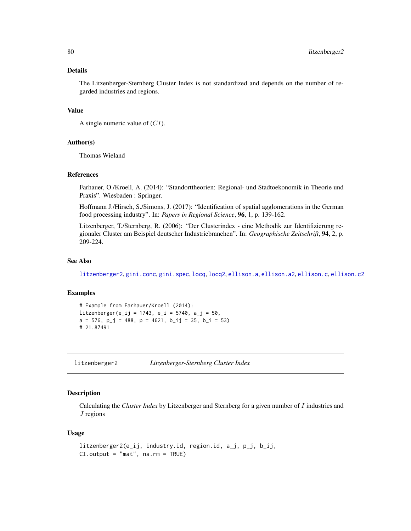The Litzenberger-Sternberg Cluster Index is not standardized and depends on the number of regarded industries and regions.

# Value

```
A single numeric value of (CI).
```
## Author(s)

Thomas Wieland

## References

Farhauer, O./Kroell, A. (2014): "Standorttheorien: Regional- und Stadtoekonomik in Theorie und Praxis". Wiesbaden : Springer.

Hoffmann J./Hirsch, S./Simons, J. (2017): "Identification of spatial agglomerations in the German food processing industry". In: *Papers in Regional Science*, 96, 1, p. 139-162.

Litzenberger, T./Sternberg, R. (2006): "Der Clusterindex - eine Methodik zur Identifizierung regionaler Cluster am Beispiel deutscher Industriebranchen". In: *Geographische Zeitschrift*, 94, 2, p. 209-224.

# See Also

[litzenberger2](#page-79-0), [gini.conc](#page-49-0), [gini.spec](#page-51-0), [locq](#page-82-0), [locq2](#page-86-0), [ellison.a](#page-27-0), [ellison.a2](#page-28-0), [ellison.c](#page-29-0), [ellison.c2](#page-30-0)

## Examples

```
# Example from Farhauer/Kroell (2014):
litzenberger(e_i = 1743, e_i = 5740, a_i = 50,a = 576, p_j = 488, p = 4621, b_i = 35, b_i = 53# 21.87491
```
<span id="page-79-0"></span>litzenberger2 *Litzenberger-Sternberg Cluster Index*

## Description

Calculating the *Cluster Index* by Litzenberger and Sternberg for a given number of I industries and  $J$  regions

#### Usage

```
litzenberger2(e_ij, industry.id, region.id, a_j, p_j, b_ij,
CI.output = "mat", na.rm = TRUE)
```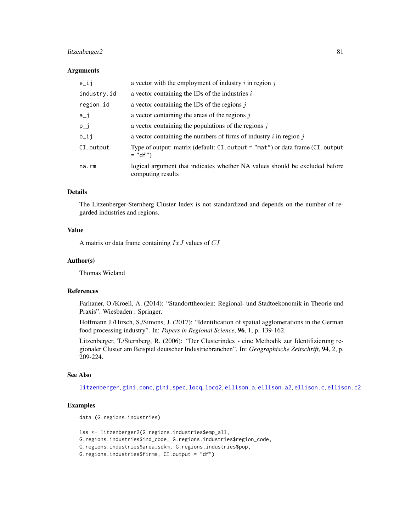# litzenberger2 81

## **Arguments**

| $e$ _ij     | a vector with the employment of industry $i$ in region $j$                                        |
|-------------|---------------------------------------------------------------------------------------------------|
| industry.id | a vector containing the IDs of the industries $i$                                                 |
| region.id   | a vector containing the IDs of the regions $j$                                                    |
| $a_i$       | a vector containing the areas of the regions $j$                                                  |
| $p_i$       | a vector containing the populations of the regions $j$                                            |
| $b$ _ij     | a vector containing the numbers of firms of industry $i$ in region $j$                            |
| CI.output   | Type of output: matrix (default: $CI$ . output = "mat") or data frame $(Cl$ . output<br>$=$ "df") |
| na.rm       | logical argument that indicates whether NA values should be excluded before<br>computing results  |

# Details

The Litzenberger-Sternberg Cluster Index is not standardized and depends on the number of regarded industries and regions.

#### Value

A matrix or data frame containing  $IxJ$  values of  $CI$ 

#### Author(s)

Thomas Wieland

# References

Farhauer, O./Kroell, A. (2014): "Standorttheorien: Regional- und Stadtoekonomik in Theorie und Praxis". Wiesbaden : Springer.

Hoffmann J./Hirsch, S./Simons, J. (2017): "Identification of spatial agglomerations in the German food processing industry". In: *Papers in Regional Science*, 96, 1, p. 139-162.

Litzenberger, T./Sternberg, R. (2006): "Der Clusterindex - eine Methodik zur Identifizierung regionaler Cluster am Beispiel deutscher Industriebranchen". In: *Geographische Zeitschrift*, 94, 2, p. 209-224.

## See Also

[litzenberger](#page-78-0), [gini.conc](#page-49-0), [gini.spec](#page-51-0), [locq](#page-82-0), [locq2](#page-86-0), [ellison.a](#page-27-0), [ellison.a2](#page-28-0), [ellison.c](#page-29-0), [ellison.c2](#page-30-0)

### Examples

```
data (G.regions.industries)
```

```
lss <- litzenberger2(G.regions.industries$emp_all,
G.regions.industries$ind_code, G.regions.industries$region_code,
G.regions.industries$area_sqkm, G.regions.industries$pop,
G.regions.industries$firms, CI.output = "df")
```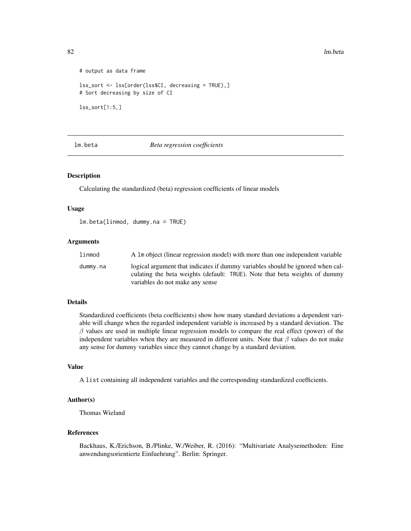82 lm.beta

```
# output as data frame
lss_sort <- lss[order(lss$CI, decreasing = TRUE),]
# Sort decreasing by size of CI
lss_sort[1:5,]
```
# lm.beta *Beta regression coefficients*

## Description

Calculating the standardized (beta) regression coefficients of linear models

#### Usage

lm.beta(linmod, dummy.na = TRUE)

## Arguments

| linmod   | A 1m object (linear regression model) with more than one independent variable                                                                                                                   |
|----------|-------------------------------------------------------------------------------------------------------------------------------------------------------------------------------------------------|
| dummy.na | logical argument that indicates if dummy variables should be ignored when cal-<br>culating the beta weights (default: TRUE). Note that beta weights of dummy<br>variables do not make any sense |

# Details

Standardized coefficients (beta coefficients) show how many standard deviations a dependent variable will change when the regarded independent variable is increased by a standard deviation. The  $\beta$  values are used in multiple linear regression models to compare the real effect (power) of the independent variables when they are measured in different units. Note that  $\beta$  values do not make any sense for dummy variables since they cannot change by a standard deviation.

## Value

A list containing all independent variables and the corresponding standardized coefficients.

## Author(s)

Thomas Wieland

## References

Backhaus, K./Erichson, B./Plinke, W./Weiber, R. (2016): "Multivariate Analysemethoden: Eine anwendungsorientierte Einfuehrung". Berlin: Springer.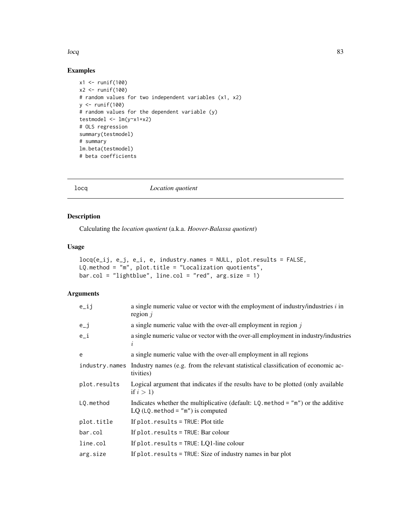#### locq 83

# Examples

```
x1 <- runif(100)
x2 < - runif(100)
# random values for two independent variables (x1, x2)
y <- runif(100)
# random values for the dependent variable (y)
testmodel <- lm(y~x1+x2)
# OLS regression
summary(testmodel)
# summary
lm.beta(testmodel)
# beta coefficients
```
<span id="page-82-0"></span>locq *Location quotient*

# Description

Calculating the *location quotient* (a.k.a. *Hoover-Balassa quotient*)

# Usage

```
locq(e_i, i, e_j, e_i, e_i, i, d) industry.names = NULL, plot.results = FALSE,
LQ.method = "m", plot.title = "Localization quotients",
bar.col = "lightblue", line.col = "red", arg.size = 1)
```

| $e$ _ij      | a single numeric value or vector with the employment of industry/industries $i$ in<br>region $j$                          |
|--------------|---------------------------------------------------------------------------------------------------------------------------|
| $e_{-}j$     | a single numeric value with the over-all employment in region $j$                                                         |
| $e_i$        | a single numeric value or vector with the over-all employment in industry/industries<br>i                                 |
| e            | a single numeric value with the over-all employment in all regions                                                        |
|              | industry names Industry names (e.g. from the relevant statistical classification of economic ac-<br>tivities)             |
| plot.results | Logical argument that indicates if the results have to be plotted (only available<br>if $i > 1$                           |
| LQ.method    | Indicates whether the multiplicative (default: $LQ$ . method = "m") or the additive<br>$LQ$ (LQ method = "m") is computed |
| plot.title   | If $plot. results = TRUE: Plot title$                                                                                     |
| bar.col      | If $plot. results = TRUE: Bar colour$                                                                                     |
| line.col     | If $plot. results = TRUE: LQ1-line colour$                                                                                |
| arg.size     | If $plot. results = TRUE: Size of industry names in bar plot$                                                             |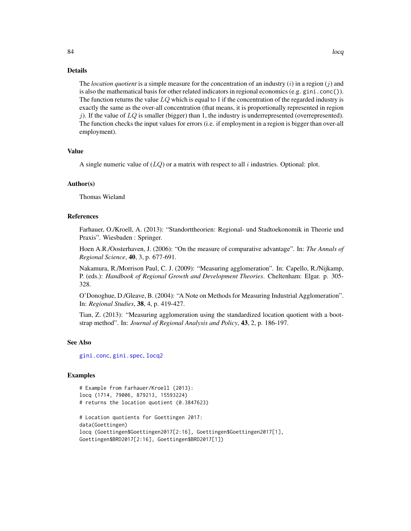The *location quotient* is a simple measure for the concentration of an industry (i) in a region (j) and is also the mathematical basis for other related indicators in regional economics (e.g.  $gini.com()$ ). The function returns the value  $LQ$  which is equal to 1 if the concentration of the regarded industry is exactly the same as the over-all concentration (that means, it is proportionally represented in region j). If the value of  $LQ$  is smaller (bigger) than 1, the industry is underrepresented (overrepresented). The function checks the input values for errors (i.e. if employment in a region is bigger than over-all employment).

## Value

A single numeric value of  $(LQ)$  or a matrix with respect to all i industries. Optional: plot.

#### Author(s)

Thomas Wieland

## References

Farhauer, O./Kroell, A. (2013): "Standorttheorien: Regional- und Stadtoekonomik in Theorie und Praxis". Wiesbaden : Springer.

Hoen A.R./Oosterhaven, J. (2006): "On the measure of comparative advantage". In: *The Annals of Regional Science*, 40, 3, p. 677-691.

Nakamura, R./Morrison Paul, C. J. (2009): "Measuring agglomeration". In: Capello, R./Nijkamp, P. (eds.): *Handbook of Regional Growth and Development Theories*. Cheltenham: Elgar. p. 305- 328.

O'Donoghue, D./Gleave, B. (2004): "A Note on Methods for Measuring Industrial Agglomeration". In: *Regional Studies*, 38, 4, p. 419-427.

Tian, Z. (2013): "Measuring agglomeration using the standardized location quotient with a bootstrap method". In: *Journal of Regional Analysis and Policy*, 43, 2, p. 186-197.

# See Also

[gini.conc](#page-49-0), [gini.spec](#page-51-0), [locq2](#page-86-0)

## Examples

```
# Example from Farhauer/Kroell (2013):
locq (1714, 79006, 879213, 15593224)
# returns the location quotient (0.3847623)
# Location quotients for Goettingen 2017:
data(Goettingen)
locq (Goettingen$Goettingen2017[2:16], Goettingen$Goettingen2017[1],
```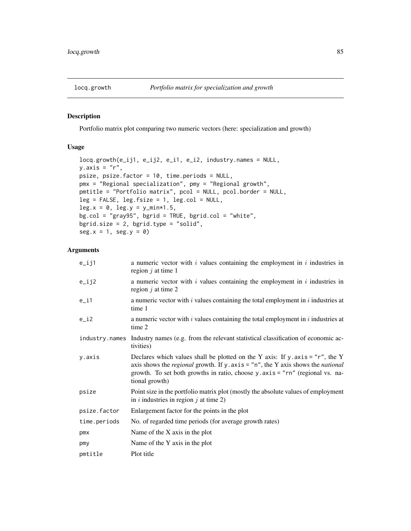## Description

Portfolio matrix plot comparing two numeric vectors (here: specialization and growth)

# Usage

```
locq.growth(e_ij1, e_ij2, e_i1, e_i2, industry.names = NULL,
y.\exists x \in "r",psize, psize.factor = 10, time.periods = NULL,
pmx = "Regional specialization", pmy = "Regional growth",
pmtitle = "Portfolio matrix", pcol = NULL, pcol.border = NULL,
leg = FALSE, leg.fsize = 1, leg,col = NULL,leg.x = 0, leg.y = y=min*1.5,
bg.col = "gray95", bgrid = TRUE, bgrid.col = "white",
bgrid.size = 2, bgrid.type = "solid",
seg.x = 1, seg.y = 0)
```

| $e$ _ij1     | a numeric vector with $i$ values containing the employment in $i$ industries in<br>region $j$ at time 1                                                                                                                                                                                      |
|--------------|----------------------------------------------------------------------------------------------------------------------------------------------------------------------------------------------------------------------------------------------------------------------------------------------|
| $e$ _ij2     | a numeric vector with $i$ values containing the employment in $i$ industries in<br>region $j$ at time 2                                                                                                                                                                                      |
| $e$ _i1      | a numeric vector with $i$ values containing the total employment in $i$ industries at<br>time 1                                                                                                                                                                                              |
| $e_i$        | a numeric vector with $i$ values containing the total employment in $i$ industries at<br>time 2                                                                                                                                                                                              |
|              | industry names Industry names (e.g. from the relevant statistical classification of economic ac-<br>tivities)                                                                                                                                                                                |
| y.axis       | Declares which values shall be plotted on the Y axis: If y .axis = " $r$ ", the Y<br>axis shows the <i>regional</i> growth. If $y \cdot axis = "n"$ , the Y axis shows the <i>national</i><br>growth. To set both growths in ratio, choose y.axis = "rn" (regional vs. na-<br>tional growth) |
| psize        | Point size in the portfolio matrix plot (mostly the absolute values of employment<br>in i industries in region j at time 2)                                                                                                                                                                  |
| psize.factor | Enlargement factor for the points in the plot                                                                                                                                                                                                                                                |
| time.periods | No. of regarded time periods (for average growth rates)                                                                                                                                                                                                                                      |
| pmx          | Name of the X axis in the plot                                                                                                                                                                                                                                                               |
| pmy          | Name of the Y axis in the plot                                                                                                                                                                                                                                                               |
| pmtitle      | Plot title                                                                                                                                                                                                                                                                                   |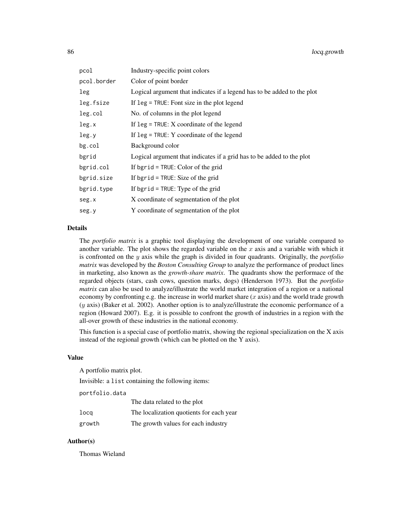| pcol        | Industry-specific point colors                                          |
|-------------|-------------------------------------------------------------------------|
| pcol.border | Color of point border                                                   |
| leg         | Logical argument that indicates if a legend has to be added to the plot |
| leg.fsize   | If $leg = TRUE$ : Font size in the plot legend                          |
| leg.col     | No. of columns in the plot legend                                       |
| leg.x       | If $leg = TRUE: X coordinate$ of the legend                             |
| leg.y       | If $leg = TRUE$ : Y coordinate of the legend                            |
| $bg$ .col   | Background color                                                        |
| bgrid       | Logical argument that indicates if a grid has to be added to the plot   |
| bgrid.col   | If bgrid = $TRUE$ : Color of the grid                                   |
| bgrid.size  | If bgrid = $TRUE$ : Size of the grid                                    |
| bgrid.type  | If bgrid = $TRUE$ : Type of the grid                                    |
| seg.x       | X coordinate of segmentation of the plot                                |
| seg.y       | Y coordinate of segmentation of the plot                                |

The *portfolio matrix* is a graphic tool displaying the development of one variable compared to another variable. The plot shows the regarded variable on the  $x$  axis and a variable with which it is confronted on the y axis while the graph is divided in four quadrants. Originally, the *portfolio matrix* was developed by the *Boston Consulting Group* to analyze the performance of product lines in marketing, also known as the *growth-share matrix*. The quadrants show the performace of the regarded objects (stars, cash cows, question marks, dogs) (Henderson 1973). But the *portfolio matrix* can also be used to analyze/illustrate the world market integration of a region or a national economy by confronting e.g. the increase in world market share  $(x \text{ axis})$  and the world trade growth (y axis) (Baker et al. 2002). Another option is to analyze/illustrate the economic performance of a region (Howard 2007). E.g. it is possible to confront the growth of industries in a region with the all-over growth of these industries in the national economy.

This function is a special case of portfolio matrix, showing the regional specialization on the X axis instead of the regional growth (which can be plotted on the Y axis).

## Value

A portfolio matrix plot.

Invisible: a list containing the following items:

portfolio.data

|        | The data related to the plot             |
|--------|------------------------------------------|
| locq   | The localization quotients for each year |
| growth | The growth values for each industry      |

## Author(s)

Thomas Wieland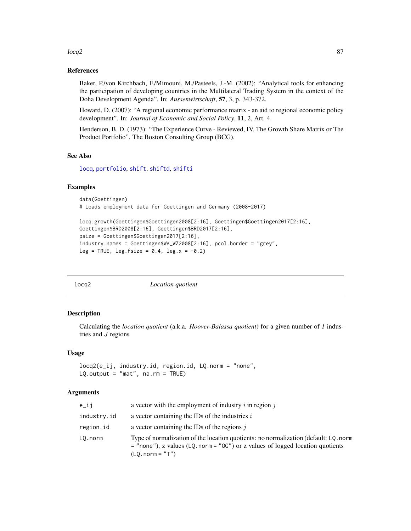#### $\log$ 2 87

## References

Baker, P./von Kirchbach, F./Mimouni, M./Pasteels, J.-M. (2002): "Analytical tools for enhancing the participation of developing countries in the Multilateral Trading System in the context of the Doha Development Agenda". In: *Aussenwirtschaft*, 57, 3, p. 343-372.

Howard, D. (2007): "A regional economic performance matrix - an aid to regional economic policy development". In: *Journal of Economic and Social Policy*, 11, 2, Art. 4.

Henderson, B. D. (1973): "The Experience Curve - Reviewed, IV. The Growth Share Matrix or The Product Portfolio". The Boston Consulting Group (BCG).

## See Also

[locq](#page-82-0), [portfolio](#page-93-0), [shift](#page-106-0), [shiftd](#page-110-0), [shifti](#page-113-0)

## Examples

```
data(Goettingen)
# Loads employment data for Goettingen and Germany (2008-2017)
```

```
locq.growth(Goettingen$Goettingen2008[2:16], Goettingen$Goettingen2017[2:16],
Goettingen$BRD2008[2:16], Goettingen$BRD2017[2:16],
psize = Goettingen$Goettingen2017[2:16],
industry.names = Goettingen$WA_WZ2008[2:16], pcol.border = "grey",
leg = TRUE, leg.fsize = 0.4, leg.x = -0.2)
```
<span id="page-86-0"></span>locq2 *Location quotient*

# Description

Calculating the *location quotient* (a.k.a. *Hoover-Balassa quotient*) for a given number of I industries and J regions

#### Usage

```
locq2(e_ij, industry.id, region.id, LQ.norm = "none",
LQ.output = "mat", na.rm = TRUE)
```

| e_ij        | a vector with the employment of industry $i$ in region $j$                                                                                                                                     |
|-------------|------------------------------------------------------------------------------------------------------------------------------------------------------------------------------------------------|
| industry.id | a vector containing the IDs of the industries $i$                                                                                                                                              |
| region.id   | a vector containing the IDs of the regions $j$                                                                                                                                                 |
| LO.norm     | Type of normalization of the location quotients: no normalization (default: LQ, norm<br>$=$ "none"), z values (LQ. norm = "0G") or z values of logged location quotients<br>$(LQ. norm = "T")$ |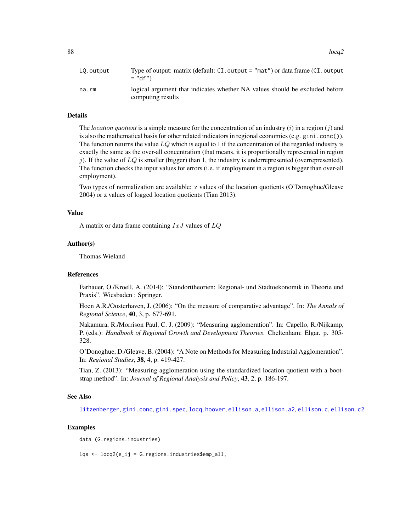$88$  locq2

| LQ.output | Type of output: matrix (default: $CI$ output = "mat") or data frame ( $CI$ output<br>$=$ "df")   |
|-----------|--------------------------------------------------------------------------------------------------|
| na.rm     | logical argument that indicates whether NA values should be excluded before<br>computing results |

# Details

The *location quotient* is a simple measure for the concentration of an industry  $(i)$  in a region  $(j)$  and is also the mathematical basis for other related indicators in regional economics (e.g. gini.conc()). The function returns the value  $LQ$  which is equal to 1 if the concentration of the regarded industry is exactly the same as the over-all concentration (that means, it is proportionally represented in region j). If the value of  $LQ$  is smaller (bigger) than 1, the industry is underrepresented (overrepresented). The function checks the input values for errors (i.e. if employment in a region is bigger than over-all employment).

Two types of normalization are available: z values of the location quotients (O'Donoghue/Gleave 2004) or z values of logged location quotients (Tian 2013).

## Value

A matrix or data frame containing  $IxJ$  values of  $LQ$ 

#### Author(s)

Thomas Wieland

#### References

Farhauer, O./Kroell, A. (2014): "Standorttheorien: Regional- und Stadtoekonomik in Theorie und Praxis". Wiesbaden : Springer.

Hoen A.R./Oosterhaven, J. (2006): "On the measure of comparative advantage". In: *The Annals of Regional Science*, 40, 3, p. 677-691.

Nakamura, R./Morrison Paul, C. J. (2009): "Measuring agglomeration". In: Capello, R./Nijkamp, P. (eds.): *Handbook of Regional Growth and Development Theories*. Cheltenham: Elgar. p. 305- 328.

O'Donoghue, D./Gleave, B. (2004): "A Note on Methods for Measuring Industrial Agglomeration". In: *Regional Studies*, 38, 4, p. 419-427.

Tian, Z. (2013): "Measuring agglomeration using the standardized location quotient with a bootstrap method". In: *Journal of Regional Analysis and Policy*, 43, 2, p. 186-197.

# See Also

[litzenberger](#page-78-0), [gini.conc](#page-49-0), [gini.spec](#page-51-0), [locq](#page-82-0), [hoover](#page-66-0), [ellison.a](#page-27-0), [ellison.a2](#page-28-0), [ellison.c](#page-29-0), [ellison.c2](#page-30-0)

# Examples

data (G.regions.industries)

lqs <- locq2(e\_ij = G.regions.industries\$emp\_all,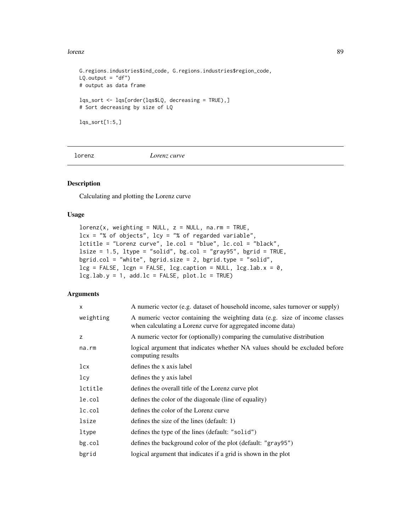#### lorenz and the set of the set of the set of the set of the set of the set of the set of the set of the set of the set of the set of the set of the set of the set of the set of the set of the set of the set of the set of th

```
G.regions.industries$ind_code, G.regions.industries$region_code,
LQ.output = "df")# output as data frame
lqs_sort <- lqs[order(lqs$LQ, decreasing = TRUE),]
# Sort decreasing by size of LQ
lqs_sort[1:5,]
```
lorenz *Lorenz curve*

## Description

Calculating and plotting the Lorenz curve

# Usage

```
lorenz(x, weighting = NULL, z = NULL, na.rm = TRUE,lcx = "% of objects", \n  lcy = "% of regarded variable",lctitle = "Lorenz curve", le.col = "blue", lc.col = "black",
lsize = 1.5, ltype = "solid", bg,col = "gray95", bgrid = TRUE,bgrid.col = "white", bgrid.size = 2, bgrid.type = "solid",
leg = FALSE, leg = FALSE, leg.caption = NULL, leg.lab.x = 0,leg.lab.y = 1, add.lc = FALSE, plot.lc = TRUE)
```

| A numeric vector (e.g. dataset of household income, sales turnover or supply)                                                              |
|--------------------------------------------------------------------------------------------------------------------------------------------|
| A numeric vector containing the weighting data (e.g. size of income classes<br>when calculating a Lorenz curve for aggregated income data) |
| A numeric vector for (optionally) comparing the cumulative distribution                                                                    |
| logical argument that indicates whether NA values should be excluded before<br>computing results                                           |
| defines the x axis label                                                                                                                   |
| defines the y axis label                                                                                                                   |
| defines the overall title of the Lorenz curve plot                                                                                         |
| defines the color of the diagonale (line of equality)                                                                                      |
| defines the color of the Lorenz curve                                                                                                      |
| defines the size of the lines (default: 1)                                                                                                 |
| defines the type of the lines (default: "solid")                                                                                           |
| defines the background color of the plot (default: "gray95")                                                                               |
| logical argument that indicates if a grid is shown in the plot                                                                             |
|                                                                                                                                            |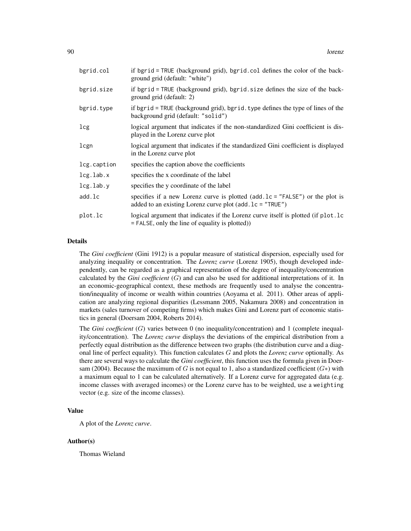| bgrid.col       | if bgrid = TRUE (background grid), bgrid.col defines the color of the back-<br>ground grid (default: "white")                                              |
|-----------------|------------------------------------------------------------------------------------------------------------------------------------------------------------|
| bgrid.size      | if bgrid = TRUE (background grid), bgrid.size defines the size of the back-<br>ground grid (default: 2)                                                    |
| bgrid.type      | if bgrid = TRUE (background grid), bgrid. type defines the type of lines of the<br>background grid (default: "solid")                                      |
| lcg             | logical argument that indicates if the non-standardized Gini coefficient is dis-<br>played in the Lorenz curve plot                                        |
| lcgn            | logical argument that indicates if the standardized Gini coefficient is displayed<br>in the Lorenz curve plot                                              |
| lcg.caption     | specifies the caption above the coefficients                                                                                                               |
| $leg.$ lab. $x$ | specifies the x coordinate of the label                                                                                                                    |
| lcg.lab.y       | specifies the y coordinate of the label                                                                                                                    |
| add.lc          | specifies if a new Lorenz curve is plotted $(\text{add}.lc = "FALSE")$ or the plot is<br>added to an existing Lorenz curve plot $(\text{add}.lc = "TRUE")$ |
| plot.lc         | logical argument that indicates if the Lorenz curve itself is plotted (if plot.lc<br>$=$ FALSE, only the line of equality is plotted)                      |

The *Gini coefficient* (Gini 1912) is a popular measure of statistical dispersion, especially used for analyzing inequality or concentration. The *Lorenz curve* (Lorenz 1905), though developed independently, can be regarded as a graphical representation of the degree of inequality/concentration calculated by the *Gini coefficient* (G) and can also be used for additional interpretations of it. In an economic-geographical context, these methods are frequently used to analyse the concentration/inequality of income or wealth within countries (Aoyama et al. 2011). Other areas of application are analyzing regional disparities (Lessmann 2005, Nakamura 2008) and concentration in markets (sales turnover of competing firms) which makes Gini and Lorenz part of economic statistics in general (Doersam 2004, Roberts 2014).

The *Gini coefficient* (G) varies between 0 (no inequality/concentration) and 1 (complete inequality/concentration). The *Lorenz curve* displays the deviations of the empirical distribution from a perfectly equal distribution as the difference between two graphs (the distribution curve and a diagonal line of perfect equality). This function calculates G and plots the *Lorenz curve* optionally. As there are several ways to calculate the *Gini coefficient*, this function uses the formula given in Doersam (2004). Because the maximum of G is not equal to 1, also a standardized coefficient  $(G*)$  with a maximum equal to 1 can be calculated alternatively. If a Lorenz curve for aggregated data (e.g. income classes with averaged incomes) or the Lorenz curve has to be weighted, use a weighting vector (e.g. size of the income classes).

# Value

A plot of the *Lorenz curve*.

## Author(s)

Thomas Wieland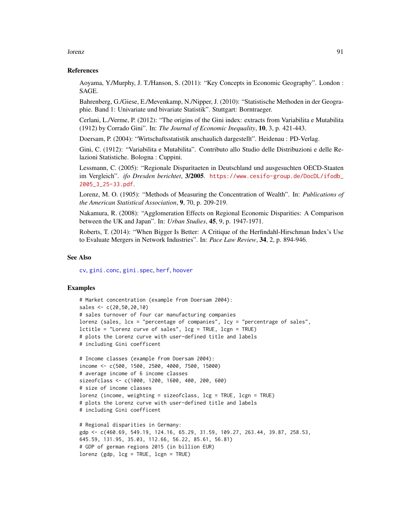#### lorenz 91

#### References

Aoyama, Y./Murphy, J. T./Hanson, S. (2011): "Key Concepts in Economic Geography". London : SAGE.

Bahrenberg, G./Giese, E./Mevenkamp, N./Nipper, J. (2010): "Statistische Methoden in der Geographie. Band 1: Univariate und bivariate Statistik". Stuttgart: Borntraeger.

Cerlani, L./Verme, P. (2012): "The origins of the Gini index: extracts from Variabilita e Mutabilita (1912) by Corrado Gini". In: *The Journal of Economic Inequality*, 10, 3, p. 421-443.

Doersam, P. (2004): "Wirtschaftsstatistik anschaulich dargestellt". Heidenau : PD-Verlag.

Gini, C. (1912): "Variabilita e Mutabilita". Contributo allo Studio delle Distribuzioni e delle Relazioni Statistiche. Bologna : Cuppini.

Lessmann, C. (2005): "Regionale Disparitaeten in Deutschland und ausgesuchten OECD-Staaten im Vergleich". *ifo Dresden berichtet*, 3/2005. [https://www.cesifo-group.de/DocDL/ifodb\\_](https://www.cesifo-group.de/DocDL/ifodb_2005_3_25-33.pdf) [2005\\_3\\_25-33.pdf](https://www.cesifo-group.de/DocDL/ifodb_2005_3_25-33.pdf).

Lorenz, M. O. (1905): "Methods of Measuring the Concentration of Wealth". In: *Publications of the American Statistical Association*, 9, 70, p. 209-219.

Nakamura, R. (2008): "Agglomeration Effects on Regional Economic Disparities: A Comparison between the UK and Japan". In: *Urban Studies*, 45, 9, p. 1947-1971.

Roberts, T. (2014): "When Bigger Is Better: A Critique of the Herfindahl-Hirschman Index's Use to Evaluate Mergers in Network Industries". In: *Pace Law Review*, 34, 2, p. 894-946.

## See Also

[cv](#page-18-0), [gini.conc](#page-49-0), [gini.spec](#page-51-0), [herf](#page-64-0), [hoover](#page-66-0)

## Examples

```
# Market concentration (example from Doersam 2004):
sales <- c(20,50,20,10)
# sales turnover of four car manufacturing companies
lorenz (sales, lcx = "percentage of companies", lcy = "percentrage of sales",
lctitle = "Lorenz curve of sales", lcg = TRUE, lcgn = TRUE)
# plots the Lorenz curve with user-defined title and labels
# including Gini coefficent
```

```
# Income classes (example from Doersam 2004):
income <- c(500, 1500, 2500, 4000, 7500, 15000)
# average income of 6 income classes
sizeofclass <- c(1000, 1200, 1600, 400, 200, 600)
# size of income classes
lorenz (income, weighting = sizeofclass, lcg = TRUE, lcgn = TRUE)
# plots the Lorenz curve with user-defined title and labels
# including Gini coefficent
```

```
# Regional disparities in Germany:
gdp <- c(460.69, 549.19, 124.16, 65.29, 31.59, 109.27, 263.44, 39.87, 258.53,
645.59, 131.95, 35.03, 112.66, 56.22, 85.61, 56.81)
# GDP of german regions 2015 (in billion EUR)
lorenz (gdp, lcg = TRUE, lcgn = TRUE)
```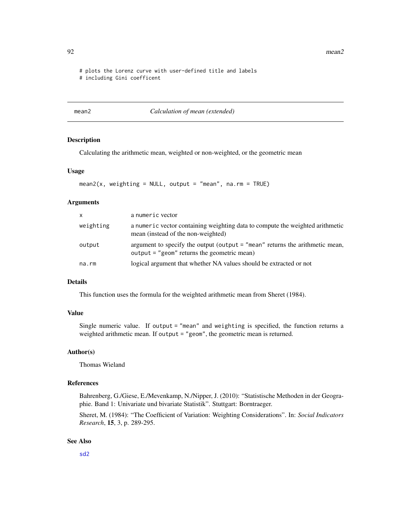92 mean2

# plots the Lorenz curve with user-defined title and labels

# including Gini coefficent

<span id="page-91-0"></span>

mean2 *Calculation of mean (extended)*

# Description

Calculating the arithmetic mean, weighted or non-weighted, or the geometric mean

# Usage

```
mean2(x, weighting = NULL, output = "mean", na.rm = TRUE)
```
## Arguments

| <b>X</b>  | a numeric vector                                                                                                                |
|-----------|---------------------------------------------------------------------------------------------------------------------------------|
| weighting | a numeric vector containing weighting data to compute the weighted arithmetic<br>mean (instead of the non-weighted)             |
| output    | argument to specify the output (output $=$ "mean" returns the arithmetic mean,<br>$output = "geom"$ returns the geometric mean) |
| na.rm     | logical argument that whether NA values should be extracted or not                                                              |

# Details

This function uses the formula for the weighted arithmetic mean from Sheret (1984).

# Value

Single numeric value. If output = "mean" and weighting is specified, the function returns a weighted arithmetic mean. If output = "geom", the geometric mean is returned.

## Author(s)

Thomas Wieland

## References

Bahrenberg, G./Giese, E./Mevenkamp, N./Nipper, J. (2010): "Statistische Methoden in der Geographie. Band 1: Univariate und bivariate Statistik". Stuttgart: Borntraeger.

Sheret, M. (1984): "The Coefficient of Variation: Weighting Considerations". In: *Social Indicators Research*, 15, 3, p. 289-295.

## See Also

[sd2](#page-104-0)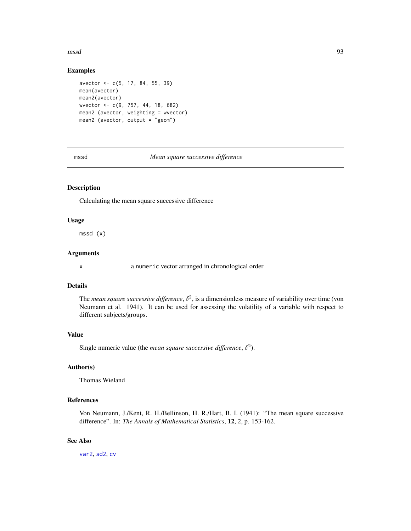mssd 93

## Examples

```
avector <- c(5, 17, 84, 55, 39)
mean(avector)
mean2(avector)
wvector <- c(9, 757, 44, 18, 682)
mean2 (avector, weighting = wvector)
mean2 (avector, output = "geom")
```
mssd *Mean square successive difference*

# Description

Calculating the mean square successive difference

## Usage

mssd (x)

# Arguments

x a numeric vector arranged in chronological order

# Details

The *mean square successive difference*,  $\delta^2$ , is a dimensionless measure of variability over time (von Neumann et al. 1941). It can be used for assessing the volatility of a variable with respect to different subjects/groups.

#### Value

Single numeric value (the *mean square successive difference*,  $\delta^2$ ).

## Author(s)

Thomas Wieland

## References

Von Neumann, J./Kent, R. H./Bellinson, H. R./Hart, B. I. (1941): "The mean square successive difference". In: *The Annals of Mathematical Statistics*, 12, 2, p. 153-162.

# See Also

[var2](#page-129-0), [sd2](#page-104-0), [cv](#page-18-0)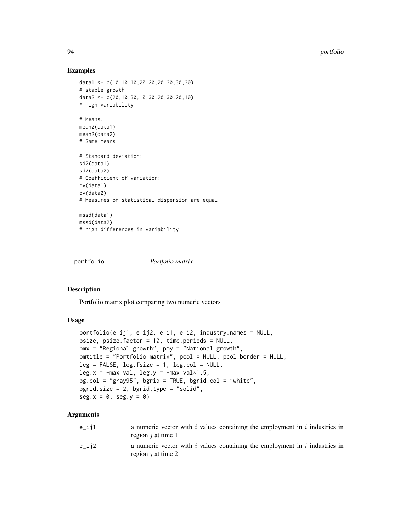## Examples

```
data1 <- c(10,10,10,20,20,20,30,30,30)
# stable growth
data2 <- c(20,10,30,10,30,20,30,20,10)
# high variability
# Means:
mean2(data1)
mean2(data2)
# Same means
# Standard deviation:
sd2(data1)
sd2(data2)
# Coefficient of variation:
cv(data1)
cv(data2)
# Measures of statistical dispersion are equal
mssd(data1)
mssd(data2)
# high differences in variability
```
<span id="page-93-0"></span>portfolio *Portfolio matrix*

#### Description

Portfolio matrix plot comparing two numeric vectors

#### Usage

```
portfolio(e_ij1, e_ij2, e_i1, e_i2, industry.names = NULL,
psize, psize.factor = 10, time.periods = NULL,
pmx = "Regional growth", pmy = "National growth",
pmtitle = "Portfolio matrix", pcol = NULL, pcol.border = NULL,
leg = FALSE, leg.fsize = 1, leg,col = NULL,leg.x = -max_val, leg.y = -max_val*1.5,bg.col = "gray95", bgrid = TRUE, bgrid.co1 = "white",bgrid.size = 2, bgrid.type = "solid",
seg.x = 0, seg.y = 0)
```

| e_ij1 | a numeric vector with $i$ values containing the employment in $i$ industries in<br>region $i$ at time 1 |
|-------|---------------------------------------------------------------------------------------------------------|
| e_ij2 | a numeric vector with $i$ values containing the employment in $i$ industries in<br>region $i$ at time 2 |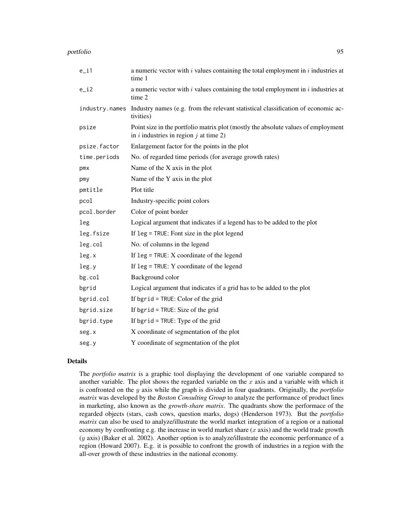| $e_i$          | a numeric vector with $i$ values containing the total employment in $i$ industries at<br>time 1                                 |
|----------------|---------------------------------------------------------------------------------------------------------------------------------|
| $e_i$          | a numeric vector with $i$ values containing the total employment in $i$ industries at<br>time 2                                 |
| industry.names | Industry names (e.g. from the relevant statistical classification of economic ac-<br>tivities)                                  |
| psize          | Point size in the portfolio matrix plot (mostly the absolute values of employment<br>in $i$ industries in region $j$ at time 2) |
| psize.factor   | Enlargement factor for the points in the plot                                                                                   |
| time.periods   | No. of regarded time periods (for average growth rates)                                                                         |
| pmx            | Name of the X axis in the plot                                                                                                  |
| pmy            | Name of the Y axis in the plot                                                                                                  |
| pmtitle        | Plot title                                                                                                                      |
| pcol           | Industry-specific point colors                                                                                                  |
| pcol.border    | Color of point border                                                                                                           |
| leg            | Logical argument that indicates if a legend has to be added to the plot                                                         |
| leg.fsize      | If $leg = TRUE$ : Font size in the plot legend                                                                                  |
| leg.col        | No. of columns in the legend                                                                                                    |
| leg.x          | If $leg = TRUE: X coordinate of the legend$                                                                                     |
| leg.y          | If $leg = TRUE$ : Y coordinate of the legend                                                                                    |
| bg.col         | Background color                                                                                                                |
| bgrid          | Logical argument that indicates if a grid has to be added to the plot                                                           |
| bgrid.col      | If bgrid = TRUE: Color of the grid                                                                                              |
| bgrid.size     | If bgrid = TRUE: Size of the grid                                                                                               |
| bgrid.type     | If bgrid = $TRUE$ : Type of the grid                                                                                            |
| seg.x          | X coordinate of segmentation of the plot                                                                                        |
| seg.y          | Y coordinate of segmentation of the plot                                                                                        |

The *portfolio matrix* is a graphic tool displaying the development of one variable compared to another variable. The plot shows the regarded variable on the  $x$  axis and a variable with which it is confronted on the y axis while the graph is divided in four quadrants. Originally, the *portfolio matrix* was developed by the *Boston Consulting Group* to analyze the performance of product lines in marketing, also known as the *growth-share matrix*. The quadrants show the performace of the regarded objects (stars, cash cows, question marks, dogs) (Henderson 1973). But the *portfolio matrix* can also be used to analyze/illustrate the world market integration of a region or a national economy by confronting e.g. the increase in world market share  $(x \text{ axis})$  and the world trade growth (y axis) (Baker et al. 2002). Another option is to analyze/illustrate the economic performance of a region (Howard 2007). E.g. it is possible to confront the growth of industries in a region with the all-over growth of these industries in the national economy.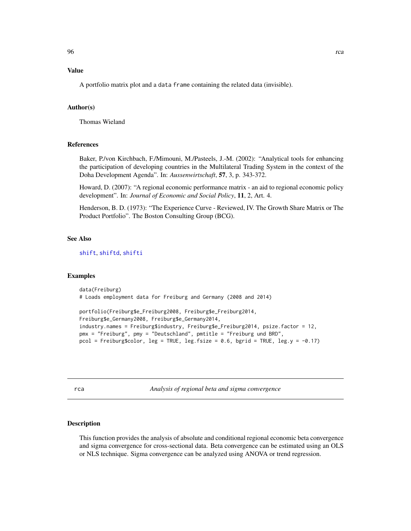# Value

A portfolio matrix plot and a data frame containing the related data (invisible).

## Author(s)

Thomas Wieland

## References

Baker, P./von Kirchbach, F./Mimouni, M./Pasteels, J.-M. (2002): "Analytical tools for enhancing the participation of developing countries in the Multilateral Trading System in the context of the Doha Development Agenda". In: *Aussenwirtschaft*, 57, 3, p. 343-372.

Howard, D. (2007): "A regional economic performance matrix - an aid to regional economic policy development". In: *Journal of Economic and Social Policy*, 11, 2, Art. 4.

Henderson, B. D. (1973): "The Experience Curve - Reviewed, IV. The Growth Share Matrix or The Product Portfolio". The Boston Consulting Group (BCG).

#### See Also

[shift](#page-106-0), [shiftd](#page-110-0), [shifti](#page-113-0)

#### Examples

```
data(Freiburg)
# Loads employment data for Freiburg and Germany (2008 and 2014)
```

```
portfolio(Freiburg$e_Freiburg2008, Freiburg$e_Freiburg2014,
Freiburg$e_Germany2008, Freiburg$e_Germany2014,
industry.names = Freiburg$industry, Freiburg$e_Freiburg2014, psize.factor = 12,
pmx = "Freiburg", pmy = "Deutschland", pmtitle = "Freiburg und BRD",
pcol = Freiburg$color, leg = TRUE, leg.fsize = 0.6, bgrid = TRUE, leg.y = -0.17)
```
<span id="page-95-0"></span>

| ۰. | ٠<br>. .<br>×<br>$-$ | ٠<br>٠ |
|----|----------------------|--------|
|    |                      |        |

rca *Analysis of regional beta and sigma convergence*

## Description

This function provides the analysis of absolute and conditional regional economic beta convergence and sigma convergence for cross-sectional data. Beta convergence can be estimated using an OLS or NLS technique. Sigma convergence can be analyzed using ANOVA or trend regression.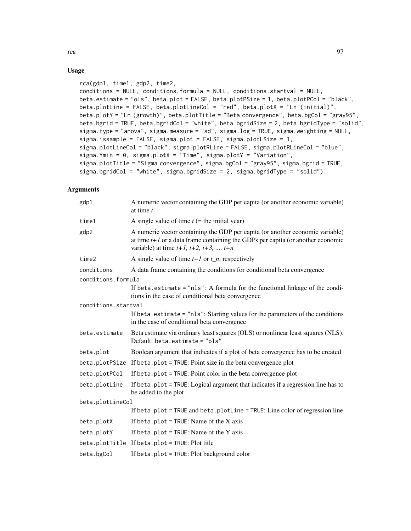# Usage

```
rca(gdp1, time1, gdp2, time2,
conditions = NULL, conditions.formula = NULL, conditions.startval = NULL,
beta.estimate = "ols", beta.plot = FALSE, beta.plotPSize = 1, beta.plotPCol = "black",
beta.plotLine = FALSE, beta.plotLineCol = "red", beta.plotX = "Ln (initial)",
beta.plotY = "Ln (growth)", beta.plotTitle = "Beta convergence", beta.bgCol = "gray95",
beta.bgrid = TRUE, beta.bgridCol = "white", beta.bgridSize = 2, beta.bgridType = "solid",
sigma.type = "anova", sigma.measure = "sd", sigma.log = TRUE, sigma.weighting = NULL,
sigma.issample = FALSE, sigma.plot = FALSE, sigma.plotLSize = 1,
sigma.plotLineCol = "black", sigma.plotRLine = FALSE, sigma.plotRLineCol = "blue",
sigma.Ymin = 0, sigma.plotX = "Time", sigma.plotY = "Variation",
sigma.plotTitle = "Sigma convergence", sigma.bgCol = "gray95", sigma.bgrid = TRUE,
sigma.bgridCol = "white", sigma.bgridSize = 2, sigma.bgridType = "solid")
```

| gdp1                | A numeric vector containing the GDP per capita (or another economic variable)<br>at time $t$                                                                                                                            |  |
|---------------------|-------------------------------------------------------------------------------------------------------------------------------------------------------------------------------------------------------------------------|--|
| time1               | A single value of time $t$ (= the initial year)                                                                                                                                                                         |  |
| gdp2                | A numeric vector containing the GDP per capita (or another economic variable)<br>at time $t+1$ or a data frame containing the GDPs per capita (or another economic<br>variable) at time $t+1$ , $t+2$ , $t+3$ , , $t+n$ |  |
| time2               | A single value of time $t+1$ or $t_n$ , respectively                                                                                                                                                                    |  |
| conditions          | A data frame containing the conditions for conditional beta convergence                                                                                                                                                 |  |
| conditions.formula  |                                                                                                                                                                                                                         |  |
|                     | If beta.estimate = "nls": A formula for the functional linkage of the condi-<br>tions in the case of conditional beta convergence                                                                                       |  |
| conditions.startval |                                                                                                                                                                                                                         |  |
|                     | If beta. estimate $=$ "nls": Starting values for the parameters of the conditions<br>in the case of conditional beta convergence                                                                                        |  |
| beta.estimate       | Beta estimate via ordinary least squares (OLS) or nonlinear least squares (NLS).<br>Default: beta.estimate = "ols"                                                                                                      |  |
| beta.plot           | Boolean argument that indicates if a plot of beta convergence has to be created                                                                                                                                         |  |
|                     | beta.plotPSize If beta.plot = TRUE: Point size in the beta convergence plot                                                                                                                                             |  |
| beta.plotPCol       | If beta.plot = $TRUE$ : Point color in the beta convergence plot                                                                                                                                                        |  |
| beta.plotLine       | If beta. plot = TRUE: Logical argument that indicates if a regression line has to<br>be added to the plot                                                                                                               |  |
| beta.plotLineCol    |                                                                                                                                                                                                                         |  |
|                     | If beta.plot = TRUE and beta.plotLine = TRUE: Line color of regression line                                                                                                                                             |  |
| beta.plotX          | If beta.plot = $TRUE:$ Name of the X axis                                                                                                                                                                               |  |
| beta.plotY          | If beta.plot = $TRUE$ : Name of the Y axis                                                                                                                                                                              |  |
|                     | beta.plotTitle If beta.plot = TRUE: Plot title                                                                                                                                                                          |  |
| beta.bgCol          | If beta.plot = TRUE: Plot background color                                                                                                                                                                              |  |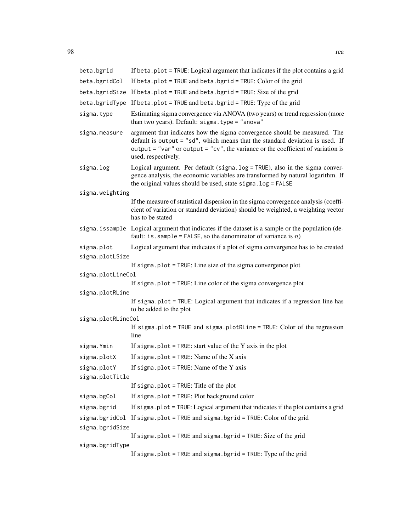| beta.bgrid         | If beta.plot = TRUE: Logical argument that indicates if the plot contains a grid                                                                                                                                                                                      |  |
|--------------------|-----------------------------------------------------------------------------------------------------------------------------------------------------------------------------------------------------------------------------------------------------------------------|--|
| beta.bgridCol      | If beta.plot = TRUE and beta.bgrid = TRUE: Color of the grid                                                                                                                                                                                                          |  |
|                    | beta.bgridSize If beta.plot = TRUE and beta.bgrid = TRUE: Size of the grid                                                                                                                                                                                            |  |
|                    | beta.bgridType If beta.plot = TRUE and beta.bgrid = TRUE: Type of the grid                                                                                                                                                                                            |  |
| sigma.type         | Estimating sigma convergence via ANOVA (two years) or trend regression (more<br>than two years). Default: sigma.type = "anova"                                                                                                                                        |  |
| sigma.measure      | argument that indicates how the sigma convergence should be measured. The<br>default is output = "sd", which means that the standard deviation is used. If<br>output = "var" or output = "cv", the variance or the coefficient of variation is<br>used, respectively. |  |
| sigma.log          | Logical argument. Per default (sigma.log = TRUE), also in the sigma conver-<br>gence analysis, the economic variables are transformed by natural logarithm. If<br>the original values should be used, state sigma. log = FALSE                                        |  |
| sigma.weighting    |                                                                                                                                                                                                                                                                       |  |
|                    | If the measure of statistical dispersion in the sigma convergence analysis (coeffi-<br>cient of variation or standard deviation) should be weighted, a weighting vector<br>has to be stated                                                                           |  |
|                    | sigma. is sample Logical argument that indicates if the dataset is a sample or the population (de-<br>fault: is. sample = FALSE, so the denominator of variance is $n$ )                                                                                              |  |
| sigma.plot         | Logical argument that indicates if a plot of sigma convergence has to be created                                                                                                                                                                                      |  |
| sigma.plotLSize    |                                                                                                                                                                                                                                                                       |  |
|                    | If sigma.plot = TRUE: Line size of the sigma convergence plot                                                                                                                                                                                                         |  |
| sigma.plotLineCol  | If sigma.plot = TRUE: Line color of the sigma convergence plot                                                                                                                                                                                                        |  |
| sigma.plotRLine    |                                                                                                                                                                                                                                                                       |  |
|                    | If sigma.plot = TRUE: Logical argument that indicates if a regression line has<br>to be added to the plot                                                                                                                                                             |  |
| sigma.plotRLineCol |                                                                                                                                                                                                                                                                       |  |
|                    | If sigma.plot = TRUE and sigma.plotRLine = TRUE: Color of the regression<br>line                                                                                                                                                                                      |  |
| sigma. Ymin        | If sigma. plot = TRUE: start value of the Y axis in the plot                                                                                                                                                                                                          |  |
| sigma.plotX        | If sigma. $plot = TRUE$ : Name of the X axis                                                                                                                                                                                                                          |  |
| sigma.plotY        | If sigma.plot = $TRUE$ : Name of the Y axis                                                                                                                                                                                                                           |  |
| sigma.plotTitle    |                                                                                                                                                                                                                                                                       |  |
|                    | If sigma.plot = $TRUE$ : Title of the plot                                                                                                                                                                                                                            |  |
| sigma.bgCol        | If sigma.plot = TRUE: Plot background color                                                                                                                                                                                                                           |  |
| sigma.bgrid        | If sigma.plot = TRUE: Logical argument that indicates if the plot contains a grid                                                                                                                                                                                     |  |
|                    | sigma.bgridCol If sigma.plot = TRUE and sigma.bgrid = TRUE: Color of the grid                                                                                                                                                                                         |  |
| sigma.bgridSize    |                                                                                                                                                                                                                                                                       |  |
| sigma.bgridType    | If sigma.plot = TRUE and sigma.bgrid = TRUE: Size of the grid                                                                                                                                                                                                         |  |
|                    | If sigma.plot = TRUE and sigma.bgrid = TRUE: Type of the grid                                                                                                                                                                                                         |  |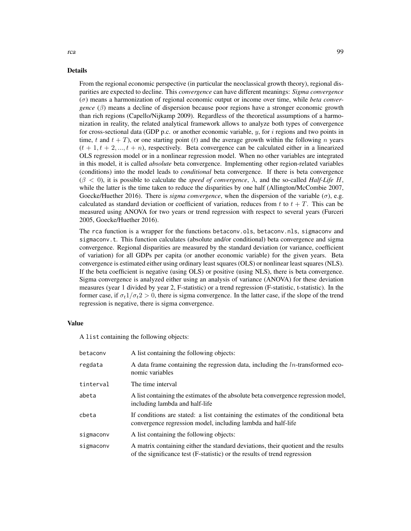From the regional economic perspective (in particular the neoclassical growth theory), regional disparities are expected to decline. This *convergence* can have different meanings: *Sigma convergence* (σ) means a harmonization of regional economic output or income over time, while *beta convergence*  $(\beta)$  means a decline of dispersion because poor regions have a stronger economic growth than rich regions (Capello/Nijkamp 2009). Regardless of the theoretical assumptions of a harmonization in reality, the related analytical framework allows to analyze both types of convergence for cross-sectional data (GDP p.c. or another economic variable,  $y$ , for i regions and two points in time, t and  $t + T$ ), or one starting point (t) and the average growth within the following n years  $(t + 1, t + 2, ..., t + n)$ , respectively. Beta convergence can be calculated either in a linearized OLS regression model or in a nonlinear regression model. When no other variables are integrated in this model, it is called *absolute* beta convergence. Implementing other region-related variables (conditions) into the model leads to *conditional* beta convergence. If there is beta convergence  $(\beta < 0)$ , it is possible to calculate the *speed of convergence*,  $\lambda$ , and the so-called *Half-Life H*, while the latter is the time taken to reduce the disparities by one half (Allington/McCombie 2007, Goecke/Huether 2016). There is *sigma convergence*, when the dispersion of the variable  $(\sigma)$ , e.g. calculated as standard deviation or coefficient of variation, reduces from t to  $t + T$ . This can be measured using ANOVA for two years or trend regression with respect to several years (Furceri 2005, Goecke/Huether 2016).

The rca function is a wrapper for the functions betaconv.ols, betaconv.nls, sigmaconv and sigmaconv.t. This function calculates (absolute and/or conditional) beta convergence and sigma convergence. Regional disparities are measured by the standard deviation (or variance, coefficient of variation) for all GDPs per capita (or another economic variable) for the given years. Beta convergence is estimated either using ordinary least squares (OLS) or nonlinear least squares (NLS). If the beta coefficient is negative (using OLS) or positive (using NLS), there is beta convergence. Sigma convergence is analyzed either using an analysis of variance (ANOVA) for these deviation measures (year 1 divided by year 2, F-statistic) or a trend regression (F-statistic, t-statistic). In the former case, if  $\sigma_t 1/\sigma_t 2 > 0$ , there is sigma convergence. In the latter case, if the slope of the trend regression is negative, there is sigma convergence.

#### Value

A list containing the following objects:

| betacony  | A list containing the following objects:                                                                                                                        |
|-----------|-----------------------------------------------------------------------------------------------------------------------------------------------------------------|
| regdata   | A data frame containing the regression data, including the $ln$ -transformed eco-<br>nomic variables                                                            |
| tinterval | The time interval                                                                                                                                               |
| abeta     | A list containing the estimates of the absolute beta convergence regression model,<br>including lambda and half-life                                            |
| cbeta     | If conditions are stated: a list containing the estimates of the conditional beta<br>convergence regression model, including lambda and half-life               |
| sigmaconv | A list containing the following objects:                                                                                                                        |
| sigmaconv | A matrix containing either the standard deviations, their quotient and the results<br>of the significance test (F-statistic) or the results of trend regression |

rca established a structure of the control of the control of the control of the control of the control of the control of the control of the control of the control of the control of the control of the control of the control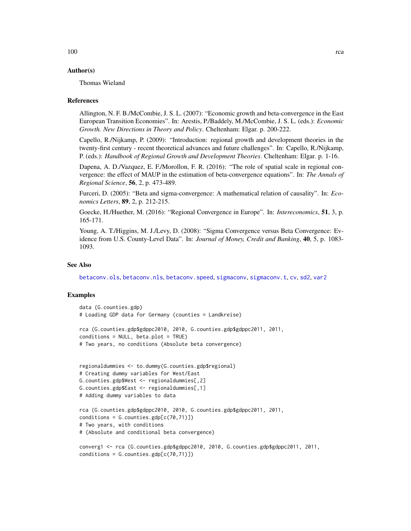# Author(s)

Thomas Wieland

#### References

Allington, N. F. B./McCombie, J. S. L. (2007): "Economic growth and beta-convergence in the East European Transition Economies". In: Arestis, P./Baddely, M./McCombie, J. S. L. (eds.): *Economic Growth. New Directions in Theory and Policy*. Cheltenham: Elgar. p. 200-222.

Capello, R./Nijkamp, P. (2009): "Introduction: regional growth and development theories in the twenty-first century - recent theoretical advances and future challenges". In: Capello, R./Nijkamp, P. (eds.): *Handbook of Regional Growth and Development Theories*. Cheltenham: Elgar. p. 1-16.

Dapena, A. D./Vazquez, E. F./Morollon, F. R. (2016): "The role of spatial scale in regional convergence: the effect of MAUP in the estimation of beta-convergence equations". In: *The Annals of Regional Science*, 56, 2, p. 473-489.

Furceri, D. (2005): "Beta and sigma-convergence: A mathematical relation of causality". In: *Economics Letters*, 89, 2, p. 212-215.

Goecke, H./Huether, M. (2016): "Regional Convergence in Europe". In: *Intereconomics*, 51, 3, p. 165-171.

Young, A. T./Higgins, M. J./Levy, D. (2008): "Sigma Convergence versus Beta Convergence: Evidence from U.S. County-Level Data". In: *Journal of Money, Credit and Banking*, 40, 5, p. 1083- 1093.

## See Also

[betaconv.ols](#page-8-0), [betaconv.nls](#page-5-0), [betaconv.speed](#page-11-0), [sigmaconv](#page-120-0), [sigmaconv.t](#page-123-0), [cv](#page-18-0), [sd2](#page-104-0), [var2](#page-129-0)

## Examples

```
data (G.counties.gdp)
# Loading GDP data for Germany (counties = Landkreise)
```

```
rca (G.counties.gdp$gdppc2010, 2010, G.counties.gdp$gdppc2011, 2011,
conditions = NULL, beta.plot = TRUE)
# Two years, no conditions (Absolute beta convergence)
```

```
regionaldummies <- to.dummy(G.counties.gdp$regional)
# Creating dummy variables for West/East
G.counties.gdp$West <- regionaldummies[,2]
G.counties.gdp$East <- regionaldummies[,1]
# Adding dummy variables to data
```

```
rca (G.counties.gdp$gdppc2010, 2010, G.counties.gdp$gdppc2011, 2011,
conditions = G.counties.gdp[c(70,71)])
# Two years, with conditions
# (Absolute and conditional beta convergence)
```

```
converg1 <- rca (G.counties.gdp$gdppc2010, 2010, G.counties.gdp$gdppc2011, 2011,
conditions = G.counties.gdp[c(70,71)])
```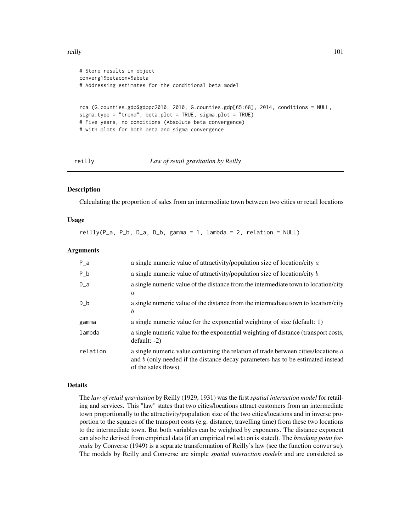#### reilly the contract of the contract of the contract of the contract of the contract of the contract of the contract of the contract of the contract of the contract of the contract of the contract of the contract of the con

```
# Store results in object
converg1$betaconv$abeta
# Addressing estimates for the conditional beta model
rca (G.counties.gdp$gdppc2010, 2010, G.counties.gdp[65:68], 2014, conditions = NULL,
sigma.type = "trend", beta.plot = TRUE, sigma.plot = TRUE)
# Five years, no conditions (Absolute beta convergence)
# with plots for both beta and sigma convergence
```

```
reilly Law of retail gravitation by Reilly
```
#### **Description**

Calculating the proportion of sales from an intermediate town between two cities or retail locations

#### Usage

reilly(P\_a, P\_b, D\_a, D\_b, gamma = 1, lambda = 2, relation = NULL)

## Arguments

| $P_a$    | a single numeric value of attractivity/population size of location/city $a$                                                                                                                      |
|----------|--------------------------------------------------------------------------------------------------------------------------------------------------------------------------------------------------|
| $P_b$    | a single numeric value of attractivity/population size of location/city $b$                                                                                                                      |
| $D_a$    | a single numeric value of the distance from the intermediate town to location/city<br>$\alpha$                                                                                                   |
| D b      | a single numeric value of the distance from the intermediate town to location/city<br>b                                                                                                          |
| gamma    | a single numeric value for the exponential weighting of size (default: 1)                                                                                                                        |
| lambda   | a single numeric value for the exponential weighting of distance (transport costs,<br>$default: -2)$                                                                                             |
| relation | a single numeric value containing the relation of trade between cities/locations $a$<br>and $b$ (only needed if the distance decay parameters has to be estimated instead<br>of the sales flows) |

#### Details

The *law of retail gravitation* by Reilly (1929, 1931) was the first *spatial interaction model* for retailing and services. This "law" states that two cities/locations attract customers from an intermediate town proportionally to the attractivity/population size of the two cities/locations and in inverse proportion to the squares of the transport costs (e.g. distance, travelling time) from these two locations to the intermediate town. But both variables can be weighted by exponents. The distance exponent can also be derived from empirical data (if an empirical relation is stated). The *breaking point formula* by Converse (1949) is a separate transformation of Reilly's law (see the function converse). The models by Reilly and Converse are simple *spatial interaction models* and are considered as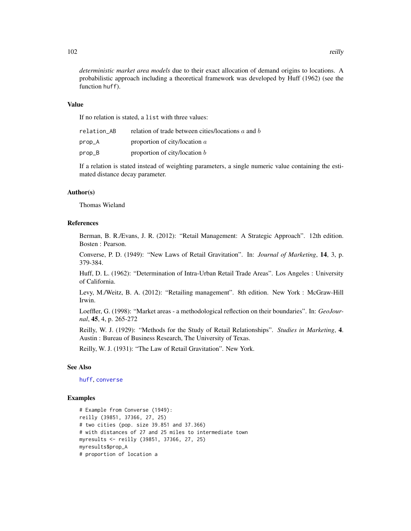*deterministic market area models* due to their exact allocation of demand origins to locations. A probabilistic approach including a theoretical framework was developed by Huff (1962) (see the function huff).

## Value

If no relation is stated, a list with three values:

| relation AB | relation of trade between cities/locations $a$ and $b$ |
|-------------|--------------------------------------------------------|
| prop_A      | proportion of city/location $\alpha$                   |
| prop_B      | proportion of city/location $b$                        |

If a relation is stated instead of weighting parameters, a single numeric value containing the estimated distance decay parameter.

## Author(s)

Thomas Wieland

## References

Berman, B. R./Evans, J. R. (2012): "Retail Management: A Strategic Approach". 12th edition. Bosten : Pearson.

Converse, P. D. (1949): "New Laws of Retail Gravitation". In: *Journal of Marketing*, 14, 3, p. 379-384.

Huff, D. L. (1962): "Determination of Intra-Urban Retail Trade Areas". Los Angeles : University of California.

Levy, M./Weitz, B. A. (2012): "Retailing management". 8th edition. New York : McGraw-Hill Irwin.

Loeffler, G. (1998): "Market areas - a methodological reflection on their boundaries". In: *GeoJournal*, 45, 4, p. 265-272

Reilly, W. J. (1929): "Methods for the Study of Retail Relationships". *Studies in Marketing*, 4. Austin : Bureau of Business Research, The University of Texas.

Reilly, W. J. (1931): "The Law of Retail Gravitation". New York.

## See Also

[huff](#page-70-0), [converse](#page-14-0)

# Examples

```
# Example from Converse (1949):
reilly (39851, 37366, 27, 25)
# two cities (pop. size 39.851 and 37.366)
# with distances of 27 and 25 miles to intermediate town
myresults <- reilly (39851, 37366, 27, 25)
myresults$prop_A
# proportion of location a
```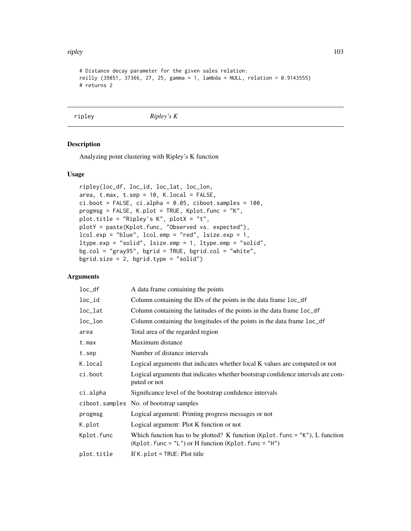#### ripley that the contract of the contract of the contract of the contract of the contract of the contract of the contract of the contract of the contract of the contract of the contract of the contract of the contract of th

```
# Distance decay parameter for the given sales relation:
reilly (39851, 37366, 27, 25, gamma = 1, lambda = NULL, relation = 0.9143555)
# returns 2
```
## ripley *Ripley's K*

# Description

Analyzing point clustering with Ripley's K function

# Usage

```
ripley(loc_df, loc_id, loc_lat, loc_lon,
area, t.max, t.sep = 10, K.local = FALSE,
ci.boot = FALSE, ci.alpha = 0.05, ciboot.samples = 100,
progmsg = FALSE, K.plot = TRUE, Kplot.func = "K",
plot.title = "Ripley's K", plotX = "t",
plotY = paste(Kplot.func, "Observed vs. expected"),
lcol.exp = "blue", lcolemp = "red", lsize.exp = 1,ltype.exp = "solid", lsize.emp = 1, ltype.emp = "solid",
bg.col = "gray95", bgrid = TRUE, bgrid.col = "white",
bgrid.size = 2, bgrid.type = "solid")
```

| $loc_d$ f  | A data frame containing the points                                                                                                           |
|------------|----------------------------------------------------------------------------------------------------------------------------------------------|
| loc_id     | Column containing the IDs of the points in the data frame loc_df                                                                             |
| loc_lat    | Column containing the latitudes of the points in the data frame loc_df                                                                       |
| $loc\_lon$ | Column containing the longitudes of the points in the data frame loc_df                                                                      |
| area       | Total area of the regarded region                                                                                                            |
| t.max      | Maximum distance                                                                                                                             |
| t.sep      | Number of distance intervals                                                                                                                 |
| K.local    | Logical arguments that indicates whether local K values are computed or not                                                                  |
| ci.boot    | Logical arguments that indicates whether bootstrap confidence intervals are com-<br>puted or not                                             |
| ci.alpha   | Significance level of the bootstrap confidence intervals                                                                                     |
|            | ciboot.samples No. of bootstrap samples                                                                                                      |
| progmsg    | Logical argument: Printing progress messages or not                                                                                          |
| K.plot     | Logical argument: Plot K function or not                                                                                                     |
| Kplot.func | Which function has to be plotted? K function (Kp1ot. func = $"K"$ ), L function<br>$(Kplot. func = "L")$ or H function $(Kplot. func = "H")$ |
| plot.title | If K, $plot = TRUE$ : Plot title                                                                                                             |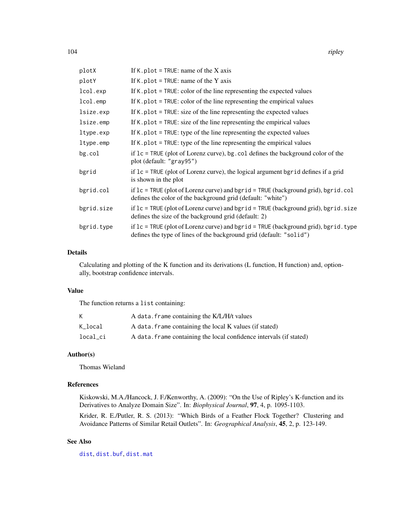| plotX      | If K. plot = TRUE: name of the X axis                                                                                                                       |
|------------|-------------------------------------------------------------------------------------------------------------------------------------------------------------|
| plotY      | If K. plot = TRUE: name of the Y axis                                                                                                                       |
| lcol.exp   | If $K$ . plot = TRUE: color of the line representing the expected values                                                                                    |
| lcol.emp   | If $K$ , plot = TRUE: color of the line representing the empirical values                                                                                   |
| lsize.exp  | If $K$ . plot = TRUE: size of the line representing the expected values                                                                                     |
| lsize.emp  | If $K$ . plot = TRUE: size of the line representing the empirical values                                                                                    |
| ltype.exp  | If $K$ . plot = TRUE: type of the line representing the expected values                                                                                     |
| ltype.emp  | If K, plot $=$ TRUE: type of the line representing the empirical values                                                                                     |
| $bg$ .col  | if $1c = TRUE$ (plot of Lorenz curve), bg. col defines the background color of the<br>plot (default: "gray95")                                              |
| bgrid      | if $1c = TRUE$ (plot of Lorenz curve), the logical argument bgrid defines if a grid<br>is shown in the plot                                                 |
| bgrid.col  | if $lc$ = TRUE (plot of Lorenz curve) and bgrid = TRUE (background grid), bgrid.col<br>defines the color of the background grid (default: "white")          |
| bgrid.size | if $lc$ = TRUE (plot of Lorenz curve) and bgrid = TRUE (background grid), bgrid.size<br>defines the size of the background grid (default: 2)                |
| bgrid.type | if $lc$ = TRUE (plot of Lorenz curve) and bgrid = TRUE (background grid), bgrid.type<br>defines the type of lines of the background grid (default: "solid") |

Calculating and plotting of the K function and its derivations (L function, H function) and, optionally, bootstrap confidence intervals.

# Value

The function returns a list containing:

|          | A data, frame containing the K/L/H/t values                         |
|----------|---------------------------------------------------------------------|
| K local  | A data. frame containing the local K values (if stated)             |
| local_ci | A data. frame containing the local confidence intervals (if stated) |

# Author(s)

Thomas Wieland

## References

Kiskowski, M.A./Hancock, J. F./Kenworthy, A. (2009): "On the Use of Ripley's K-function and its Derivatives to Analyze Domain Size". In: *Biophysical Journal*, 97, 4, p. 1095-1103.

Krider, R. E./Putler, R. S. (2013): "Which Birds of a Feather Flock Together? Clustering and Avoidance Patterns of Similar Retail Outlets". In: *Geographical Analysis*, 45, 2, p. 123-149.

# See Also

[dist](#page-0-0), [dist.buf](#page-22-0), [dist.mat](#page-25-0)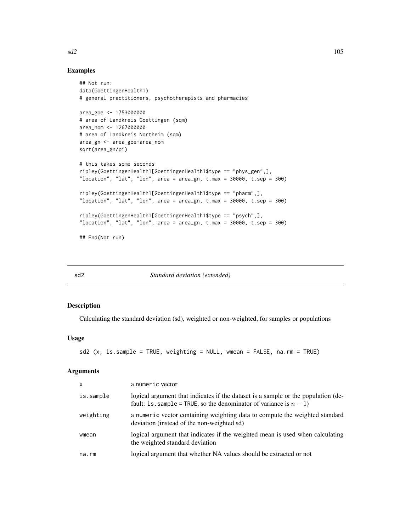# Examples

```
## Not run:
data(GoettingenHealth1)
# general practitioners, psychotherapists and pharmacies
area_goe <- 1753000000
# area of Landkreis Goettingen (sqm)
area_nom <- 1267000000
# area of Landkreis Northeim (sqm)
area_gn <- area_goe+area_nom
sqrt(area_gn/pi)
# this takes some seconds
ripley(GoettingenHealth1[GoettingenHealth1$type == "phys_gen",],
"location", "lat", "lon", area = area_gn, t.max = 30000, t.sep = 300)
ripley(GoettingenHealth1[GoettingenHealth1$type == "pharm",],
"location", "lat", "lon", area = area_gn, t.max = 30000, t.sep = 300)
ripley(GoettingenHealth1[GoettingenHealth1$type == "psych",],
"location", "lat", "lon", area = area_gn, t.max = 30000, t.sep = 300)
## End(Not run)
```
<span id="page-104-0"></span>

sd2 *Standard deviation (extended)*

## Description

Calculating the standard deviation (sd), weighted or non-weighted, for samples or populations

#### Usage

```
sd2 (x, is.sample = TRUE, weighting = NULL, wmean = FALSE, na.rm = TRUE)
```
#### Arguments

| $\boldsymbol{\mathsf{x}}$ | a numeric vector                                                                                                                                          |
|---------------------------|-----------------------------------------------------------------------------------------------------------------------------------------------------------|
| is.sample                 | logical argument that indicates if the dataset is a sample or the population (de-<br>fault: is sample = TRUE, so the denominator of variance is $n - 1$ ) |
| weighting                 | a numeric vector containing weighting data to compute the weighted standard<br>deviation (instead of the non-weighted sd)                                 |
| wmean                     | logical argument that indicates if the weighted mean is used when calculating<br>the weighted standard deviation                                          |
| na.rm                     | logical argument that whether NA values should be extracted or not                                                                                        |

 $sd2$  105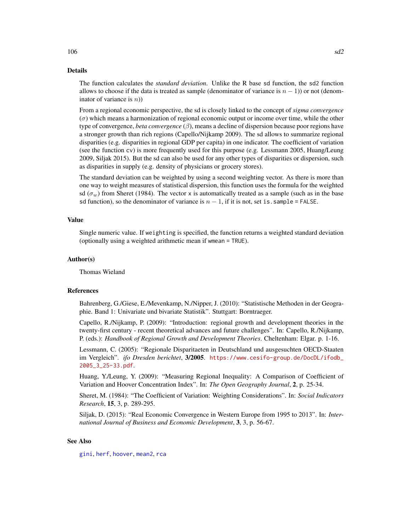The function calculates the *standard deviation*. Unlike the R base sd function, the sd2 function allows to choose if the data is treated as sample (denominator of variance is  $n - 1$ )) or not (denominator of variance is  $n$ ))

From a regional economic perspective, the sd is closely linked to the concept of *sigma convergence*  $(\sigma)$  which means a harmonization of regional economic output or income over time, while the other type of convergence, *beta convergence* (β), means a decline of dispersion because poor regions have a stronger growth than rich regions (Capello/Nijkamp 2009). The sd allows to summarize regional disparities (e.g. disparities in regional GDP per capita) in one indicator. The coefficient of variation (see the function cv) is more frequently used for this purpose (e.g. Lessmann 2005, Huang/Leung 2009, Siljak 2015). But the sd can also be used for any other types of disparities or dispersion, such as disparities in supply (e.g. density of physicians or grocery stores).

The standard deviation can be weighted by using a second weighting vector. As there is more than one way to weight measures of statistical dispersion, this function uses the formula for the weighted sd ( $\sigma_w$ ) from Sheret (1984). The vector x is automatically treated as a sample (such as in the base sd function), so the denominator of variance is  $n - 1$ , if it is not, set is. sample = FALSE.

## Value

Single numeric value. If weighting is specified, the function returns a weighted standard deviation (optionally using a weighted arithmetic mean if wmean = TRUE).

#### Author(s)

Thomas Wieland

# References

Bahrenberg, G./Giese, E./Mevenkamp, N./Nipper, J. (2010): "Statistische Methoden in der Geographie. Band 1: Univariate und bivariate Statistik". Stuttgart: Borntraeger.

Capello, R./Nijkamp, P. (2009): "Introduction: regional growth and development theories in the twenty-first century - recent theoretical advances and future challenges". In: Capello, R./Nijkamp, P. (eds.): *Handbook of Regional Growth and Development Theories*. Cheltenham: Elgar. p. 1-16.

Lessmann, C. (2005): "Regionale Disparitaeten in Deutschland und ausgesuchten OECD-Staaten im Vergleich". *ifo Dresden berichtet*, 3/2005. [https://www.cesifo-group.de/DocDL/ifodb\\_](https://www.cesifo-group.de/DocDL/ifodb_2005_3_25-33.pdf) [2005\\_3\\_25-33.pdf](https://www.cesifo-group.de/DocDL/ifodb_2005_3_25-33.pdf).

Huang, Y./Leung, Y. (2009): "Measuring Regional Inequality: A Comparison of Coefficient of Variation and Hoover Concentration Index". In: *The Open Geography Journal*, 2, p. 25-34.

Sheret, M. (1984): "The Coefficient of Variation: Weighting Considerations". In: *Social Indicators Research*, 15, 3, p. 289-295.

Siljak, D. (2015): "Real Economic Convergence in Western Europe from 1995 to 2013". In: *International Journal of Business and Economic Development*, 3, 3, p. 56-67.

## See Also

[gini](#page-45-0), [herf](#page-64-0), [hoover](#page-66-0), [mean2](#page-91-0), [rca](#page-95-0)

#### $106$  sd2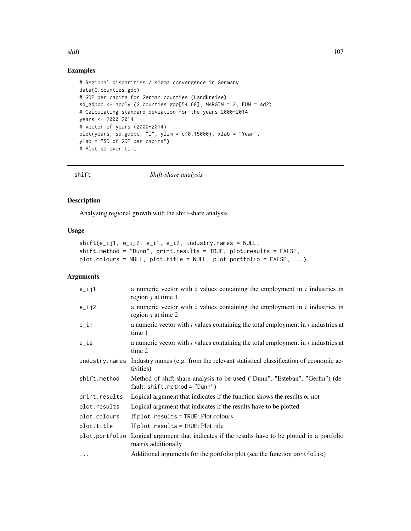## shift 107

# Examples

```
# Regional disparities / sigma convergence in Germany
data(G.counties.gdp)
# GDP per capita for German counties (Landkreise)
sd_gdppc <- apply (G.counties.gdp[54:68], MARGIN = 2, FUN = sd2)# Calculating standard deviation for the years 2000-2014
years <- 2000:2014
# vector of years (2000-2014)
plot(years, sd_gdppc, "l", ylim = c(\theta, 15000), xlab = "Year",
ylab = "SD of GDP per capita")
# Plot sd over time
```
<span id="page-106-0"></span>shift *Shift-share analysis*

# Description

Analyzing regional growth with the shift-share analysis

## Usage

```
shift(e_ij1, e_ij2, e_i1, e_i2, industry.names = NULL,
shift.method = "Dunn", print.results = TRUE, plot.results = FALSE,
plot.colours = NULL, plot.title = NULL, plot.portfolio = FALSE, ...)
```

| $e$ _ij1       | a numeric vector with $i$ values containing the employment in $i$ industries in<br>region $j$ at time 1                |
|----------------|------------------------------------------------------------------------------------------------------------------------|
| $e$ _ $i$ j2   | a numeric vector with $i$ values containing the employment in $i$ industries in<br>region $j$ at time 2                |
| $e$ _i1        | a numeric vector with $i$ values containing the total employment in $i$ industries at<br>time 1                        |
| $e_i$          | a numeric vector with $i$ values containing the total employment in $i$ industries at<br>time 2                        |
| industry.names | Industry names (e.g. from the relevant statistical classification of economic ac-<br>tivities)                         |
| shift.method   | Method of shift-share-analysis to be used ("Dunn", "Esteban", "Gerfin") (de-<br>fault: $shift.method = "Dunn")$        |
| print.results  | Logical argument that indicates if the function shows the results or not                                               |
| plot.results   | Logical argument that indicates if the results have to be plotted                                                      |
| plot.colours   | If plot.results = TRUE: Plot colours                                                                                   |
| plot.title     | If $plot. results = TRUE: Plot title$                                                                                  |
|                | plot portfolio Logical argument that indicates if the results have to be plotted in a portfolio<br>matrix additionally |
| $\ddots$       | Additional arguments for the portfolio plot (see the function portfolio)                                               |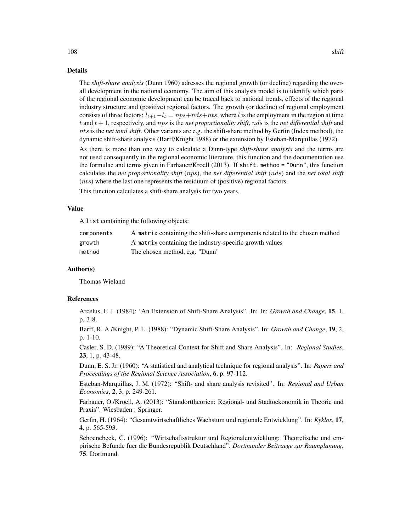The *shift-share analysis* (Dunn 1960) adresses the regional growth (or decline) regarding the overall development in the national economy. The aim of this analysis model is to identify which parts of the regional economic development can be traced back to national trends, effects of the regional industry structure and (positive) regional factors. The growth (or decline) of regional employment consists of three factors:  $l_{t+1}-l_t = nps+nds+nts$ , where l is the employment in the region at time t and t + 1, respectively, and nps is the *net proportionality shift*, nds is the *net differential shift* and

dynamic shift-share analysis (Barff/Knight 1988) or the extension by Esteban-Marquillas (1972). As there is more than one way to calculate a Dunn-type *shift-share analysis* and the terms are not used consequently in the regional economic literature, this function and the documentation use the formulae and terms given in Farhauer/Kroell (2013). If shift.method = "Dunn", this function calculates the *net proportionality shift* (nps), the *net differential shift* (nds) and the *net total shift* (nts) where the last one represents the residuum of (positive) regional factors.

nts is the *net total shift*. Other variants are e.g. the shift-share method by Gerfin (Index method), the

This function calculates a shift-share analysis for two years.

#### Value

A list containing the following objects:

| components | A matrix containing the shift-share components related to the chosen method |
|------------|-----------------------------------------------------------------------------|
| growth     | A matrix containing the industry-specific growth values                     |
| method     | The chosen method, e.g. "Dunn"                                              |

## Author(s)

Thomas Wieland

## References

Arcelus, F. J. (1984): "An Extension of Shift-Share Analysis". In: In: *Growth and Change*, 15, 1, p. 3-8.

Barff, R. A./Knight, P. L. (1988): "Dynamic Shift-Share Analysis". In: *Growth and Change*, 19, 2, p. 1-10.

Casler, S. D. (1989): "A Theoretical Context for Shift and Share Analysis". In: *Regional Studies*, 23, 1, p. 43-48.

Dunn, E. S. Jr. (1960): "A statistical and analytical technique for regional analysis". In: *Papers and Proceedings of the Regional Science Association*, 6, p. 97-112.

Esteban-Marquillas, J. M. (1972): "Shift- and share analysis revisited". In: *Regional and Urban Economics*, 2, 3, p. 249-261.

Farhauer, O./Kroell, A. (2013): "Standorttheorien: Regional- und Stadtoekonomik in Theorie und Praxis". Wiesbaden : Springer.

Gerfin, H. (1964): "Gesamtwirtschaftliches Wachstum und regionale Entwicklung". In: *Kyklos*, 17, 4, p. 565-593.

Schoenebeck, C. (1996): "Wirtschaftsstruktur und Regionalentwicklung: Theoretische und empirische Befunde fuer die Bundesrepublik Deutschland". *Dortmunder Beitraege zur Raumplanung*, 75. Dortmund.

108 shift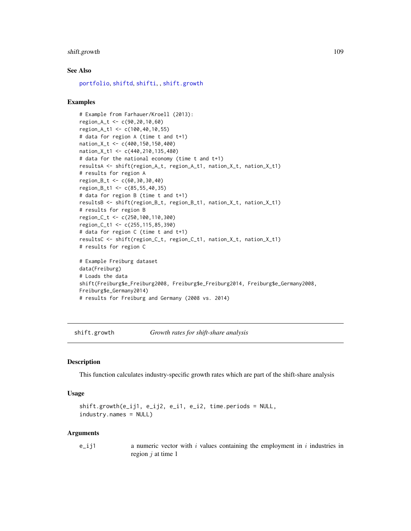# <span id="page-108-1"></span>shift.growth 109

# See Also

[portfolio](#page-93-0), [shiftd](#page-110-0), [shifti](#page-113-0), , [shift.growth](#page-108-0)

#### Examples

```
# Example from Farhauer/Kroell (2013):
region_A_t <- c(90,20,10,60)
region_A_t1 <- c(100,40,10,55)
# data for region A (time t and t+1)
nation_X_t <- c(400,150,150,400)
nation_X_t1 <- c(440,210,135,480)
# data for the national economy (time t and t+1)
resultsA <- shift(region_A_t, region_A_t1, nation_X_t, nation_X_t1)
# results for region A
region_B_t <- c(60,30,30,40)
region_B_t1 <- c(85,55,40,35)
# data for region B (time t and t+1)
resultsB <- shift(region_B_t, region_B_t1, nation_X_t, nation_X_t1)
# results for region B
region_C_t <- c(250,100,110,300)
region_C_t1 <- c(255,115,85,390)
# data for region C (time t and t+1)
resultsC <- shift(region_C_t, region_C_t1, nation_X_t, nation_X_t1)
# results for region C
# Example Freiburg dataset
data(Freiburg)
# Loads the data
shift(Freiburg$e_Freiburg2008, Freiburg$e_Freiburg2014, Freiburg$e_Germany2008,
Freiburg$e_Germany2014)
# results for Freiburg and Germany (2008 vs. 2014)
```
<span id="page-108-0"></span>shift.growth *Growth rates for shift-share analysis*

#### Description

This function calculates industry-specific growth rates which are part of the shift-share analysis

#### Usage

```
shift.growth(e_ij1, e_ij2, e_i1, e_i2, time.periods = NULL,
industry.names = NULL)
```
#### Arguments

e\_ij1 a numeric vector with i values containing the employment in i industries in region  $j$  at time 1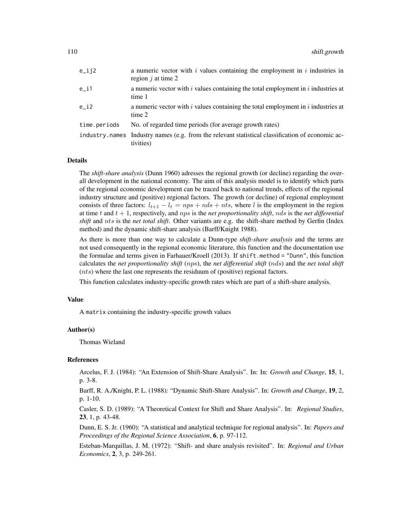| e_ij2        | a numeric vector with $i$ values containing the employment in $i$ industries in<br>region $j$ at time 2       |
|--------------|---------------------------------------------------------------------------------------------------------------|
| e_i1         | a numeric vector with $i$ values containing the total employment in $i$ industries at<br>time 1               |
| e i2         | a numeric vector with $i$ values containing the total employment in $i$ industries at<br>time 2               |
| time.periods | No. of regarded time periods (for average growth rates)                                                       |
|              | industry names Industry names (e.g. from the relevant statistical classification of economic ac-<br>tivities) |

#### Details

The *shift-share analysis* (Dunn 1960) adresses the regional growth (or decline) regarding the overall development in the national economy. The aim of this analysis model is to identify which parts of the regional economic development can be traced back to national trends, effects of the regional industry structure and (positive) regional factors. The growth (or decline) of regional employment consists of three factors:  $l_{t+1} - l_t = nps + nds + nts$ , where l is the employment in the region at time  $t$  and  $t + 1$ , respectively, and  $nps$  is the *net proportionality shift*,  $nds$  is the *net differential shift* and nts is the *net total shift*. Other variants are e.g. the shift-share method by Gerfin (Index method) and the dynamic shift-share analysis (Barff/Knight 1988).

As there is more than one way to calculate a Dunn-type *shift-share analysis* and the terms are not used consequently in the regional economic literature, this function and the documentation use the formulae and terms given in Farhauer/Kroell (2013). If shift.method = "Dunn", this function calculates the *net proportionality shift* (nps), the *net differential shift* (nds) and the *net total shift*  $(nts)$  where the last one represents the residuum of (positive) regional factors.

This function calculates industry-specific growth rates which are part of a shift-share analysis.

#### Value

A matrix containing the industry-specific growth values

#### Author(s)

Thomas Wieland

#### References

Arcelus, F. J. (1984): "An Extension of Shift-Share Analysis". In: In: *Growth and Change*, 15, 1, p. 3-8.

Barff, R. A./Knight, P. L. (1988): "Dynamic Shift-Share Analysis". In: *Growth and Change*, 19, 2, p. 1-10.

Casler, S. D. (1989): "A Theoretical Context for Shift and Share Analysis". In: *Regional Studies*, 23, 1, p. 43-48.

Dunn, E. S. Jr. (1960): "A statistical and analytical technique for regional analysis". In: *Papers and Proceedings of the Regional Science Association*, 6, p. 97-112.

Esteban-Marquillas, J. M. (1972): "Shift- and share analysis revisited". In: *Regional and Urban Economics*, 2, 3, p. 249-261.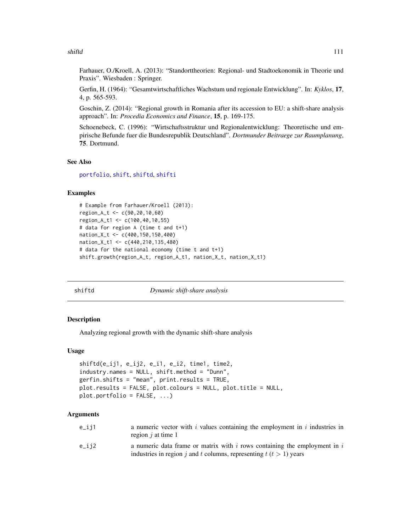#### <span id="page-110-1"></span>shiftd 111

Farhauer, O./Kroell, A. (2013): "Standorttheorien: Regional- und Stadtoekonomik in Theorie und Praxis". Wiesbaden : Springer.

Gerfin, H. (1964): "Gesamtwirtschaftliches Wachstum und regionale Entwicklung". In: *Kyklos*, 17, 4, p. 565-593.

Goschin, Z. (2014): "Regional growth in Romania after its accession to EU: a shift-share analysis approach". In: *Procedia Economics and Finance*, 15, p. 169-175.

Schoenebeck, C. (1996): "Wirtschaftsstruktur und Regionalentwicklung: Theoretische und empirische Befunde fuer die Bundesrepublik Deutschland". *Dortmunder Beitraege zur Raumplanung*, 75. Dortmund.

# See Also

[portfolio](#page-93-0), [shift](#page-106-0), [shiftd](#page-110-0), [shifti](#page-113-0)

# Examples

```
# Example from Farhauer/Kroell (2013):
region_A_t <- c(90,20,10,60)
region_A_t1 <- c(100,40,10,55)
# data for region A (time t and t+1)
nation_X_t <- c(400,150,150,400)
nation_X_t1 <- c(440,210,135,480)
# data for the national economy (time t and t+1)
shift.growth(region_A_t, region_A_t1, nation_X_t, nation_X_t1)
```
<span id="page-110-0"></span>

shiftd *Dynamic shift-share analysis*

### Description

Analyzing regional growth with the dynamic shift-share analysis

#### Usage

```
shiftd(e_ij1, e_ij2, e_i1, e_i2, time1, time2,
industry.names = NULL, shift.method = "Dunn",
gerfin.shifts = "mean", print.results = TRUE,
plot.results = FALSE, plot.colours = NULL, plot.title = NULL,
plot.portfolio = FALSE, ...)
```
# Arguments

| e_ij1 | a numeric vector with i values containing the employment in i industries in<br>region $i$ at time 1                                                |
|-------|----------------------------------------------------------------------------------------------------------------------------------------------------|
| e_ij2 | a numeric data frame or matrix with i rows containing the employment in $i$<br>industries in region j and t columns, representing $t(t > 1)$ years |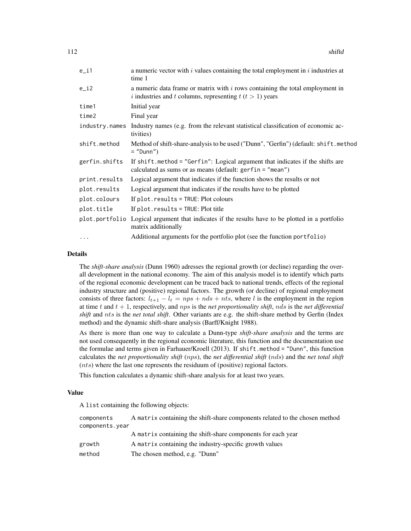| $e_i$         | a numeric vector with $i$ values containing the total employment in $i$ industries at<br>time 1                                                   |
|---------------|---------------------------------------------------------------------------------------------------------------------------------------------------|
| $e_i$         | a numeric data frame or matrix with $i$ rows containing the total employment in<br>i industries and t columns, representing $t$ ( $t > 1$ ) years |
| time1         | Initial year                                                                                                                                      |
| time2         | Final year                                                                                                                                        |
|               | industry names Industry names (e.g. from the relevant statistical classification of economic ac-<br>tivities)                                     |
| shift.method  | Method of shift-share-analysis to be used ("Dunn", "Gerfin") (default: shift.method<br>$=$ "Dunn")                                                |
| gerfin.shifts | If shift method = "Gerfin": Logical argument that indicates if the shifts are<br>calculated as sums or as means (default: $gerfin = "mean")$      |
| print.results | Logical argument that indicates if the function shows the results or not                                                                          |
| plot.results  | Logical argument that indicates if the results have to be plotted                                                                                 |
| plot.colours  | If plot.results = TRUE: Plot colours                                                                                                              |
| plot.title    | If $plot. results = TRUE: Plot title$                                                                                                             |
|               | plot portfolio Logical argument that indicates if the results have to be plotted in a portfolio<br>matrix additionally                            |
| $\cdots$      | Additional arguments for the portfolio plot (see the function portfolio)                                                                          |

# Details

The *shift-share analysis* (Dunn 1960) adresses the regional growth (or decline) regarding the overall development in the national economy. The aim of this analysis model is to identify which parts of the regional economic development can be traced back to national trends, effects of the regional industry structure and (positive) regional factors. The growth (or decline) of regional employment consists of three factors:  $l_{t+1} - l_t = nps + nds + nts$ , where l is the employment in the region at time  $t$  and  $t + 1$ , respectively, and  $nps$  is the *net proportionality shift*, *nds* is the *net differential shift* and nts is the *net total shift*. Other variants are e.g. the shift-share method by Gerfin (Index method) and the dynamic shift-share analysis (Barff/Knight 1988).

As there is more than one way to calculate a Dunn-type *shift-share analysis* and the terms are not used consequently in the regional economic literature, this function and the documentation use the formulae and terms given in Farhauer/Kroell (2013). If shift.method = "Dunn", this function calculates the *net proportionality shift* (nps), the *net differential shift* (nds) and the *net total shift* (nts) where the last one represents the residuum of (positive) regional factors.

This function calculates a dynamic shift-share analysis for at least two years.

#### Value

A list containing the following objects:

| components      | A matrix containing the shift-share components related to the chosen method |
|-----------------|-----------------------------------------------------------------------------|
| components.year |                                                                             |
|                 | A matrix containing the shift-share components for each year                |
| growth          | A matrix containing the industry-specific growth values                     |
| method          | The chosen method, e.g. "Dunn"                                              |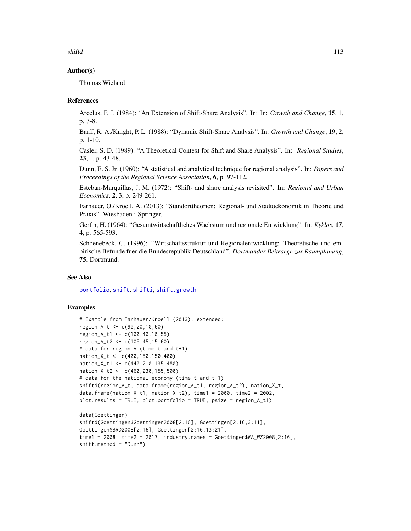<span id="page-112-0"></span>shiftd 113

# Author(s)

Thomas Wieland

#### References

Arcelus, F. J. (1984): "An Extension of Shift-Share Analysis". In: In: *Growth and Change*, 15, 1, p. 3-8.

Barff, R. A./Knight, P. L. (1988): "Dynamic Shift-Share Analysis". In: *Growth and Change*, 19, 2, p. 1-10.

Casler, S. D. (1989): "A Theoretical Context for Shift and Share Analysis". In: *Regional Studies*, 23, 1, p. 43-48.

Dunn, E. S. Jr. (1960): "A statistical and analytical technique for regional analysis". In: *Papers and Proceedings of the Regional Science Association*, 6, p. 97-112.

Esteban-Marquillas, J. M. (1972): "Shift- and share analysis revisited". In: *Regional and Urban Economics*, 2, 3, p. 249-261.

Farhauer, O./Kroell, A. (2013): "Standorttheorien: Regional- und Stadtoekonomik in Theorie und Praxis". Wiesbaden : Springer.

Gerfin, H. (1964): "Gesamtwirtschaftliches Wachstum und regionale Entwicklung". In: *Kyklos*, 17, 4, p. 565-593.

Schoenebeck, C. (1996): "Wirtschaftsstruktur und Regionalentwicklung: Theoretische und empirische Befunde fuer die Bundesrepublik Deutschland". *Dortmunder Beitraege zur Raumplanung*, 75. Dortmund.

#### See Also

[portfolio](#page-93-0), [shift](#page-106-0), [shifti](#page-113-0), [shift.growth](#page-108-0)

#### Examples

```
# Example from Farhauer/Kroell (2013), extended:
region_A_t <- c(90,20,10,60)
region_A_t1 <- c(100,40,10,55)
region_A_t2 <- c(105,45,15,60)
# data for region A (time t and t+1)
nation_X_t <- c(400,150,150,400)
nation_X_t1 <- c(440,210,135,480)
nation_X_t2 <- c(460,230,155,500)
# data for the national economy (time t and t+1)
shiftd(region_A_t, data.frame(region_A_t1, region_A_t2), nation_X_t,
data.frame(nation_X_t1, nation_X_t2), time1 = 2000, time2 = 2002,
plot.results = TRUE, plot.portfolio = TRUE, psize = region_A_t1)
data(Goettingen)
shiftd(Goettingen$Goettingen2008[2:16], Goettingen[2:16,3:11],
Goettingen$BRD2008[2:16], Goettingen[2:16,13:21],
time1 = 2008, time2 = 2017, industry.names = Goettingen$WA_WZ2008[2:16],
shift.method = "Dunn")
```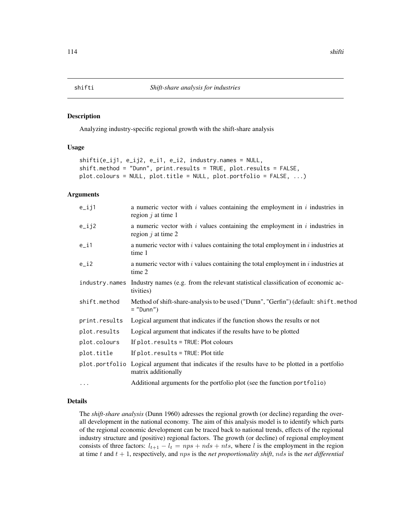#### <span id="page-113-1"></span><span id="page-113-0"></span>Description

Analyzing industry-specific regional growth with the shift-share analysis

# Usage

```
shifti(e_ij1, e_ij2, e_i1, e_i2, industry.names = NULL,
shift.method = "Dunn", print.results = TRUE, plot.results = FALSE,
plot.colours = NULL, plot.title = NULL, plot.portfolio = FALSE, ...)
```
#### Arguments

| $e$ _ij1       | a numeric vector with $i$ values containing the employment in $i$ industries in<br>region $j$ at time 1                |
|----------------|------------------------------------------------------------------------------------------------------------------------|
| $e$ _ $i$ j2   | a numeric vector with $i$ values containing the employment in $i$ industries in<br>region $j$ at time 2                |
| $e_i$          | a numeric vector with $i$ values containing the total employment in $i$ industries at<br>time 1                        |
| $e_i$          | a numeric vector with $i$ values containing the total employment in $i$ industries at<br>time 2                        |
| industry.names | Industry names (e.g. from the relevant statistical classification of economic ac-<br>tivities)                         |
| shift.method   | Method of shift-share-analysis to be used ("Dunn", "Gerfin") (default: shift.method<br>$=$ "Dunn")                     |
| print.results  | Logical argument that indicates if the function shows the results or not                                               |
| plot.results   | Logical argument that indicates if the results have to be plotted                                                      |
| plot.colours   | If plot.results = TRUE: Plot colours                                                                                   |
| plot.title     | If $plot. results = TRUE: Plot title$                                                                                  |
|                | plot portfolio Logical argument that indicates if the results have to be plotted in a portfolio<br>matrix additionally |
| $\cdots$       | Additional arguments for the portfolio plot (see the function portfolio)                                               |

#### Details

The *shift-share analysis* (Dunn 1960) adresses the regional growth (or decline) regarding the overall development in the national economy. The aim of this analysis model is to identify which parts of the regional economic development can be traced back to national trends, effects of the regional industry structure and (positive) regional factors. The growth (or decline) of regional employment consists of three factors:  $l_{t+1} - l_t = nps + nds + nts$ , where l is the employment in the region at time  $t$  and  $t + 1$ , respectively, and  $nps$  is the *net proportionality shift*, *nds* is the *net differential*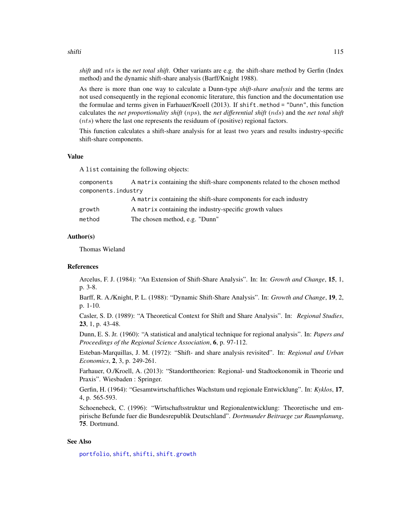#### <span id="page-114-0"></span>shifti and the state of the state of the state of the state of the state of the state of the state of the state of the state of the state of the state of the state of the state of the state of the state of the state of the

*shift* and nts is the *net total shift*. Other variants are e.g. the shift-share method by Gerfin (Index method) and the dynamic shift-share analysis (Barff/Knight 1988).

As there is more than one way to calculate a Dunn-type *shift-share analysis* and the terms are not used consequently in the regional economic literature, this function and the documentation use the formulae and terms given in Farhauer/Kroell (2013). If shift.method = "Dunn", this function calculates the *net proportionality shift* (nps), the *net differential shift* (nds) and the *net total shift* (nts) where the last one represents the residuum of (positive) regional factors.

This function calculates a shift-share analysis for at least two years and results industry-specific shift-share components.

#### Value

A list containing the following objects:

| A matrix containing the shift-share components related to the chosen method |  |  |
|-----------------------------------------------------------------------------|--|--|
| components.industry                                                         |  |  |
| A matrix containing the shift-share components for each industry            |  |  |
| A matrix containing the industry-specific growth values                     |  |  |
| The chosen method, e.g. "Dunn"                                              |  |  |
|                                                                             |  |  |

# Author(s)

Thomas Wieland

#### References

Arcelus, F. J. (1984): "An Extension of Shift-Share Analysis". In: In: *Growth and Change*, 15, 1, p. 3-8.

Barff, R. A./Knight, P. L. (1988): "Dynamic Shift-Share Analysis". In: *Growth and Change*, 19, 2, p. 1-10.

Casler, S. D. (1989): "A Theoretical Context for Shift and Share Analysis". In: *Regional Studies*, 23, 1, p. 43-48.

Dunn, E. S. Jr. (1960): "A statistical and analytical technique for regional analysis". In: *Papers and Proceedings of the Regional Science Association*, 6, p. 97-112.

Esteban-Marquillas, J. M. (1972): "Shift- and share analysis revisited". In: *Regional and Urban Economics*, 2, 3, p. 249-261.

Farhauer, O./Kroell, A. (2013): "Standorttheorien: Regional- und Stadtoekonomik in Theorie und Praxis". Wiesbaden : Springer.

Gerfin, H. (1964): "Gesamtwirtschaftliches Wachstum und regionale Entwicklung". In: *Kyklos*, 17, 4, p. 565-593.

Schoenebeck, C. (1996): "Wirtschaftsstruktur und Regionalentwicklung: Theoretische und empirische Befunde fuer die Bundesrepublik Deutschland". *Dortmunder Beitraege zur Raumplanung*, 75. Dortmund.

# See Also

[portfolio](#page-93-0), [shift](#page-106-0), [shifti](#page-113-0), [shift.growth](#page-108-0)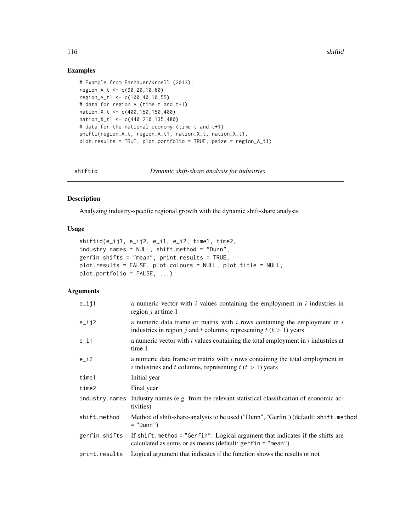# Examples

```
# Example from Farhauer/Kroell (2013):
region_A_t <- c(90,20,10,60)
region_A_t1 <- c(100,40,10,55)
# data for region A (time t and t+1)
nation_X_t <- c(400,150,150,400)
nation_X_t1 <- c(440,210,135,480)
# data for the national economy (time t and t+1)
shifti(region_A_t, region_A_t1, nation_X_t, nation_X_t1,
plot.results = TRUE, plot.portfolio = TRUE, psize = region_A_t1)
```
shiftid *Dynamic shift-share analysis for industries*

# Description

Analyzing industry-specific regional growth with the dynamic shift-share analysis

# Usage

```
shiftid(e_ij1, e_ij2, e_i1, e_i2, time1, time2,
industry.names = NULL, shift.method = "Dunn",
gerfin.shifts = "mean", print.results = TRUE,
plot.results = FALSE, plot.colours = NULL, plot.title = NULL,
plot.portfolio = FALSE, ...)
```
# Arguments

| $e$ _ij1      | a numeric vector with $i$ values containing the employment in $i$ industries in<br>region $j$ at time 1                                                    |
|---------------|------------------------------------------------------------------------------------------------------------------------------------------------------------|
| $e$ _ $i$ j2  | a numeric data frame or matrix with $i$ rows containing the employment in $i$<br>industries in region j and t columns, representing $t$ ( $t > 1$ ) years  |
| $e_i$ i 1     | a numeric vector with $i$ values containing the total employment in $i$ industries at<br>time 1                                                            |
| $e_i$         | a numeric data frame or matrix with $i$ rows containing the total employment in<br><i>i</i> industries and <i>t</i> columns, representing $t(t > 1)$ years |
| time1         | Initial year                                                                                                                                               |
| time2         | Final year                                                                                                                                                 |
|               | industry names Industry names (e.g. from the relevant statistical classification of economic ac-<br>tivities)                                              |
| shift.method  | Method of shift-share-analysis to be used ("Dunn", "Gerfin") (default: shift.method<br>$=$ "Dunn")                                                         |
| gerfin.shifts | If shift method = "Gerfin": Logical argument that indicates if the shifts are<br>calculated as sums or as means (default: $gerfin = "mean")$               |
| print.results | Logical argument that indicates if the function shows the results or not                                                                                   |
|               |                                                                                                                                                            |

<span id="page-115-0"></span>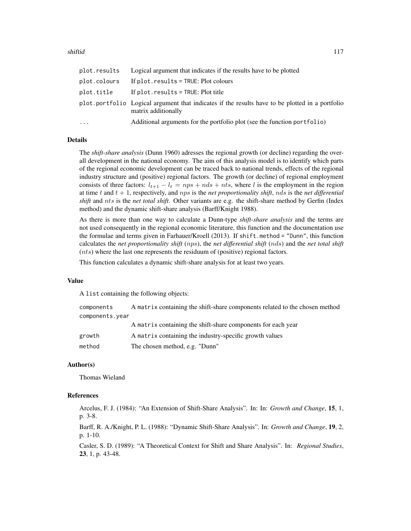#### shiftid the state of the state of the state of the state of the state of the state of the state of the state of the state of the state of the state of the state of the state of the state of the state of the state of the st

| plot.results | Logical argument that indicates if the results have to be plotted                                                      |
|--------------|------------------------------------------------------------------------------------------------------------------------|
| plot.colours | If $plot. results = TRUE: Plot colours$                                                                                |
| plot.title   | If $plot. results = TRUE: Plot title$                                                                                  |
|              | plot portfolio Logical argument that indicates if the results have to be plotted in a portfolio<br>matrix additionally |
| $\cdots$     | Additional arguments for the portfolio plot (see the function portfolio)                                               |

# Details

The *shift-share analysis* (Dunn 1960) adresses the regional growth (or decline) regarding the overall development in the national economy. The aim of this analysis model is to identify which parts of the regional economic development can be traced back to national trends, effects of the regional industry structure and (positive) regional factors. The growth (or decline) of regional employment consists of three factors:  $l_{t+1} - l_t = nps + nds + nts$ , where l is the employment in the region at time  $t$  and  $t + 1$ , respectively, and  $nps$  is the *net proportionality shift*,  $nds$  is the *net differential shift* and nts is the *net total shift*. Other variants are e.g. the shift-share method by Gerfin (Index method) and the dynamic shift-share analysis (Barff/Knight 1988).

As there is more than one way to calculate a Dunn-type *shift-share analysis* and the terms are not used consequently in the regional economic literature, this function and the documentation use the formulae and terms given in Farhauer/Kroell (2013). If shift.method = "Dunn", this function calculates the *net proportionality shift* (nps), the *net differential shift* (nds) and the *net total shift*  $(nts)$  where the last one represents the residuum of (positive) regional factors.

This function calculates a dynamic shift-share analysis for at least two years.

#### Value

A list containing the following objects:

| components      | A matrix containing the shift-share components related to the chosen method |
|-----------------|-----------------------------------------------------------------------------|
| components.year |                                                                             |
|                 | A matrix containing the shift-share components for each year                |
| growth          | A matrix containing the industry-specific growth values                     |
| method          | The chosen method, e.g. "Dunn"                                              |

#### Author(s)

Thomas Wieland

#### References

Arcelus, F. J. (1984): "An Extension of Shift-Share Analysis". In: In: *Growth and Change*, 15, 1, p. 3-8.

Barff, R. A./Knight, P. L. (1988): "Dynamic Shift-Share Analysis". In: *Growth and Change*, 19, 2, p. 1-10.

Casler, S. D. (1989): "A Theoretical Context for Shift and Share Analysis". In: *Regional Studies*, 23, 1, p. 43-48.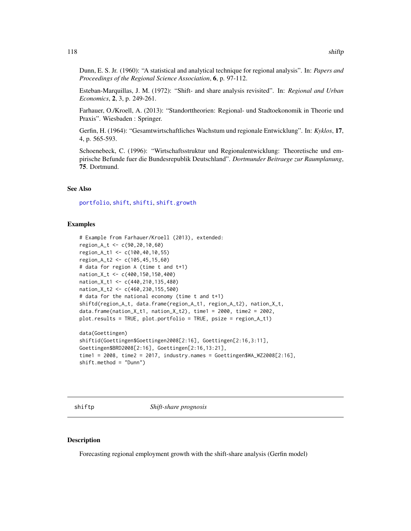<span id="page-117-0"></span>Dunn, E. S. Jr. (1960): "A statistical and analytical technique for regional analysis". In: *Papers and Proceedings of the Regional Science Association*, 6, p. 97-112.

Esteban-Marquillas, J. M. (1972): "Shift- and share analysis revisited". In: *Regional and Urban Economics*, 2, 3, p. 249-261.

Farhauer, O./Kroell, A. (2013): "Standorttheorien: Regional- und Stadtoekonomik in Theorie und Praxis". Wiesbaden : Springer.

Gerfin, H. (1964): "Gesamtwirtschaftliches Wachstum und regionale Entwicklung". In: *Kyklos*, 17, 4, p. 565-593.

Schoenebeck, C. (1996): "Wirtschaftsstruktur und Regionalentwicklung: Theoretische und empirische Befunde fuer die Bundesrepublik Deutschland". *Dortmunder Beitraege zur Raumplanung*, 75. Dortmund.

# See Also

[portfolio](#page-93-0), [shift](#page-106-0), [shifti](#page-113-0), [shift.growth](#page-108-0)

### Examples

```
# Example from Farhauer/Kroell (2013), extended:
region_A_t <- c(90,20,10,60)
region_A_t1 <- c(100,40,10,55)
region_A_t2 <- c(105,45,15,60)
# data for region A (time t and t+1)
nation_X_t <- c(400,150,150,400)
nation_X_t1 <- c(440,210,135,480)
nation_X_t2 <- c(460,230,155,500)
# data for the national economy (time t and t+1)
shiftd(region_A_t, data.frame(region_A_t1, region_A_t2), nation_X_t,
data.frame(nation_X_t1, nation_X_t2), time1 = 2000, time2 = 2002,
plot.results = TRUE, plot.portfolio = TRUE, psize = region_A_t1)
data(Goettingen)
```

```
shiftid(Goettingen$Goettingen2008[2:16], Goettingen[2:16,3:11],
Goettingen$BRD2008[2:16], Goettingen[2:16,13:21],
time1 = 2008, time2 = 2017, industry.names = Goettingen$WA_WZ2008[2:16],
shift.method = "Dunn")
```
shiftp *Shift-share prognosis*

#### Description

Forecasting regional employment growth with the shift-share analysis (Gerfin model)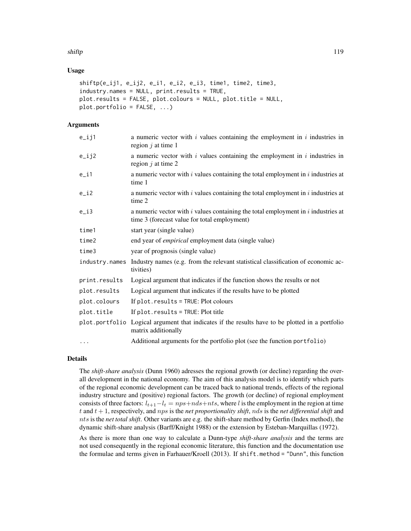#### shiftp that is a shift of the state of the state of the state of the state of the state of the state of the state of the state of the state of the state of the state of the state of the state of the state of the state of t

# Usage

```
shiftp(e_ij1, e_ij2, e_i1, e_i2, e_i3, time1, time2, time3,
industry.names = NULL, print.results = TRUE,
plot.results = FALSE, plot.colours = NULL, plot.title = NULL,
plot.portfolio = FALSE, ...)
```
# **Arguments**

| $e$ _ij1       | a numeric vector with $i$ values containing the employment in $i$ industries in<br>region $j$ at time 1                               |
|----------------|---------------------------------------------------------------------------------------------------------------------------------------|
| $e$ _ij2       | a numeric vector with $i$ values containing the employment in $i$ industries in<br>region $j$ at time 2                               |
| e_i1           | a numeric vector with $i$ values containing the total employment in $i$ industries at<br>time 1                                       |
| $e_i$          | a numeric vector with $i$ values containing the total employment in $i$ industries at<br>time 2                                       |
| $e_i$          | a numeric vector with $i$ values containing the total employment in $i$ industries at<br>time 3 (forecast value for total employment) |
| time1          | start year (single value)                                                                                                             |
| time2          | end year of <i>empirical</i> employment data (single value)                                                                           |
| time3          | year of prognosis (single value)                                                                                                      |
| industry.names | Industry names (e.g. from the relevant statistical classification of economic ac-<br>tivities)                                        |
| print.results  | Logical argument that indicates if the function shows the results or not                                                              |
| plot.results   | Logical argument that indicates if the results have to be plotted                                                                     |
| plot.colours   | If plot.results = TRUE: Plot colours                                                                                                  |
| plot.title     | If plot.results = TRUE: Plot title                                                                                                    |
|                | plot portfolio Logical argument that indicates if the results have to be plotted in a portfolio<br>matrix additionally                |
| $\cdots$       | Additional arguments for the portfolio plot (see the function portfolio)                                                              |

# Details

The *shift-share analysis* (Dunn 1960) adresses the regional growth (or decline) regarding the overall development in the national economy. The aim of this analysis model is to identify which parts of the regional economic development can be traced back to national trends, effects of the regional industry structure and (positive) regional factors. The growth (or decline) of regional employment consists of three factors:  $l_{t+1}-l_t = nps+nds+nts$ , where l is the employment in the region at time  $t$  and  $t + 1$ , respectively, and nps is the *net proportionality shift*, nds is the *net differential shift* and nts is the *net total shift*. Other variants are e.g. the shift-share method by Gerfin (Index method), the dynamic shift-share analysis (Barff/Knight 1988) or the extension by Esteban-Marquillas (1972).

As there is more than one way to calculate a Dunn-type *shift-share analysis* and the terms are not used consequently in the regional economic literature, this function and the documentation use the formulae and terms given in Farhauer/Kroell (2013). If shift.method = "Dunn", this function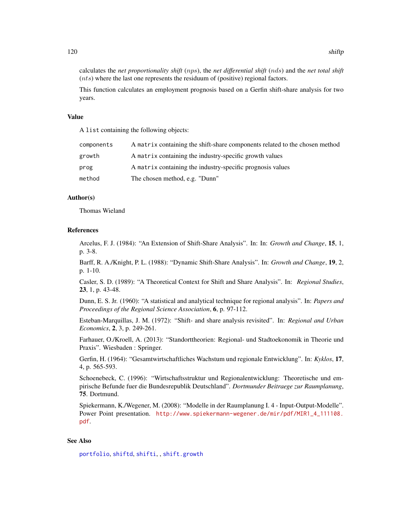<span id="page-119-0"></span>calculates the *net proportionality shift* (nps), the *net differential shift* (nds) and the *net total shift*  $(nts)$  where the last one represents the residuum of (positive) regional factors.

This function calculates an employment prognosis based on a Gerfin shift-share analysis for two years.

#### Value

A list containing the following objects:

| components | A matrix containing the shift-share components related to the chosen method |
|------------|-----------------------------------------------------------------------------|
| growth     | A matrix containing the industry-specific growth values                     |
| prog       | A matrix containing the industry-specific prognosis values                  |
| method     | The chosen method, e.g. "Dunn"                                              |

#### Author(s)

Thomas Wieland

#### References

Arcelus, F. J. (1984): "An Extension of Shift-Share Analysis". In: In: *Growth and Change*, 15, 1, p. 3-8.

Barff, R. A./Knight, P. L. (1988): "Dynamic Shift-Share Analysis". In: *Growth and Change*, 19, 2, p. 1-10.

Casler, S. D. (1989): "A Theoretical Context for Shift and Share Analysis". In: *Regional Studies*, 23, 1, p. 43-48.

Dunn, E. S. Jr. (1960): "A statistical and analytical technique for regional analysis". In: *Papers and Proceedings of the Regional Science Association*, 6, p. 97-112.

Esteban-Marquillas, J. M. (1972): "Shift- and share analysis revisited". In: *Regional and Urban Economics*, 2, 3, p. 249-261.

Farhauer, O./Kroell, A. (2013): "Standorttheorien: Regional- und Stadtoekonomik in Theorie und Praxis". Wiesbaden : Springer.

Gerfin, H. (1964): "Gesamtwirtschaftliches Wachstum und regionale Entwicklung". In: *Kyklos*, 17, 4, p. 565-593.

Schoenebeck, C. (1996): "Wirtschaftsstruktur und Regionalentwicklung: Theoretische und empirische Befunde fuer die Bundesrepublik Deutschland". *Dortmunder Beitraege zur Raumplanung*, 75. Dortmund.

Spiekermann, K./Wegener, M. (2008): "Modelle in der Raumplanung I. 4 - Input-Output-Modelle". Power Point presentation. [http://www.spiekermann-wegener.de/mir/pdf/MIR1\\_4\\_111108.](http://www.spiekermann-wegener.de/mir/pdf/MIR1_4_111108.pdf) [pdf](http://www.spiekermann-wegener.de/mir/pdf/MIR1_4_111108.pdf).

#### See Also

[portfolio](#page-93-0), [shiftd](#page-110-0), [shifti](#page-113-0), , [shift.growth](#page-108-0)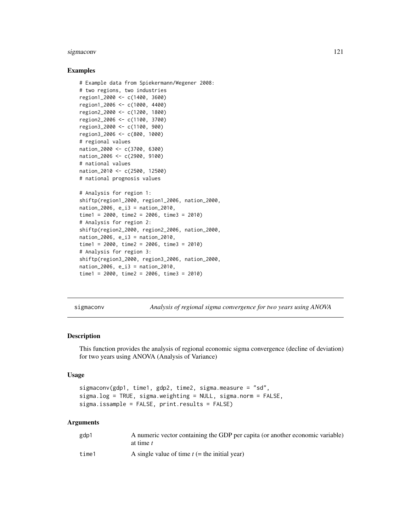#### <span id="page-120-1"></span>sigmaconv 121

#### Examples

```
# Example data from Spiekermann/Wegener 2008:
# two regions, two industries
region1_2000 <- c(1400, 3600)
region1_2006 <- c(1000, 4400)
region2_2000 <- c(1200, 1800)
region2_2006 <- c(1100, 3700)
region3_2000 <- c(1100, 900)
region3_2006 <- c(800, 1000)
# regional values
nation_2000 <- c(3700, 6300)
nation_2006 <- c(2900, 9100)
# national values
nation_2010 <- c(2500, 12500)
# national prognosis values
# Analysis for region 1:
shiftp(region1_2000, region1_2006, nation_2000,
nation_2006, e_i3 = nation_2010,
time1 = 2000, time2 = 2006, time3 = 2010)
# Analysis for region 2:
shiftp(region2_2000, region2_2006, nation_2000,
nation_2006, e_i3 = nation_2010,
time1 = 2000, time2 = 2006, time3 = 2010)
# Analysis for region 3:
shiftp(region3_2000, region3_2006, nation_2000,
nation_2006, e_i3 = nation_2010,
time1 = 2000, time2 = 2006, time3 = 2010)
```
<span id="page-120-0"></span>sigmaconv *Analysis of regional sigma convergence for two years using ANOVA*

# **Description**

This function provides the analysis of regional economic sigma convergence (decline of deviation) for two years using ANOVA (Analysis of Variance)

#### Usage

```
sigmaconv(gdp1, time1, gdp2, time2, sigma.measure = "sd",
sigma.log = TRUE, sigma.weighting = NULL, sigma.norm = FALSE,
sigma.issample = FALSE, print.results = FALSE)
```
#### Arguments

| gdp1  | A numeric vector containing the GDP per capita (or another economic variable)<br>at time t |
|-------|--------------------------------------------------------------------------------------------|
| time1 | A single value of time $t$ (= the initial year)                                            |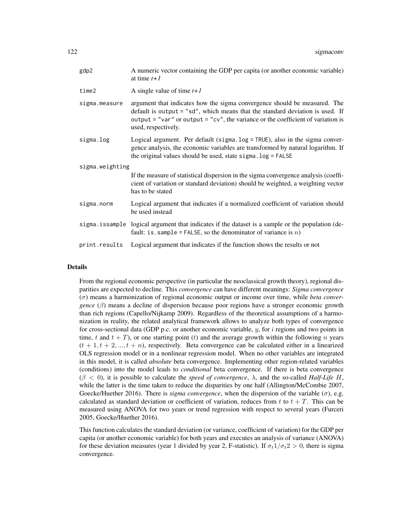| gdp2            | A numeric vector containing the GDP per capita (or another economic variable)<br>at time $t+1$                                                                                                                                                                          |  |
|-----------------|-------------------------------------------------------------------------------------------------------------------------------------------------------------------------------------------------------------------------------------------------------------------------|--|
| time2           | A single value of time $t+1$                                                                                                                                                                                                                                            |  |
| sigma.measure   | argument that indicates how the sigma convergence should be measured. The<br>default is output $=$ "sd", which means that the standard deviation is used. If<br>output = "var" or output = "cv", the variance or the coefficient of variation is<br>used, respectively. |  |
| sigma.log       | Logical argument. Per default (sigma.log = TRUE), also in the sigma conver-<br>gence analysis, the economic variables are transformed by natural logarithm. If<br>the original values should be used, state sigma. log = FALSE                                          |  |
| sigma.weighting |                                                                                                                                                                                                                                                                         |  |
|                 | If the measure of statistical dispersion in the sigma convergence analysis (coeffi-<br>cient of variation or standard deviation) should be weighted, a weighting vector<br>has to be stated                                                                             |  |
| sigma.norm      | Logical argument that indicates if a normalized coefficient of variation should<br>be used instead                                                                                                                                                                      |  |
|                 | sigma. is sample logical argument that indicates if the dataset is a sample or the population (de-<br>fault: is sample = FALSE, so the denominator of variance is $n$ )                                                                                                 |  |
| print.results   | Logical argument that indicates if the function shows the results or not                                                                                                                                                                                                |  |

#### Details

From the regional economic perspective (in particular the neoclassical growth theory), regional disparities are expected to decline. This *convergence* can have different meanings: *Sigma convergence* (σ) means a harmonization of regional economic output or income over time, while *beta convergence* (β) means a decline of dispersion because poor regions have a stronger economic growth than rich regions (Capello/Nijkamp 2009). Regardless of the theoretical assumptions of a harmonization in reality, the related analytical framework allows to analyze both types of convergence for cross-sectional data (GDP p.c. or another economic variable,  $y$ , for i regions and two points in time, t and  $t + T$ ), or one starting point (t) and the average growth within the following n years  $(t + 1, t + 2, ..., t + n)$ , respectively. Beta convergence can be calculated either in a linearized OLS regression model or in a nonlinear regression model. When no other variables are integrated in this model, it is called *absolute* beta convergence. Implementing other region-related variables (conditions) into the model leads to *conditional* beta convergence. If there is beta convergence (β < 0), it is possible to calculate the *speed of convergence*, λ, and the so-called *Half-Life* H, while the latter is the time taken to reduce the disparities by one half (Allington/McCombie 2007, Goecke/Huether 2016). There is *sigma convergence*, when the dispersion of the variable  $(\sigma)$ , e.g. calculated as standard deviation or coefficient of variation, reduces from t to  $t + T$ . This can be measured using ANOVA for two years or trend regression with respect to several years (Furceri 2005, Goecke/Huether 2016).

This function calculates the standard deviation (or variance, coefficient of variation) for the GDP per capita (or another economic variable) for both years and executes an analysis of variance (ANOVA) for these deviation measures (year 1 divided by year 2, F-statistic). If  $\sigma_t 1/\sigma_t 2 > 0$ , there is sigma convergence.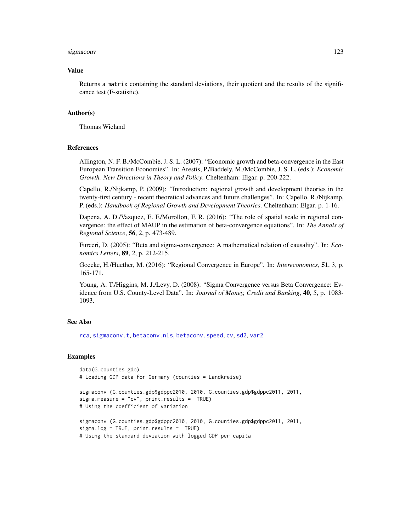#### <span id="page-122-0"></span>sigmaconv and the state of the state of the state of the state of the state of the state of the state of the state of the state of the state of the state of the state of the state of the state of the state of the state of

#### Value

Returns a matrix containing the standard deviations, their quotient and the results of the significance test (F-statistic).

#### Author(s)

Thomas Wieland

# References

Allington, N. F. B./McCombie, J. S. L. (2007): "Economic growth and beta-convergence in the East European Transition Economies". In: Arestis, P./Baddely, M./McCombie, J. S. L. (eds.): *Economic Growth. New Directions in Theory and Policy*. Cheltenham: Elgar. p. 200-222.

Capello, R./Nijkamp, P. (2009): "Introduction: regional growth and development theories in the twenty-first century - recent theoretical advances and future challenges". In: Capello, R./Nijkamp, P. (eds.): *Handbook of Regional Growth and Development Theories*. Cheltenham: Elgar. p. 1-16.

Dapena, A. D./Vazquez, E. F./Morollon, F. R. (2016): "The role of spatial scale in regional convergence: the effect of MAUP in the estimation of beta-convergence equations". In: *The Annals of Regional Science*, 56, 2, p. 473-489.

Furceri, D. (2005): "Beta and sigma-convergence: A mathematical relation of causality". In: *Economics Letters*, 89, 2, p. 212-215.

Goecke, H./Huether, M. (2016): "Regional Convergence in Europe". In: *Intereconomics*, 51, 3, p. 165-171.

Young, A. T./Higgins, M. J./Levy, D. (2008): "Sigma Convergence versus Beta Convergence: Evidence from U.S. County-Level Data". In: *Journal of Money, Credit and Banking*, 40, 5, p. 1083- 1093.

#### See Also

[rca](#page-95-0), [sigmaconv.t](#page-123-0), [betaconv.nls](#page-5-0), [betaconv.speed](#page-11-0), [cv](#page-18-0), [sd2](#page-104-0), [var2](#page-129-0)

# Examples

```
data(G.counties.gdp)
# Loading GDP data for Germany (counties = Landkreise)
sigmaconv (G.counties.gdp$gdppc2010, 2010, G.counties.gdp$gdppc2011, 2011,
sigma.measure = "cv", print.results = TRUE)
# Using the coefficient of variation
sigmaconv (G.counties.gdp$gdppc2010, 2010, G.counties.gdp$gdppc2011, 2011,
sigma.log = TRUE, print.results = TRUE)
# Using the standard deviation with logged GDP per capita
```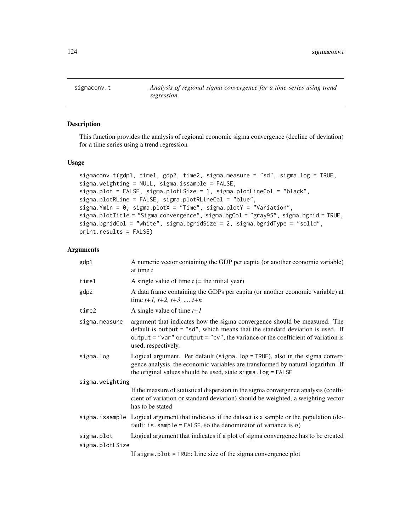<span id="page-123-1"></span><span id="page-123-0"></span>

# Description

This function provides the analysis of regional economic sigma convergence (decline of deviation) for a time series using a trend regression

# Usage

```
sigmaconv.t(gdp1, time1, gdp2, time2, sigma.measure = "sd", sigma.log = TRUE,
sigma.weighting = NULL, sigma.issample = FALSE,
sigma.plot = FALSE, sigma.plotLSize = 1, sigma.plotLineCol = "black",
sigma.plotRLine = FALSE, sigma.plotRLineCol = "blue",
sigma.Ymin = 0, sigma.plotX = "Time", sigma.plotY = "Variation",
sigma.plotTitle = "Sigma convergence", sigma.bgCol = "gray95", sigma.bgrid = TRUE,
sigma.bgridCol = "white", sigma.bgridSize = 2, sigma.bgridType = "solid",
print.results = FALSE)
```
#### Arguments

| gdp1            | A numeric vector containing the GDP per capita (or another economic variable)<br>at time $t$                                                                                                                                                                            |
|-----------------|-------------------------------------------------------------------------------------------------------------------------------------------------------------------------------------------------------------------------------------------------------------------------|
| time1           | A single value of time $t$ (= the initial year)                                                                                                                                                                                                                         |
| gdp2            | A data frame containing the GDPs per capita (or another economic variable) at<br>time $t+1$ , $t+2$ , $t+3$ , , $t+n$                                                                                                                                                   |
| time2           | A single value of time $t+1$                                                                                                                                                                                                                                            |
| sigma.measure   | argument that indicates how the sigma convergence should be measured. The<br>default is output $=$ "sd", which means that the standard deviation is used. If<br>output = "var" or output = "cv", the variance or the coefficient of variation is<br>used, respectively. |
| sigma.log       | Logical argument. Per default (sigma.log = TRUE), also in the sigma conver-<br>gence analysis, the economic variables are transformed by natural logarithm. If<br>the original values should be used, state sigma. log = FALSE                                          |
| sigma.weighting |                                                                                                                                                                                                                                                                         |
|                 | If the measure of statistical dispersion in the sigma convergence analysis (coeffi-<br>cient of variation or standard deviation) should be weighted, a weighting vector<br>has to be stated                                                                             |
|                 | sigma. is sample Logical argument that indicates if the dataset is a sample or the population (de-<br>fault: is . sample = FALSE, so the denominator of variance is $n$ )                                                                                               |
| sigma.plot      | Logical argument that indicates if a plot of sigma convergence has to be created                                                                                                                                                                                        |
| sigma.plotLSize |                                                                                                                                                                                                                                                                         |
|                 | If sigma.plot = $TRUE$ : Line size of the sigma convergence plot                                                                                                                                                                                                        |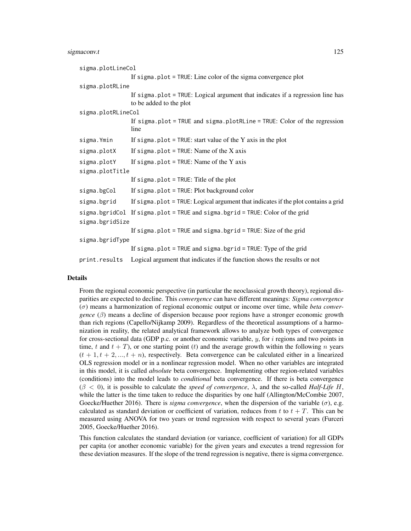#### sigmaconv.t 125

```
sigma.plotLineCol
                 If sigma.plot = TRUE: Line color of the sigma convergence plot
sigma.plotRLine
                 If sigma.plot = TRUE: Logical argument that indicates if a regression line has
                 to be added to the plot
sigma.plotRLineCol
                 If sigma.plot = TRUE and sigma.plotRLine = TRUE: Color of the regression
                 line
sigma. Ymin If sigma.plot = TRUE: start value of the Y axis in the plot
sigma.plotX If sigma.plot = TRUE: Name of the X axis
sigma.plotY If sigma.plot = TRUE: Name of the Y axis
sigma.plotTitle
                 If sigma.plot = TRUE: Title of the plot
sigma.bgCol If sigma.plot = TRUE: Plot background color
sigma.bgrid If sigma.plot = TRUE: Logical argument that indicates if the plot contains a grid
sigma.bgridCol If sigma.plot = TRUE and sigma.bgrid = TRUE: Color of the grid
sigma.bgridSize
                 If sigma.plot = TRUE and sigma.bgrid = TRUE: Size of the grid
sigma.bgridType
                 If sigma.plot = TRUE and sigma.bgrid = TRUE: Type of the grid
print.results Logical argument that indicates if the function shows the results or not
```
### Details

From the regional economic perspective (in particular the neoclassical growth theory), regional disparities are expected to decline. This *convergence* can have different meanings: *Sigma convergence* (σ) means a harmonization of regional economic output or income over time, while *beta convergence* (β) means a decline of dispersion because poor regions have a stronger economic growth than rich regions (Capello/Nijkamp 2009). Regardless of the theoretical assumptions of a harmonization in reality, the related analytical framework allows to analyze both types of convergence for cross-sectional data (GDP p.c. or another economic variable,  $y$ , for i regions and two points in time, t and  $t + T$ ), or one starting point (t) and the average growth within the following n years  $(t + 1, t + 2, ..., t + n)$ , respectively. Beta convergence can be calculated either in a linearized OLS regression model or in a nonlinear regression model. When no other variables are integrated in this model, it is called *absolute* beta convergence. Implementing other region-related variables (conditions) into the model leads to *conditional* beta convergence. If there is beta convergence  $(\beta < 0)$ , it is possible to calculate the *speed of convergence*,  $\lambda$ , and the so-called *Half-Life H*, while the latter is the time taken to reduce the disparities by one half (Allington/McCombie 2007, Goecke/Huether 2016). There is *sigma convergence*, when the dispersion of the variable  $(\sigma)$ , e.g. calculated as standard deviation or coefficient of variation, reduces from t to  $t + T$ . This can be measured using ANOVA for two years or trend regression with respect to several years (Furceri 2005, Goecke/Huether 2016).

This function calculates the standard deviation (or variance, coefficient of variation) for all GDPs per capita (or another economic variable) for the given years and executes a trend regression for these deviation measures. If the slope of the trend regression is negative, there is sigma convergence.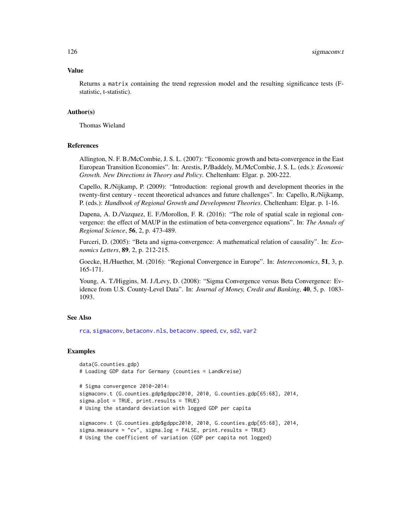## Value

Returns a matrix containing the trend regression model and the resulting significance tests (Fstatistic, t-statistic).

#### Author(s)

Thomas Wieland

### References

Allington, N. F. B./McCombie, J. S. L. (2007): "Economic growth and beta-convergence in the East European Transition Economies". In: Arestis, P./Baddely, M./McCombie, J. S. L. (eds.): *Economic Growth. New Directions in Theory and Policy*. Cheltenham: Elgar. p. 200-222.

Capello, R./Nijkamp, P. (2009): "Introduction: regional growth and development theories in the twenty-first century - recent theoretical advances and future challenges". In: Capello, R./Nijkamp, P. (eds.): *Handbook of Regional Growth and Development Theories*. Cheltenham: Elgar. p. 1-16.

Dapena, A. D./Vazquez, E. F./Morollon, F. R. (2016): "The role of spatial scale in regional convergence: the effect of MAUP in the estimation of beta-convergence equations". In: *The Annals of Regional Science*, 56, 2, p. 473-489.

Furceri, D. (2005): "Beta and sigma-convergence: A mathematical relation of causality". In: *Economics Letters*, 89, 2, p. 212-215.

Goecke, H./Huether, M. (2016): "Regional Convergence in Europe". In: *Intereconomics*, 51, 3, p. 165-171.

Young, A. T./Higgins, M. J./Levy, D. (2008): "Sigma Convergence versus Beta Convergence: Evidence from U.S. County-Level Data". In: *Journal of Money, Credit and Banking*, 40, 5, p. 1083- 1093.

# See Also

[rca](#page-95-0), [sigmaconv](#page-120-0), [betaconv.nls](#page-5-0), [betaconv.speed](#page-11-0), [cv](#page-18-0), [sd2](#page-104-0), [var2](#page-129-0)

#### Examples

```
data(G.counties.gdp)
# Loading GDP data for Germany (counties = Landkreise)
```

```
# Sigma convergence 2010-2014:
sigmaconv.t (G.counties.gdp$gdppc2010, 2010, G.counties.gdp[65:68], 2014,
sigma.plot = TRUE, print.results = TRUE)
# Using the standard deviation with logged GDP per capita
```

```
sigmaconv.t (G.counties.gdp$gdppc2010, 2010, G.counties.gdp[65:68], 2014,
sigma.measure = "cv", sigma.log = FALSE, print.results = TRUE)
# Using the coefficient of variation (GDP per capita not logged)
```
<span id="page-125-0"></span>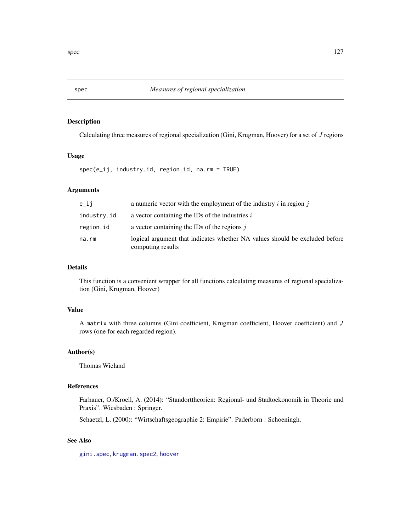<span id="page-126-0"></span>

# Description

Calculating three measures of regional specialization (Gini, Krugman, Hoover) for a set of J regions

# Usage

spec(e\_ij, industry.id, region.id, na.rm = TRUE)

# Arguments

| $e$ _ $i$ j | a numeric vector with the employment of the industry $i$ in region $j$                           |
|-------------|--------------------------------------------------------------------------------------------------|
| industry.id | a vector containing the IDs of the industries $i$                                                |
| region.id   | a vector containing the IDs of the regions $\dot{\mathbf{i}}$                                    |
| na.rm       | logical argument that indicates whether NA values should be excluded before<br>computing results |

# Details

This function is a convenient wrapper for all functions calculating measures of regional specialization (Gini, Krugman, Hoover)

# Value

A matrix with three columns (Gini coefficient, Krugman coefficient, Hoover coefficient) and J rows (one for each regarded region).

# Author(s)

Thomas Wieland

# References

Farhauer, O./Kroell, A. (2014): "Standorttheorien: Regional- und Stadtoekonomik in Theorie und Praxis". Wiesbaden : Springer.

Schaetzl, L. (2000): "Wirtschaftsgeographie 2: Empirie". Paderborn : Schoeningh.

# See Also

[gini.spec](#page-51-0), [krugman.spec2](#page-77-0), [hoover](#page-66-0)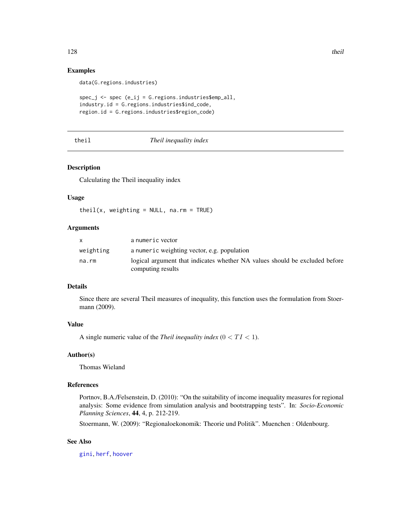# <span id="page-127-0"></span>Examples

data(G.regions.industries)

```
spec_j <- spec (e_ij = G.regions.industries$emp_all,
industry.id = G.regions.industries$ind_code,
region.id = G.regions.industries$region_code)
```
# theil *Theil inequality index*

# Description

Calculating the Theil inequality index

#### Usage

theil(x, weighting =  $NULL$ , na.rm =  $TRUE$ )

#### Arguments

| X         | a numeric vector                                                            |
|-----------|-----------------------------------------------------------------------------|
| weighting | a numeric weighting vector, e.g. population                                 |
| na.rm     | logical argument that indicates whether NA values should be excluded before |
|           | computing results                                                           |

#### Details

Since there are several Theil measures of inequality, this function uses the formulation from Stoermann (2009).

# Value

A single numeric value of the *Theil inequality index*  $(0 < TI < 1)$ .

# Author(s)

Thomas Wieland

# References

Portnov, B.A./Felsenstein, D. (2010): "On the suitability of income inequality measures for regional analysis: Some evidence from simulation analysis and bootstrapping tests". In: *Socio-Economic Planning Sciences*, 44, 4, p. 212-219.

Stoermann, W. (2009): "Regionaloekonomik: Theorie und Politik". Muenchen : Oldenbourg.

# See Also

[gini](#page-45-0), [herf](#page-64-0), [hoover](#page-66-0)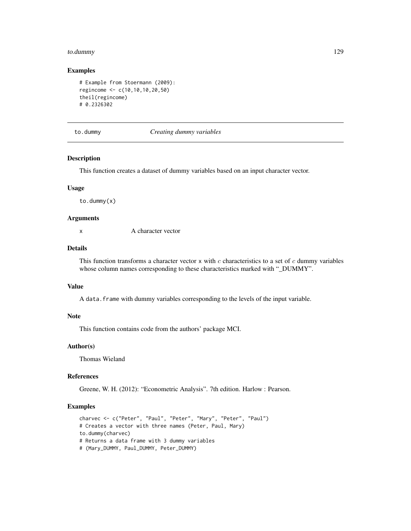#### <span id="page-128-0"></span>to.dummy 129

#### Examples

```
# Example from Stoermann (2009):
regincome <- c(10,10,10,20,50)
theil(regincome)
# 0.2326302
```
### to.dummy *Creating dummy variables*

# Description

This function creates a dataset of dummy variables based on an input character vector.

## Usage

to.dummy(x)

# Arguments

x A character vector

# Details

This function transforms a character vector  $x$  with  $c$  characteristics to a set of  $c$  dummy variables whose column names corresponding to these characteristics marked with "\_DUMMY".

#### Value

A data. frame with dummy variables corresponding to the levels of the input variable.

# Note

This function contains code from the authors' package MCI.

# Author(s)

Thomas Wieland

# References

Greene, W. H. (2012): "Econometric Analysis". 7th edition. Harlow : Pearson.

#### Examples

```
charvec <- c("Peter", "Paul", "Peter", "Mary", "Peter", "Paul")
# Creates a vector with three names (Peter, Paul, Mary)
to.dummy(charvec)
# Returns a data frame with 3 dummy variables
# (Mary_DUMMY, Paul_DUMMY, Peter_DUMMY)
```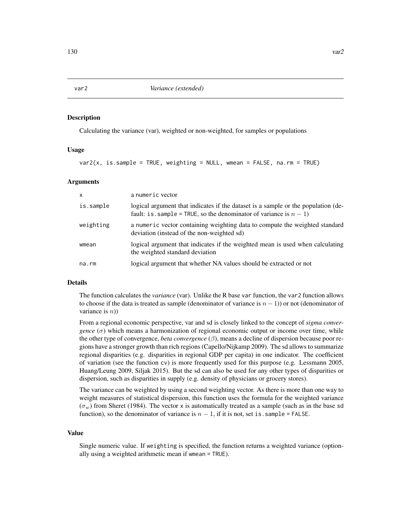#### Description

Calculating the variance (var), weighted or non-weighted, for samples or populations

#### Usage

```
var2(x, is. sample = TRUE, weighting = NULL, wmean = FALSE, na.rm = TRUE)
```
#### Arguments

| $\mathsf{x}$ | a numeric vector                                                                                                                                        |
|--------------|---------------------------------------------------------------------------------------------------------------------------------------------------------|
| is.sample    | logical argument that indicates if the dataset is a sample or the population (de-<br>fault: is sample = TRUE, so the denominator of variance is $n-1$ ) |
| weighting    | a numeric vector containing weighting data to compute the weighted standard<br>deviation (instead of the non-weighted sd)                               |
| wmean        | logical argument that indicates if the weighted mean is used when calculating<br>the weighted standard deviation                                        |
| na.rm        | logical argument that whether NA values should be extracted or not                                                                                      |

# Details

The function calculates the *variance* (var). Unlike the R base var function, the var2 function allows to choose if the data is treated as sample (denominator of variance is  $n - 1$ )) or not (denominator of variance is  $n$ )

From a regional economic perspective, var and sd is closely linked to the concept of *sigma convergence*  $(\sigma)$  which means a harmonization of regional economic output or income over time, while the other type of convergence, *beta convergence* (β), means a decline of dispersion because poor regions have a stronger growth than rich regions (Capello/Nijkamp 2009). The sd allows to summarize regional disparities (e.g. disparities in regional GDP per capita) in one indicator. The coefficient of variation (see the function cv) is more frequently used for this purpose (e.g. Lessmann 2005, Huang/Leung 2009, Siljak 2015). But the sd can also be used for any other types of disparities or dispersion, such as disparities in supply (e.g. density of physicians or grocery stores).

The variance can be weighted by using a second weighting vector. As there is more than one way to weight measures of statistical dispersion, this function uses the formula for the weighted variance  $(\sigma_w)$  from Sheret (1984). The vector x is automatically treated as a sample (such as in the base sd function), so the denominator of variance is  $n - 1$ , if it is not, set is . sample = FALSE.

#### Value

Single numeric value. If weighting is specified, the function returns a weighted variance (optionally using a weighted arithmetic mean if wmean = TRUE).

<span id="page-129-1"></span><span id="page-129-0"></span>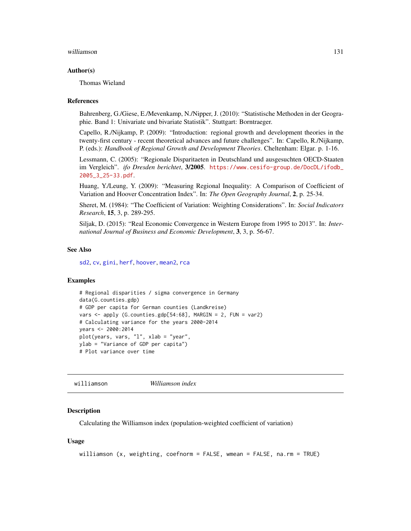#### <span id="page-130-0"></span>williamson and the contract of the contract of the contract of the contract of the contract of the contract of the contract of the contract of the contract of the contract of the contract of the contract of the contract of

#### Author(s)

Thomas Wieland

#### References

Bahrenberg, G./Giese, E./Mevenkamp, N./Nipper, J. (2010): "Statistische Methoden in der Geographie. Band 1: Univariate und bivariate Statistik". Stuttgart: Borntraeger.

Capello, R./Nijkamp, P. (2009): "Introduction: regional growth and development theories in the twenty-first century - recent theoretical advances and future challenges". In: Capello, R./Nijkamp, P. (eds.): *Handbook of Regional Growth and Development Theories*. Cheltenham: Elgar. p. 1-16.

Lessmann, C. (2005): "Regionale Disparitaeten in Deutschland und ausgesuchten OECD-Staaten im Vergleich". *ifo Dresden berichtet*, 3/2005. [https://www.cesifo-group.de/DocDL/ifodb\\_](https://www.cesifo-group.de/DocDL/ifodb_2005_3_25-33.pdf) [2005\\_3\\_25-33.pdf](https://www.cesifo-group.de/DocDL/ifodb_2005_3_25-33.pdf).

Huang, Y./Leung, Y. (2009): "Measuring Regional Inequality: A Comparison of Coefficient of Variation and Hoover Concentration Index". In: *The Open Geography Journal*, 2, p. 25-34.

Sheret, M. (1984): "The Coefficient of Variation: Weighting Considerations". In: *Social Indicators Research*, 15, 3, p. 289-295.

Siljak, D. (2015): "Real Economic Convergence in Western Europe from 1995 to 2013". In: *International Journal of Business and Economic Development*, 3, 3, p. 56-67.

#### See Also

[sd2](#page-104-0), [cv](#page-18-0), [gini](#page-45-0), [herf](#page-64-0), [hoover](#page-66-0), [mean2](#page-91-0), [rca](#page-95-0)

# Examples

```
# Regional disparities / sigma convergence in Germany
data(G.counties.gdp)
# GDP per capita for German counties (Landkreise)
vars <- apply (G.counties.gdp[54:68], MARGIN = 2, FUN = var2)
# Calculating variance for the years 2000-2014
years <- 2000:2014
plot(years, vars, "l", xlab = "year",
ylab = "Variance of GDP per capita")
# Plot variance over time
```
williamson *Williamson index*

#### **Description**

Calculating the Williamson index (population-weighted coefficient of variation)

#### Usage

```
williamson (x, weighting, coefnorm = FALSE, wmean = FALSE, na.rm = TRUE)
```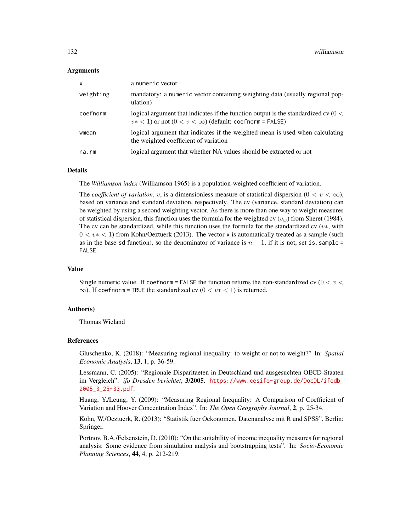#### Arguments

| $\mathsf{x}$ | a numeric vector                                                                                                                                       |
|--------------|--------------------------------------------------------------------------------------------------------------------------------------------------------|
| weighting    | mandatory: a numeric vector containing weighting data (usually regional pop-<br>ulation)                                                               |
| coefnorm     | logical argument that indicates if the function output is the standardized cv $(0 <$<br>$v* < 1$ or not $(0 < v < \infty)$ (default: coefnorm = FALSE) |
| wmean        | logical argument that indicates if the weighted mean is used when calculating<br>the weighted coefficient of variation                                 |
| na.rm        | logical argument that whether NA values should be extracted or not                                                                                     |

# Details

The *Williamson index* (Williamson 1965) is a population-weighted coefficient of variation.

The *coefficient of variation*, v, is a dimensionless measure of statistical dispersion  $(0 < v < \infty)$ , based on variance and standard deviation, respectively. The cv (variance, standard deviation) can be weighted by using a second weighting vector. As there is more than one way to weight measures of statistical dispersion, this function uses the formula for the weighted cv ( $v_w$ ) from Sheret (1984). The cv can be standardized, while this function uses the formula for the standardized cv  $(v*,$  with  $0 < v \times 1$ ) from Kohn/Oeztuerk (2013). The vector x is automatically treated as a sample (such as in the base sd function), so the denominator of variance is  $n - 1$ , if it is not, set is. sample = FALSE.

# Value

Single numeric value. If coefnorm = FALSE the function returns the non-standardized cv ( $0 < v <$  $\infty$ ). If coefnorm = TRUE the standardized cv ( $0 < v* < 1$ ) is returned.

#### Author(s)

Thomas Wieland

#### References

Gluschenko, K. (2018): "Measuring regional inequality: to weight or not to weight?" In: *Spatial Economic Analysis*, 13, 1, p. 36-59.

Lessmann, C. (2005): "Regionale Disparitaeten in Deutschland und ausgesuchten OECD-Staaten im Vergleich". *ifo Dresden berichtet*, 3/2005. [https://www.cesifo-group.de/DocDL/ifodb\\_](https://www.cesifo-group.de/DocDL/ifodb_2005_3_25-33.pdf) [2005\\_3\\_25-33.pdf](https://www.cesifo-group.de/DocDL/ifodb_2005_3_25-33.pdf).

Huang, Y./Leung, Y. (2009): "Measuring Regional Inequality: A Comparison of Coefficient of Variation and Hoover Concentration Index". In: *The Open Geography Journal*, 2, p. 25-34.

Kohn, W./Oeztuerk, R. (2013): "Statistik fuer Oekonomen. Datenanalyse mit R und SPSS". Berlin: Springer.

Portnov, B.A./Felsenstein, D. (2010): "On the suitability of income inequality measures for regional analysis: Some evidence from simulation analysis and bootstrapping tests". In: *Socio-Economic Planning Sciences*, 44, 4, p. 212-219.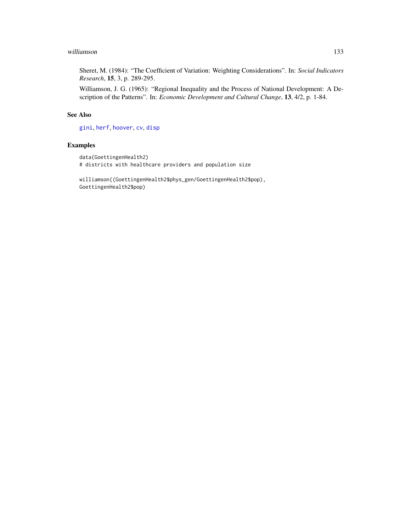#### <span id="page-132-0"></span>williamson and the state of the state of the state of the state of the state of the state of the state of the state of the state of the state of the state of the state of the state of the state of the state of the state of

Sheret, M. (1984): "The Coefficient of Variation: Weighting Considerations". In: *Social Indicators Research*, 15, 3, p. 289-295.

Williamson, J. G. (1965): "Regional Inequality and the Process of National Development: A Description of the Patterns". In: *Economic Development and Cultural Change*, 13, 4/2, p. 1-84.

# See Also

[gini](#page-45-0), [herf](#page-64-0), [hoover](#page-66-0), [cv](#page-18-0), [disp](#page-21-0)

### Examples

```
data(GoettingenHealth2)
# districts with healthcare providers and population size
```
williamson((GoettingenHealth2\$phys\_gen/GoettingenHealth2\$pop), GoettingenHealth2\$pop)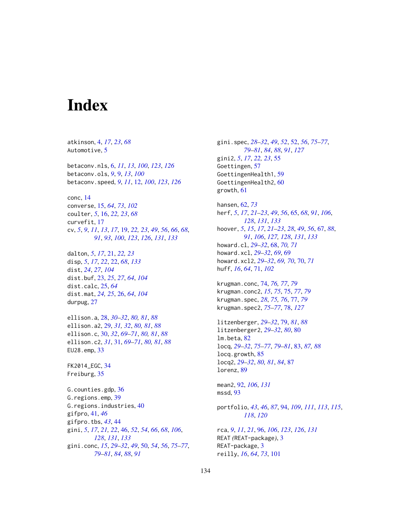# **Index**

atkinson, [4,](#page-3-0) *[17](#page-16-0)*, *[23](#page-22-0)*, *[68](#page-67-0)* Automotive, [5](#page-4-0) betaconv.nls, [6,](#page-5-1) *[11](#page-10-0)*, *[13](#page-12-0)*, *[100](#page-99-0)*, *[123](#page-122-0)*, *[126](#page-125-0)* betaconv.ols, *[9](#page-8-0)*, [9,](#page-8-0) *[13](#page-12-0)*, *[100](#page-99-0)* betaconv.speed, *[9](#page-8-0)*, *[11](#page-10-0)*, [12,](#page-11-1) *[100](#page-99-0)*, *[123](#page-122-0)*, *[126](#page-125-0)* conc, [14](#page-13-0) converse, [15,](#page-14-0) *[64](#page-63-0)*, *[73](#page-72-0)*, *[102](#page-101-0)* coulter, *[5](#page-4-0)*, [16,](#page-15-0) *[22,](#page-21-1) [23](#page-22-0)*, *[68](#page-67-0)* curvefit, [17](#page-16-0) cv, *[5](#page-4-0)*, *[9](#page-8-0)*, *[11](#page-10-0)*, *[13](#page-12-0)*, *[17](#page-16-0)*, [19,](#page-18-1) *[22,](#page-21-1) [23](#page-22-0)*, *[49](#page-48-0)*, *[56](#page-55-0)*, *[66](#page-65-0)*, *[68](#page-67-0)*, *[91](#page-90-0)*, *[93](#page-92-0)*, *[100](#page-99-0)*, *[123](#page-122-0)*, *[126](#page-125-0)*, *[131](#page-130-0)*, *[133](#page-132-0)* dalton, *[5](#page-4-0)*, *[17](#page-16-0)*, [21,](#page-20-0) *[22,](#page-21-1) [23](#page-22-0)* disp, *[5](#page-4-0)*, *[17](#page-16-0)*, *[22](#page-21-1)*, [22,](#page-21-1) *[68](#page-67-0)*, *[133](#page-132-0)* dist, *[24](#page-23-0)*, *[27](#page-26-0)*, *[104](#page-103-0)* dist.buf, [23,](#page-22-0) *[25](#page-24-0)*, *[27](#page-26-0)*, *[64](#page-63-0)*, *[104](#page-103-0)* dist.calc, [25,](#page-24-0) *[64](#page-63-0)* dist.mat, *[24,](#page-23-0) [25](#page-24-0)*, [26,](#page-25-0) *[64](#page-63-0)*, *[104](#page-103-0)* durpug, [27](#page-26-0) ellison.a, [28,](#page-27-0) *[30](#page-29-0)[–32](#page-31-0)*, *[80,](#page-79-0) [81](#page-80-0)*, *[88](#page-87-0)* ellison.a2, [29,](#page-28-0) *[31,](#page-30-0) [32](#page-31-0)*, *[80,](#page-79-0) [81](#page-80-0)*, *[88](#page-87-0)* ellison.c, [30,](#page-29-0) *[32](#page-31-0)*, *[69](#page-68-0)[–71](#page-70-0)*, *[80,](#page-79-0) [81](#page-80-0)*, *[88](#page-87-0)* ellison.c2, *[31](#page-30-0)*, [31,](#page-30-0) *[69–](#page-68-0)[71](#page-70-0)*, *[80,](#page-79-0) [81](#page-80-0)*, *[88](#page-87-0)* EU28.emp, [33](#page-32-0) FK2014\_EGC, [34](#page-33-0) Freiburg, [35](#page-34-0) G.counties.gdp, [36](#page-35-0) G.regions.emp, [39](#page-38-0) G.regions.industries, [40](#page-39-0) gifpro, [41,](#page-40-0) *[46](#page-45-1)* gifpro.tbs, *[43](#page-42-0)*, [44](#page-43-0) gini, *[5](#page-4-0)*, *[17](#page-16-0)*, *[21,](#page-20-0) [22](#page-21-1)*, [46,](#page-45-1) *[52](#page-51-1)*, *[54](#page-53-0)*, *[66](#page-65-0)*, *[68](#page-67-0)*, *[106](#page-105-0)*, *[128](#page-127-0)*, *[131](#page-130-0)*, *[133](#page-132-0)* gini.conc, *[15](#page-14-0)*, *[29](#page-28-0)[–32](#page-31-0)*, *[49](#page-48-0)*, [50,](#page-49-0) *[54](#page-53-0)*, *[56](#page-55-0)*, *[75–](#page-74-0)[77](#page-76-0)*, *[79](#page-78-0)[–81](#page-80-0)*, *[84](#page-83-0)*, *[88](#page-87-0)*, *[91](#page-90-0)*

gini.spec, *[28](#page-27-0)[–32](#page-31-0)*, *[49](#page-48-0)*, *[52](#page-51-1)*, [52,](#page-51-1) *[56](#page-55-0)*, *[75](#page-74-0)[–77](#page-76-0)*, *[79](#page-78-0)[–81](#page-80-0)*, *[84](#page-83-0)*, *[88](#page-87-0)*, *[91](#page-90-0)*, *[127](#page-126-0)* gini2, *[5](#page-4-0)*, *[17](#page-16-0)*, *[22,](#page-21-1) [23](#page-22-0)*, [55](#page-54-0) Goettingen, [57](#page-56-0) GoettingenHealth1, [59](#page-58-0) GoettingenHealth2, [60](#page-59-0) growth, [61](#page-60-0)

hansen, [62,](#page-61-0) *[73](#page-72-0)* herf, *[5](#page-4-0)*, *[17](#page-16-0)*, *[21](#page-20-0)[–23](#page-22-0)*, *[49](#page-48-0)*, *[56](#page-55-0)*, [65,](#page-64-1) *[68](#page-67-0)*, *[91](#page-90-0)*, *[106](#page-105-0)*, *[128](#page-127-0)*, *[131](#page-130-0)*, *[133](#page-132-0)* hoover, *[5](#page-4-0)*, *[15](#page-14-0)*, *[17](#page-16-0)*, *[21](#page-20-0)[–23](#page-22-0)*, *[28](#page-27-0)*, *[49](#page-48-0)*, *[56](#page-55-0)*, [67,](#page-66-1) *[88](#page-87-0)*, *[91](#page-90-0)*, *[106](#page-105-0)*, *[127,](#page-126-0) [128](#page-127-0)*, *[131](#page-130-0)*, *[133](#page-132-0)* howard.cl, *[29](#page-28-0)[–32](#page-31-0)*, [68,](#page-67-0) *[70,](#page-69-0) [71](#page-70-0)* howard.xcl, *[29](#page-28-0)[–32](#page-31-0)*, *[69](#page-68-0)*, [69](#page-68-0) howard.xcl2, *[29](#page-28-0)[–32](#page-31-0)*, *[69,](#page-68-0) [70](#page-69-0)*, [70,](#page-69-0) *[71](#page-70-0)* huff, *[16](#page-15-0)*, *[64](#page-63-0)*, [71,](#page-70-0) *[102](#page-101-0)*

krugman.conc, [74,](#page-73-0) *[76,](#page-75-0) [77](#page-76-0)*, *[79](#page-78-0)* krugman.conc2, *[15](#page-14-0)*, *[75](#page-74-0)*, [75,](#page-74-0) *[77](#page-76-0)*, *[79](#page-78-0)* krugman.spec, *[28](#page-27-0)*, *[75,](#page-74-0) [76](#page-75-0)*, [77,](#page-76-0) *[79](#page-78-0)* krugman.spec2, *[75](#page-74-0)[–77](#page-76-0)*, [78,](#page-77-1) *[127](#page-126-0)*

litzenberger, *[29](#page-28-0)[–32](#page-31-0)*, [79,](#page-78-0) *[81](#page-80-0)*, *[88](#page-87-0)* litzenberger2, *[29](#page-28-0)[–32](#page-31-0)*, *[80](#page-79-0)*, [80](#page-79-0) lm.beta, [82](#page-81-0) locq, *[29–](#page-28-0)[32](#page-31-0)*, *[75](#page-74-0)[–77](#page-76-0)*, *[79](#page-78-0)[–81](#page-80-0)*, [83,](#page-82-0) *[87,](#page-86-0) [88](#page-87-0)* locq.growth, [85](#page-84-0) locq2, *[29](#page-28-0)[–32](#page-31-0)*, *[80,](#page-79-0) [81](#page-80-0)*, *[84](#page-83-0)*, [87](#page-86-0) lorenz, [89](#page-88-0)

mean2, [92,](#page-91-1) *[106](#page-105-0)*, *[131](#page-130-0)* mssd, [93](#page-92-0)

portfolio, *[43](#page-42-0)*, *[46](#page-45-1)*, *[87](#page-86-0)*, [94,](#page-93-1) *[109](#page-108-1)*, *[111](#page-110-1)*, *[113](#page-112-0)*, *[115](#page-114-0)*, *[118](#page-117-0)*, *[120](#page-119-0)*

rca, *[9](#page-8-0)*, *[11](#page-10-0)*, *[21](#page-20-0)*, [96,](#page-95-1) *[106](#page-105-0)*, *[123](#page-122-0)*, *[126](#page-125-0)*, *[131](#page-130-0)* REAT *(*REAT-package*)*, [3](#page-2-0) REAT-package, [3](#page-2-0) reilly, *[16](#page-15-0)*, *[64](#page-63-0)*, *[73](#page-72-0)*, [101](#page-100-0)